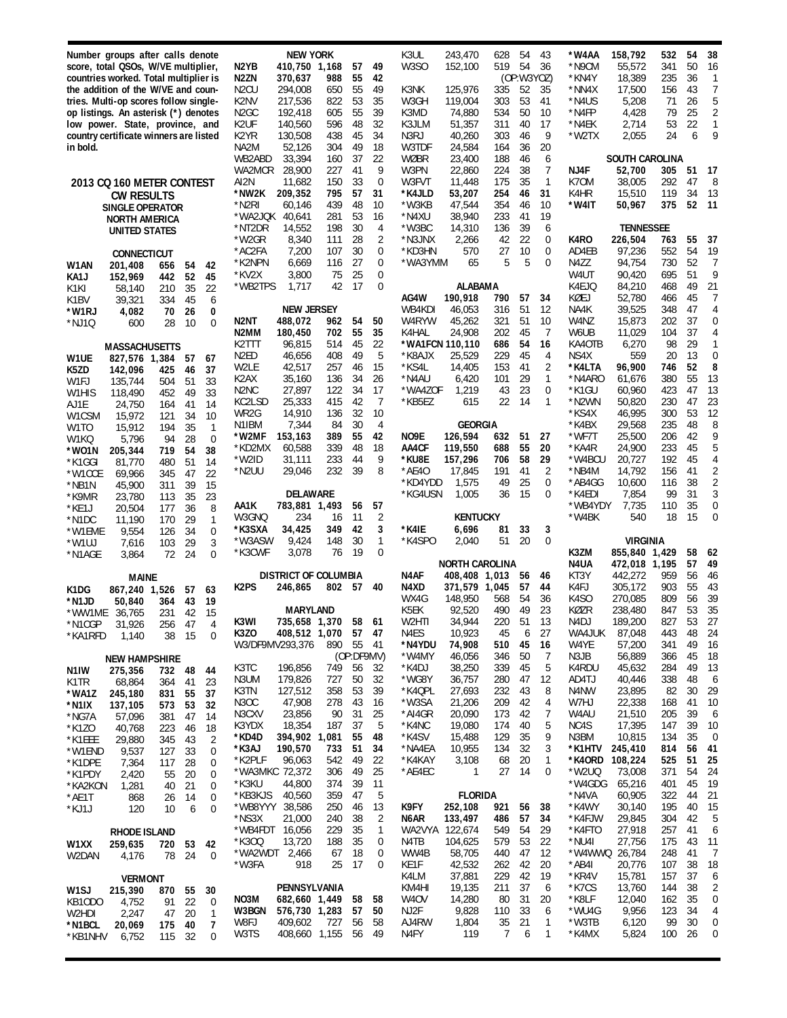**Number groups after calls denote score, total QSOs, W/VE multiplier, countries worked. Total multiplier is the addition of the W/VE and countries. Multi-op scores follow singleop listings. An asterisk (\*) denotes low power. State, province, and country certificate winners are listed in bold.**

**NEW YORK N2YB 410,750 1,168 57 49 N2ZN 370,637 988 55 42**

N2CU 294,008 650 55 49 K2NV 217,536 822 53 35 192,418 K2UF 140,560 596 48 32 130,508 438 45<br>52,126 304 49 NA2M 52,126 304 49 18 WB2ABD 33,394 160 37 22<br>WA2MCR 28,900 227 41 9

AI2N 11,682 150 33 0<br>\*NW2K 209,352 795 57 31 **\*NW2K 209,352 795 57 31** \*N2RI 60,146 439 48 10 \*WA2JQK 40,641 281 53 16 \*NT2DR 14,552 198 30 4 \*W2GR 8,340 111 28 2

\*K2NPN 6,669 116 27 0 \*KV2X 3,800 75 25 0 \*WB2TPS 1,717 42

**NEW JERSEY N2NT 488,072 962 54 50 180,450** K2TTT 96,815 514 45 22 N2ED 46,656 408 49 5<br>W2LE 42,517 257 46 15  $42,517$ K2AX 35,160 136 34 26 27,897 122 34 17

KC2LSD 25,333 415 42 7 WR2G 14,910 136 32 10<br>N1IBM 7,344 84 30 4 N1IBM 7,344 84 30 4 **\*W2MF 153,163 389 55 42**

\*W2ID 31,111 233 44 9 29,046 232 39 8

**DELAWARE AA1K 783,881 1,493 56 57** W3GNQ 234 16 11 2<br>\*K3SXA 34,425 349 42 3

\*W3ASW 9,424 148 30 1 \*K3CWF 3,078 76 19 0 **DISTRICT OF COLUMBIA**

WA2MCR

 $*$ AC2FA

\*KD2MX<br>\*W2ID

**\*K3SXA 34,425 349 42 3**

| 2013 CO 160 METER CONTEST |
|---------------------------|
| CW RESULTS                |
| SINGLE OPFRATOR           |
| <b>NORTH AMFRICA</b>      |
| UNITED STATES             |
|                           |

**CONNECTICUT**

| W1AN   | 201,408       | 656   | 54 | 42 |
|--------|---------------|-------|----|----|
| KA1J   | 152,969       | 442   | 52 | 45 |
| K1KI   | 58,140        | 210   | 35 | 22 |
| K1BV   | 39,321        | 334   | 45 | 6  |
| *W1RJ  | 4,082         | 70    | 26 | 0  |
| *NJ10  | 600           | 28    | 10 | 0  |
|        |               |       |    |    |
|        | MASSACHUSETTS |       |    |    |
| W1UE   | 827,576       | 1,384 | 57 | 67 |
| K5ZD   | 142,096       | 425   | 46 | 37 |
| W1F.J  | 135,744       | 504   | 51 | 33 |
| W1HIS  | 118,490       | 452   | 49 | 33 |
| AJ1E   | 24.750        | 164   | 41 | 14 |
| W1CSM  | 15,972        | 121   | 34 | 10 |
| W1TO   | 15,912        | 194   | 35 | 1  |
| W1KQ   | 5,796         | 94    | 28 | 0  |
| *WO1N  | 205,344       | 719   | 54 | 38 |
| *K1GGI | 81,770        | 480   | 51 | 14 |
| *W1CCE | 69,966        | 345   | 47 | 22 |
| *NB1N  | 45,900        | 311   | 39 | 15 |
| *K9MR  | 23,780        | 113   | 35 | 23 |
| *KE1J  | 20,504        | 177   | 36 | 8  |
| *N1DC  | 11,190        | 170   | 29 | 1  |
| *W1EME | 9,554         | 126   | 34 | 0  |
| *W1UJ  | 7,616         | 103   | 29 | 3  |
| *N1AGE | 3,864         | 72    | 24 | 0  |
|        |               |       |    |    |

**MAINE**

\*KB1NHV 6,752 115 32 0

| K1DG              | 867,240              | 1,526 | 57 | 63       | K2PS    | 246.865         | 802   | 57         | 40 |
|-------------------|----------------------|-------|----|----------|---------|-----------------|-------|------------|----|
| *N1JD             | 50,840               | 364   | 43 | 19       |         | <b>MARYLAND</b> |       |            |    |
| *WW1ME            | 36,765               | 231   | 42 | 15       | K3WI    | 735,658         | 1,370 | 58         | 61 |
| *N1CGP            | 31,926               | 256   | 47 | 4        | K3ZO    |                 |       | 57         | 47 |
| *KA1RFD           | 1.140                | 38    | 15 | $\Omega$ |         | 408,512         | 1,070 |            |    |
|                   |                      |       |    |          |         | W3/DF9MV293,376 | 890   | 55         | 41 |
|                   | <b>NEW HAMPSHIRE</b> |       |    |          |         |                 |       | (OP:DF9MV) |    |
| N <sub>1</sub> IW | 275,356              | 732   | 48 | 44       | K3TC    | 196,856         | 749   | 56         | 32 |
| K <sub>1</sub> TR | 68,864               | 364   | 41 | 23       | N3UM    | 179.826         | 727   | 50         | 32 |
| *WA1Z             | 245,180              | 831   | 55 | 37       | K3TN    | 127,512         | 358   | 53         | 39 |
| *N1IX             | 137,105              | 573   | 53 | 32       | N3OC    | 47.908          | 278   | 43         | 16 |
| *NG7A             | 57.096               | 381   | 47 | 14       | N3CXV   | 23.856          | 90    | 31         | 25 |
| $*$ K1ZO          | 40,768               | 223   | 46 | 18       | K3YDX   | 18,354          | 187   | 37         | 5  |
| *K1EEE            | 29,880               | 345   | 43 | 2        | *KD4D   | 394,902         | 1,081 | 55         | 48 |
| *W1END            | 9.537                | 127   | 33 | 0        | *K3AJ   | 190,570         | 733   | 51         | 34 |
| *K1DPE            | 7.364                | 117   | 28 | 0        | *K2PLF  | 96.063          | 542   | 49         | 22 |
| *K1PDY            | 2,420                | 55    | 20 | 0        | *WA3MKC | 72,372          | 306   | 49         | 25 |
| *KA2KON           | 1,281                | 40    | 21 | $\Omega$ | *K3KU   | 44,800          | 374   | 39         | 11 |
| *AE1T             | 868                  | 26    | 14 | 0        | *KB3KJS | 40,560          | 359   | 47         | 5  |
| *KJ1J             | 120                  | 10    | 6  | 0        | *WB8YYY | 38,586          | 250   | 46         | 13 |
|                   |                      |       |    |          | *NS3X   | 21,000          | 240   | 38         | 2  |
|                   | <b>RHODE ISLAND</b>  |       |    |          | *WB4FDT | 16,056          | 229   | 35         | 1  |
| W <sub>1</sub> XX | 259,635              | 720   | 53 | 42       | *K300   | 13.720          | 188   | 35         | 0  |
| W2DAN             | 4,176                | 78    | 24 | 0        | *WA2WDT | 2,466           | 67    | 18         | 0  |
|                   |                      |       |    |          | *W3FA   | 918             | 25    | 17         | 0  |
|                   | <b>VERMONT</b>       |       |    |          |         |                 |       |            |    |
| W <sub>1</sub> SJ | 215,390              | 870   | 55 | 30       |         | PENNSYLVANIA    |       |            |    |
| KB10DO            | 4,752                | 91    | 22 | $\Omega$ | NO3M    | 682,660         | 1,449 | 58         | 58 |
| W2HDI             | 2,247                | 47    | 20 | 1        | W3BGN   | 576,730         | 1,283 | 57         | 50 |
| *N1BCL            | 20,069               | 175   | 40 | 7        | W8FJ    | 409,602         | 727   | 56         | 58 |
| *KR1NHV           | 6.752                | 115   | 32 | 0        | W3TS    | 408,660         | 1,155 | 56         | 49 |

| K3UL              | 243,470            | 628        | 54       | 43         | *W4AA           | 158,792          | 532        | 54       | 38                  |
|-------------------|--------------------|------------|----------|------------|-----------------|------------------|------------|----------|---------------------|
| W3SO              | 152,100            | 519        | 54       | 36         | *N9CM           | 55,572           | 341        | 50       | 16                  |
|                   |                    |            |          | (OP:W3YOZ) | *KN4Y           | 18,389           | 235        | 36       | 1                   |
| K3NK              | 125,976            | 335        | 52       | 35         | *NN4X           | 17,500           | 156        | 43       | 7                   |
| W3GH              | 119,004            | 303        | 53       | 41         | *N4US           | 5,208            | 71         | 26       | 5                   |
| K3MD              | 74,880             | 534        | 50       | 10         | *N4FP           | 4,428            | 79         | 25       | $\overline{c}$<br>1 |
| K3JLM<br>N3RJ     | 51,357<br>40,260   | 311<br>303 | 40<br>46 | 17<br>9    | *N4EK<br>*W2TX  | 2,714<br>2,055   | 53<br>24   | 22<br>6  | 9                   |
| W3TDF             | 24,584             | 164        | 36       | 20         |                 |                  |            |          |                     |
| WØBR              | 23,400             | 188        | 46       | 6          |                 | SOUTH CAROLINA   |            |          |                     |
| W3PN              | 22,860             | 224        | 38       | 7          | NJ4F            | 52,700           | 305        | 51       | 17                  |
| W3FVT             | 11,448             | 175        | 35       | 1          | K70M            | 38,005           | 292        | 47       | 8                   |
| *K4JLD            | 53,207             | 254        | 46       | 31         | K4HR            | 15,510           | 119        | 34       | 13                  |
| *W3KB             | 47.544             | 354        | 46       | 10         | *W4IT           | 50,967           | 375        | 52       | 11                  |
| *N4XU             | 38,940             | 233        | 41       | 19         |                 |                  |            |          |                     |
| *W3BC             | 14,310             | 136        | 39       | 6          |                 | TENNESSEE        |            |          |                     |
| *N3JNX            | 2,266              | 42         | 22       | 0          | K4RO            | 226,504          | 763        | 55       | 37                  |
| *KD3HN<br>*WA3YMM | 570<br>65          | 27<br>5    | 10<br>5  | 0          | AD4EB           | 97,236<br>94,754 | 552<br>730 | 54<br>52 | 19<br>7             |
|                   |                    |            |          | 0          | N4ZZ<br>W4UT    | 90,420           | 695        | 51       | 9                   |
|                   | ALABAMA            |            |          |            | K4EJQ           | 84,210           | 468        | 49       | 21                  |
| AG4W              | 190,918            | 790        | 57       | 34         | KØEJ            | 52,780           | 466        | 45       | 7                   |
| WB4KDI            | 46,053             | 316        | 51       | 12         | NA4K            | 39,525           | 348        | 47       | 4                   |
| W4RYW             | 45,262             | 321        | 51       | 10         | W4NZ            | 15,873           | 202        | 37       | 0                   |
| K4HAL             | 24,908             | 202        | 45       | 7          | W6UB            | 11,029           | 104        | 37       | 4                   |
| *WA1FCN 110,110   |                    | 686        | 54       | 16         | KA40TB          | 6,270            | 98         | 29       | 1                   |
| *K8AJX            | 25,529             | 229        | 45       | 4          | NS4X            | 559              | 20         | 13       | 0                   |
| *KS4L             | 14,405             | 153        | 41       | 2          | *K4LTA          | 96,900           | 746        | 52       | 8                   |
| *N4AU             | 6,420              | 101        | 29       | 1          | *N4ARO          | 61,676           | 380        | 55       | 13                  |
| *WA4ZOF           | 1,219              | 43         | 23       | 0          | *K1GU           | 60,960           | 423        | 47       | 13                  |
| *KB5EZ            | 615                | 22         | 14       | 1          | *N2WN<br>*KS4X  | 50,820           | 230        | 47<br>53 | 23<br>12            |
|                   | GEORGIA            |            |          |            | *K4BX           | 46,995<br>29,568 | 300<br>235 | 48       | 8                   |
| NO9E              | 126,594            | 632        | 51       | 27         | *WF7T           | 25,500           | 206        | 42       | 9                   |
| AA4CF             | 119,550            | 688        | 55       | 20         | *KA4R           | 24,900           | 233        | 45       | 5                   |
| *KU8E             | 157,296            | 706        | 58       | 29         | *W4BCU          | 20,727           | 192        | 45       | $\sqrt{4}$          |
| *AE4O             | 17,845             | 191        | 41       | 2          | *NB4M           | 14,792           | 156        | 41       | $\overline{2}$      |
| *KD4YDD           | 1,575              | 49         | 25       | 0          | *AB4GG          | 10,600           | 116        | 38       | $\overline{c}$      |
| *KG4USN           | 1,005              | 36         | 15       | 0          | *K4EDI          | 7,854            | 99         | 31       | 3                   |
|                   |                    |            |          |            | *WB4YDY         | 7,735            | 110        | 35       | 0                   |
| *K4IE             | <b>KENTUCKY</b>    |            |          |            | *W4BK           | 540              | 18         | 15       | 0                   |
| *K4SPO            | 6,696<br>2.040     | 81<br>51   | 33<br>20 | 3<br>0     |                 | VIRGINIA         |            |          |                     |
|                   |                    |            |          |            | K3ZM            | 855,840          | 1,429      | 58       | 62                  |
|                   | NORTH CAROLINA     |            |          |            | N4UA            | 472,018          | 1,195      | 57       | 49                  |
| N4AF              | 408,408            | 1,013      | 56       | 46         | KT3Y            | 442,272          | 959        | 56       | 46                  |
| N4XD              | 371,579            | 1,045      | 57       | 44         | K4FJ            | 305,172          | 903        | 55       | 43                  |
| WX4G              | 148,950            | 568        | 54       | 36         | K4SO            | 270,085          | 809        | 56       | 39                  |
| K5EK              | 92,520             | 490        | 49       | 23         | KØZR            | 238,480          | 847        | 53       | 35                  |
| W2HTI             | 34,944             | 220        | 51       | 13         | N4DJ            | 189,200          | 827        | 53       | 27                  |
| N4ES              | 10,923             | 45         | 6        | 27         | WA4JUK          | 87,048           | 443        | 48       | 24                  |
| *N4YDU            | 74,908             | 510        | 45       | 16         | W4YE            | 57,200           | 341        | 49       | 16                  |
| *W4MY<br>*K4DJ    | 46,056<br>38,250   | 346<br>339 | 50<br>45 | 7<br>5     | N3JB<br>K4RDU   | 56,889<br>45,632 | 366<br>284 | 45<br>49 | 18<br>13            |
| *WG8Y             | 36,757             | 280        | 47       | 12         | AD4TJ           | 40,446           | 338        | 48       | 6                   |
| *K4QPL            | 27,693             | 232        | 43       | 8          | N4NW            | 23,895           | 82         | 30       | 29                  |
| *W3SA             | 21,206             | 209        | 42       | 4          | W7HJ            | 22,338           | 168        | 41       | 10                  |
| *AI4GR            | 20,090             | 173        | 42       | 7          | W4AU            | 21,510           | 205        | 39       | 6                   |
| *K4NC             | 19,080             | 174        | 40       | 5          | NC4S            | 17,395           | 147        | 39       | 10                  |
| *K4SV             | 15,488             | 129        | 35       | 9          | N3BM            | 10,815           | 134        | 35       | 0                   |
| *NA4EA            | 10,955             | 134        | 32       | 3          | *K1HTV          | 245,410          | 814        | 56       | 41                  |
| *K4KAY            | 3,108              | 68         | 20       | 1          | *K40RD          | 108,224          | 525        | 51       | 25                  |
| *AE4EC            | 1                  | 27         | 14       | 0          | *W2UQ           | 73,008           | 371        | 54       | 24                  |
|                   |                    |            |          |            | *W4GDG          | 65,216           | 401        | 45       | 19                  |
|                   | FLORIDA            |            |          |            | *N4VA           | 60,905           | 322        | 44       | 21                  |
| K9FY<br>N6AR      | 252,108<br>133,497 | 921<br>486 | 56<br>57 | 38<br>34   | *K4WY<br>*K4FJW | 30,140<br>29,845 | 195<br>304 | 40<br>42 | 15<br>5             |
| WA2VYA            | 122,674            | 549        | 54       | 29         | *K4FTO          | 27,918           | 257        | 41       | 6                   |
| N4TB              | 104,625            | 579        | 53       | 22         | *NU4I           | 27,756           | 175        | 43       | 11                  |
| WW4B              | 58,705             | 440        | 47       | 12         | *W4WWQ          | 26,784           | 248        | 41       | 7                   |
| KE1F              | 42,532             | 262        | 42       | 20         | *AB4I           | 20,776           | 107        | 38       | 18                  |
| K4LM              | 37,881             | 229        | 42       | 19         | *KR4V           | 15,781           | 157        | 37       | 6                   |
| KM4HI             | 19,135             | 211        | 37       | 6          | *K7CS           | 13,760           | 144        | 38       | 2                   |
|                   |                    |            |          |            |                 | 12,040           | 162        | 35       | 0                   |
| W4OV              | 14,280             | 80         | 31       | 20         | *K8LF           |                  |            |          |                     |
| NJ2F              | 9,828              | 110        | 33       | 6          | *WU4G           | 9,956            | 123        | 34       | 4                   |
| AJ4RW<br>N4FY     | 1,804<br>119       | 35<br>7    | 21<br>6  | 1<br>1     | *W3TB<br>*K4MX  | 6,120<br>5,824   | 99<br>100  | 30<br>26 | 0<br>0              |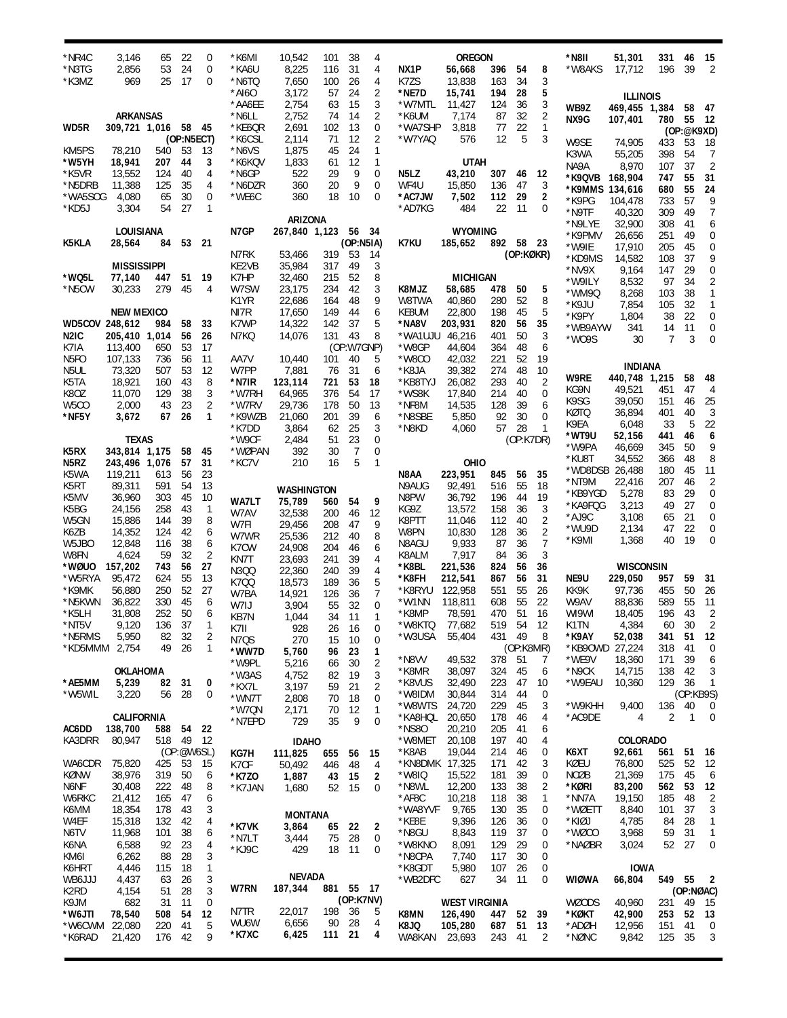| *NR4C<br>*N3TG           | 3,146<br>2,856           | 65<br>53   | 22<br>24            | 0<br>0              | *K6MI<br>*KA6U            | 10,542<br>8,225     | 101<br>116   | 38<br>31         | 4<br>4                     | NX1P                    | <b>OREGON</b>             |            | 54        | 8              | *N8II<br>*W8AKS  | 51,301                   | 331<br>196     | 46<br>39        | 15<br>2              |
|--------------------------|--------------------------|------------|---------------------|---------------------|---------------------------|---------------------|--------------|------------------|----------------------------|-------------------------|---------------------------|------------|-----------|----------------|------------------|--------------------------|----------------|-----------------|----------------------|
| *K3MZ                    | 969                      | 25         | 17                  | $\mathbf 0$         | *N6TQ                     | 7,650               | 100          | 26               | 4                          | K7ZS                    | 56,668<br>13,838          | 396<br>163 | 34        | 3              |                  | 17,712                   |                |                 |                      |
|                          |                          |            |                     |                     | *AI6O<br>*AA6EE           | 3,172<br>2,754      | 57<br>63     | 24<br>15         | $\overline{2}$<br>3        | *NE7D<br>*W7MTL         | 15,741<br>11,427          | 194<br>124 | 28<br>36  | 5<br>3         |                  | <b>ILLINOIS</b>          |                |                 |                      |
|                          | <b>ARKANSAS</b>          |            |                     |                     | *N6LL                     | 2,752               | 74           | 14               | 2                          | *K6UM                   | 7,174                     | 87         | 32        | 2              | WB9Z<br>NX9G     | 469,455 1,384<br>107,401 | 780            | 58<br>55        | 47<br>-12            |
| WD5R                     | 309,721 1,016 58         |            | (OP:N5ECT)          | - 45                | *KE6QR<br>*K6CSL          | 2,691<br>2,114      | 102<br>71    | 13<br>12         | 0<br>2                     | *WA7SHP<br>*W7YAQ       | 3,818<br>576              | 77<br>12   | 22<br>5   | 1<br>3         |                  |                          |                | (OP:@K9XD)      |                      |
| KM5PS                    | 78,210                   | 540        | 53                  | 13                  | *N6VS                     | 1,875               | 45           | 24               | 1                          |                         |                           |            |           |                | W9SE<br>K3WA     | 74,905<br>55,205         | 433<br>398     | 53<br>54        | 18<br>7              |
| *W5YH                    | 18,941                   | 207        | 44                  | 3                   | *K6KQV                    | 1,833               | 61           | 12               | 1                          |                         | <b>UTAH</b>               |            |           |                | NA9A             | 8,970                    | 107            | 37              | $\overline{2}$       |
| *K5VR<br>*N5DRB          | 13,552<br>11,388         | 124<br>125 | 40<br>35            | 4<br>4              | *N6GP<br>*N6DZR           | 522<br>360          | 29<br>20     | 9<br>9           | $\mathbf 0$<br>$\mathbf 0$ | N5LZ<br>WF4U            | 43,210<br>15,850          | 307<br>136 | 46<br>47  | 12<br>3        | *K9QVB 168,904   |                          | 747            | 55              | 31                   |
| *WA5SOG                  | 4,080                    | 65         | 30                  | 0                   | *WE6C                     | 360                 | 18           | 10               | $\Omega$                   | *AC7JW                  | 7,502                     | 112        | 29        | 2              | *K9MMS 134,616   |                          | 680            | 55<br>57        | 24                   |
| *KD5J                    | 3,304                    | 54         | 27                  | 1                   |                           |                     |              |                  |                            | *AD7KG                  | 484                       | 22         | -11       | 0              | *K9PG<br>*N9TF   | 104,478<br>40,320        | 733<br>309     | 49              | 9<br>7               |
|                          |                          |            |                     |                     |                           | ARIZONA             |              |                  |                            |                         |                           |            |           |                | *N9LYE           | 32,900                   | 308            | 41              | 6                    |
| K5KLA                    | LOUISIANA<br>28,564      | 84         | 53                  | - 21                | N7GP                      | 267,840 1,123 56 34 |              | (OP:N5IA)        |                            | K7KU                    | <b>WYOMING</b><br>185,652 | 892 58 23  |           |                | *K9PMV           | 26,656                   | 251            | 49              | 0                    |
|                          |                          |            |                     |                     | N7RK                      | 53,466              | 319          | 53               | 14                         |                         |                           |            | (OP:KØKR) |                | *W9IE<br>*KD9MS  | 17,910<br>14,582         | 205<br>108     | 45<br>37        | 0<br>9               |
|                          | <b>MISSISSIPPI</b>       |            |                     |                     | KE2VB                     | 35,984              | 317          | 49               | 3                          |                         |                           |            |           |                | *NV9X            | 9,164                    | 147            | 29              | 0                    |
| *WQ5L                    | 77,140                   | 447        | 51                  | 19                  | K7HP                      | 32,460              | 215          | 52               | 8                          |                         | <b>MICHIGAN</b>           |            |           |                | *W9ILY           | 8,532                    | 97             | 34              | 2                    |
| *N5CW                    | 30,233                   | 279        | 45                  | 4                   | W7SW<br>K <sub>1</sub> YR | 23,175<br>22,686    | 234<br>164   | 42<br>48         | 3<br>9                     | K8MJZ<br>W8TWA          | 58,685<br>40,860          | 478<br>280 | 50<br>52  | 5<br>8         | *WM9Q            | 8,268                    | 103            | 38              | 1                    |
|                          | <b>NEW MEXICO</b>        |            |                     |                     | NI7R                      | 17,650              | 149          | 44               | 6                          | KE8UM                   | 22,800                    | 198        | 45        | 5              | *K9JU<br>*K9PY   | 7,854<br>1,804           | 105<br>38      | 32<br>22        | 1<br>0               |
| WD5COV 248,612           |                          | 984        | 58                  | 33                  | K7WP                      | 14,322              | 142          | 37               | 5                          | *NA8V                   | 203,931                   | 820        | 56        | 35             | *WB9AYW          | 341                      | 14             | 11              | 0                    |
| N2IC                     | 205,410 1,014            |            | 56                  | 26                  | N7KQ                      | 14,076              | 131 43       |                  | 8                          | *WA1UJU                 | 46,216                    | 401        | 50        | 3              | *W09S            | 30                       | $\overline{7}$ | 3               | 0                    |
| K7IA<br>N <sub>5FO</sub> | 113,400<br>107,133       | 650<br>736 | 53<br>56            | 17<br>11            | AA7V                      | 10,440              | 101          | (OP:W7GNP)<br>40 | 5                          | *W8GP<br>*W8CO          | 44,604<br>42,032          | 364<br>221 | 48<br>52  | 6<br>19        |                  |                          |                |                 |                      |
| N5UL                     | 73,320                   | 507        | 53                  | 12                  | W7PP                      | 7,881               | 76           | 31               | 6                          | *K8JA                   | 39,382                    | 274        | 48        | 10             |                  | <b>INDIANA</b>           |                |                 |                      |
| K5TA                     | 18,921                   | 160        | 43                  | 8                   | *N7IR                     | 123,114             | 721          | 53               | 18                         | *KB8TYJ                 | 26,082                    | 293        | 40        | 2              | W9RE             | 440,748 1,215            |                | 58              | 48                   |
| K8OZ                     | 11,070                   | 129        | 38                  | 3                   | *W7RH                     | 64,965              | 376          | 54               | 17                         | *WS8K                   | 17,840                    | 214        | 40        | 0              | KG9N<br>K9SG     | 49,521<br>39,050         | 451<br>151     | 47<br>46        | $\overline{4}$<br>25 |
| W5CO<br>*NF5Y            | 2,000<br>3,672           | 43<br>67   | 23<br>26            | 2<br>1              | *W7RV<br>*K9WZB           | 29,736<br>21,060    | 178<br>201   | 50<br>39         | 13<br>6                    | *NF8M<br>*N8SBE         | 14,535<br>5,850           | 128<br>92  | 39<br>30  | 6<br>0         | KØTQ             | 36,894                   | 401            | 40              | 3                    |
|                          |                          |            |                     |                     | *K7DD                     | 3,864               | 62           | 25               | 3                          | *N8KD                   | 4,060                     | 57         | 28        | 1              | K9EA             | 6,048                    | 33             | 5               | 22                   |
|                          | <b>TEXAS</b>             |            |                     |                     | *W9CF                     | 2,484               | 51           | 23               | 0                          |                         |                           |            | (OP:K7DR) |                | *WT9U            | 52,156                   | 441            | 46<br>50        | 6                    |
| K5RX                     | 343,814 1,175            |            | 58                  | 45                  | *WØPAN                    | 392                 | 30           | 7                | 0                          |                         |                           |            |           |                | *W9PA<br>*KU8T   | 46,669<br>34,552         | 345<br>366     | 48              | 9<br>8               |
| N5RZ<br>K5WA             | 243,496 1,076<br>119,211 | 613        | 57<br>56            | 31<br>23            | *KC7V                     | 210                 | 16           | 5                | $\mathbf{1}$               | N8AA                    | OHIO<br>223,951           | 845        | 56        | 35             | *WD8DSB 26,488   |                          | 180            | 45              | 11                   |
| K5RT                     | 89,311                   | 591        | 54                  | 13                  |                           | <b>WASHINGTON</b>   |              |                  |                            | N9AUG                   | 92,491                    | 516        | 55        | 18             | *NT9M            | 22,416                   | 207            | 46              | 2                    |
| K5MV                     | 36,960                   | 303        | 45                  | 10                  | <b>WA7LT</b>              | 75,789              | 560          | 54               | 9                          | N8PW                    | 36,792                    | 196        | 44        | 19             | *KB9YGD          | 5,278                    | 83             | 29              | 0                    |
| K5BG                     | 24,156                   | 258        | 43                  | $\mathbf{1}$        | W7AV                      | 32,538              | 200          | 46               | 12                         | KG9Z                    | 13,572                    | 158        | 36        | 3              | *KA9FQG<br>*AJ9C | 3,213<br>3,108           | 49<br>65       | 27<br>21        | 0<br>0               |
| W5GN<br>K6ZB             | 15,886<br>14,352         | 144<br>124 | 39<br>42            | 8<br>6              | W7FI                      | 29,456              | 208          | 47               | 9                          | K8PTT<br>W8PN           | 11,046<br>10,830          | 112<br>128 | 40<br>36  | 2<br>2         | *WU9D            | 2,134                    | 47             | 22              | 0                    |
| W5JBO                    | 12,848                   | 116        | 38                  | 6                   | W7WR                      | 25,536              | 212          | 40               | 8                          | N8AGU                   | 9,933                     | 87         | 36        | $\overline{7}$ | *K9MI            | 1,368                    | 40             | 19              | 0                    |
| W8FN                     | 4,624                    | 59         | 32                  | 2                   | K7CW<br>KN7T              | 24,908<br>23,693    | 204<br>241   | 46<br>39         | 6<br>4                     | K8ALM                   | 7,917                     | 84         | 36        | 3              |                  |                          |                |                 |                      |
| *WØUO                    | 157,202                  | 743        | 56                  | 27                  | N3QQ                      | 22,360              | 240          | 39               | 4                          | *K8BL                   | 221,536                   | 824        | 56        | 36             |                  | <b>WISCONSIN</b>         |                |                 |                      |
| *W5RYA<br>*K9MK          | 95,472<br>56,880         | 624<br>250 | 55<br>52            | 13<br>27            | K700                      | 18,573              | 189          | 36               | 5                          | *K8FH<br>*K8RYU         | 212,541<br>122,958        | 867<br>551 | 56<br>55  | 31<br>26       | NE9U<br>KK9K     | 229,050<br>97,736        | 957<br>455     | 59<br>50        | 31<br>26             |
| *N5KWN                   | 36,822                   | 330        | 45                  | 6                   | W7BA<br>W7IJ              | 14,921              | 126<br>55    | 36<br>32         | 7<br>$\mathbf 0$           | *W1NN                   | 118,811                   | 608        | 55        | 22             | W9AV             | 88,836                   | 589            | 55              | 11                   |
| *K5LH                    | 31,808                   | 252        | 50                  | 6                   | KB7N                      | 3,904<br>1,044      | 34           | 11               | 1                          | *K8MP                   | 78,591                    | 470        | 51        | 16             | WI9WI            | 18,405                   | 196            | 43              | 2                    |
| *NT5V                    | 9,120                    | 136        | 37                  | 1                   | K7II                      | 928                 | 26           | 16               | 0                          | *W8KTQ 77,682           |                           | 519        | 54        | 12             | K1TN             | 4,384                    | 60             | 30              | $\overline{2}$       |
| *N5RMS<br>*KD5MMM 2,754  | 5,950                    | 82<br>49   | 32<br>26            | $\overline{c}$<br>1 | N7QS                      | 270                 | 15           | 10               | $\boldsymbol{0}$           | *W3USA                  | 55,404                    | 431 49     | (OP:K8MR) | 8              | *K9AY<br>*KB9OWD | 52,038<br>27,224         | 341<br>318     | 51<br>41        | 12<br>0              |
|                          |                          |            |                     |                     | *WW7D<br>*W9PL            | 5,760<br>5,216      | 96<br>66     | 23<br>30         | 1<br>2                     | *N8VV                   | 49,532                    | 378        | 51        | 7              | *WE9V            | 18,360                   | 171            | 39              | 6                    |
|                          | OKLAHOMA                 |            |                     |                     | *W3AS                     | 4,752               | 82           | 19               | 3                          | *K8MR                   | 38,097                    | 324        | 45        | 6              | *N9CK            | 14,715                   | 138            | 42              | 3                    |
| *AE5MM                   | 5,239                    | 82         | 31                  | 0                   | *KX7L                     | 3,197               | 59           | 21               | 2                          | *K8VUS                  | 32,490                    | 223        | 47        | 10             | *W9EAU           | 10,360                   | 129 36         |                 | 1                    |
| *W5WIL                   | 3,220                    | 56         | 28                  | 0                   | *WN7T                     | 2,808               | 70           | 18               | 0                          | *W8IDM<br>*W8WTS        | 30,844<br>24,720          | 314<br>229 | 44<br>45  | 0<br>3         | *W9KHH           | 9,400                    | 136            | (OP:KB9S)<br>40 | 0                    |
|                          | CALIFORNIA               |            |                     |                     | *W7QN<br>*N7EPD           | 2,171<br>729        | 70<br>35     | 12<br>9          | 1<br>0                     | *KA8HQL                 | 20,650                    | 178        | 46        | 4              | *AC9DE           | 4                        | 2              | 1               | $\mathbf 0$          |
| AC6DD                    | 138,700                  | 588        | 54                  | 22                  |                           |                     |              |                  |                            | *NS80                   | 20,210                    | 205        | 41        | 6              |                  |                          |                |                 |                      |
| KA3DRR                   | 80,947                   | 518        | 49 12               |                     |                           | <b>IDAHO</b>        |              |                  |                            | *W8MET                  | 20,108                    | 197        | 40        | 4              |                  | <b>COLORADO</b>          |                |                 |                      |
| WA6CDR                   | 75,820                   | 425        | $(OP:\@W6SL)$<br>53 | 15                  | KG7H<br>K7CF              | 111,825<br>50,492   | 655<br>446   | 56<br>48         | 15<br>4                    | *K8AB<br>*KN8DMK 17,325 | 19,044                    | 214<br>171 | 46<br>42  | 0<br>3         | K6XT<br>KØEU     | 92,661<br>76,800         | 561<br>525     | 51<br>52        | 16<br>12             |
| KØNW                     | 38,976                   | 319        | 50                  | 6                   | *K7Z0                     | 1,887               | 43           | 15               | 2                          | *W8IQ                   | 15,522                    | 181        | 39        | 0              | NCØB             | 21,369                   | 175            | 45              | 6                    |
| N6NF                     | 30,408                   | 222        | 48                  | 8                   | *K7JAN                    | 1,680               | 52           | 15               | $\mathbf 0$                | *N8WL                   | 12,200                    | 133        | 38        | 2              | *KØRI            | 83,200                   | 562            | 53              | 12                   |
| W6RKC                    | 21,412<br>18,354         | 165        | 47                  | 6                   |                           |                     |              |                  |                            | *AF8C<br>*WA8YVF        | 10,218<br>9,765           | 118        | 38        | 1              | *NN7A            | 19,150                   | 185            | 48              | 2<br>3               |
| K6MM<br>W4EF             | 15,318                   | 178<br>132 | 43<br>42            | 3<br>4              |                           | <b>MONTANA</b>      |              |                  |                            | *KE8E                   | 9,396                     | 130<br>126 | 35<br>36  | 0<br>0         | *WØETT<br>*KIØJ  | 8,840<br>4,785           | 101<br>84      | 37<br>28        | 1                    |
| N6TV                     | 11,968                   | 101        | 38                  | 6                   | *K7VK<br>*N7LT            | 3,864<br>3,444      | 65<br>75     | 22<br>28         | 2                          | *N8GU                   | 8,843                     | 119        | 37        | 0              | *WØCO            | 3,968                    | 59             | 31              | $\mathbf{1}$         |
| K6NA                     | 6,588                    | 92         | 23                  | 4                   | *KJ9C                     | 429                 | 18           | - 11             | 0<br>0                     | *W8KNO                  | 8,091                     | 129        | 29        | 0              | *NAØBR           | 3,024                    | 52             | 27              | 0                    |
| KM6I                     | 6,262                    | 88         | 28                  | 3                   |                           |                     |              |                  |                            | *N8CPA                  | 7,740                     | 117        | 30        | 0              |                  |                          |                |                 |                      |
| K6HRT<br>WB6JJJ          | 4,446<br>4,437           | 115<br>63  | 18<br>26            | 1<br>3              |                           | <b>NEVADA</b>       |              |                  |                            | *K8GDT<br>*WB2DFC       | 5,980<br>627              | 107<br>34  | 26<br>11  | 0<br>0         | WIØWA            | <b>IOWA</b><br>66,804    | 549 55         |                 | $\overline{2}$       |
| K2RD                     | 4,154                    | 51         | 28                  | 3                   | W7RN                      | 187,344             | 881 55 17    |                  |                            |                         |                           |            |           |                |                  |                          |                | (OP:NØAC)       |                      |
| K9JM                     | 682                      | 31         | 11                  | 0                   |                           |                     |              | (OP:K7NV)        |                            |                         | <b>WEST VIRGINIA</b>      |            |           |                | <b>WØODS</b>     | 40,960                   | 231            | 49              | 15                   |
| *W6JTI                   | 78,540                   | 508        | 54                  | 12                  | N7TR<br>WU6W              | 22,017<br>6,656     | 198 36<br>90 | - 28             | 5<br>4                     | K8MN                    | 126,490                   | 447        | 52        | 39             | *KØKT            | 42,900                   | 253            | 52              | 13                   |
| *W6CWM<br>*K6RAD         | 22,080<br>21,420         | 220<br>176 | 41<br>42            | 5<br>9              | *K7XC                     | 6,425               | 111 21       |                  | 4                          | K8JQ<br>WA8KAN          | 105,280<br>23,693         | 687<br>243 | 51<br>41  | 13<br>2        | *ADØH<br>*NØNC   | 12,956<br>9,842          | 151<br>125     | 41<br>35        | 0<br>3               |
|                          |                          |            |                     |                     |                           |                     |              |                  |                            |                         |                           |            |           |                |                  |                          |                |                 |                      |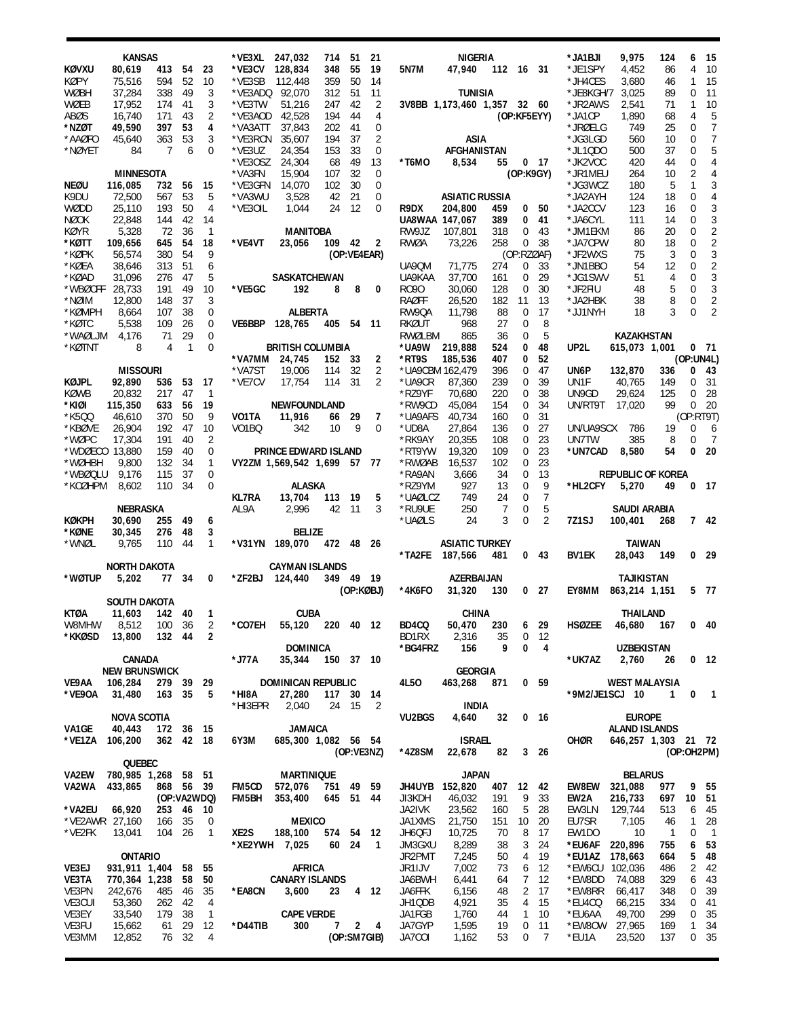|                  | KANSAS                |            |                      |                   | *VE3XL             | 247,032                       | 714       | 51          | 21             |                  | NIGERIA                     |            |                            |                 | *JA1BJI          | 9,975                                 | 124            | 6           | 15              |
|------------------|-----------------------|------------|----------------------|-------------------|--------------------|-------------------------------|-----------|-------------|----------------|------------------|-----------------------------|------------|----------------------------|-----------------|------------------|---------------------------------------|----------------|-------------|-----------------|
| KØVXU            | 80,619                | 413        | 54                   | 23                | *VE3CV             | 128,834                       | 348       | 55          | 19             | 5N7M             | 47,940                      | 112 16 31  |                            |                 | *JE1SPY          | 4,452                                 | 86             | 4           | 10              |
| <b>KØPY</b>      | 75,516                | 594        | 52                   | 10                | *VE3SB             | 112,448                       | 359       | 50          | 14             |                  |                             |            |                            |                 | *JH4CES          | 3,680                                 | 46             | 1           | 15              |
| <b>WØBH</b>      | 37,284                | 338        | 49                   | 3                 | *VE3ADQ            | 92,070                        | 312       | 51          | 11             |                  | <b>TUNISIA</b>              |            |                            |                 | *JE8KGH/7        | 3,025                                 | 89             | 0           | 11              |
| WØEB             | 17,952                | 174        | 41                   | 3                 | *VE3TW             | 51,216                        | 247       | 42          | 2              |                  | 3V8BB 1,173,460 1,357 32 60 |            |                            |                 | *JR2AWS          | 2,541                                 | 71             | 1           | 10              |
| ABØS             | 16,740                | 171        | 43                   | 2                 | *VE3AOD            | 42,528                        | 194       | 44          | 4              |                  |                             |            | (OP:KF5EYY)                |                 | *JA1CP           | 1,890                                 | 68             | 4           | 5               |
| *NZØT            | 49,590                | 397        | 53                   | 4                 | *VA3ATT            | 37,843                        | 202       | 41          | 0              |                  |                             |            |                            |                 | *JRØELG          | 749                                   | 25             | 0           | 7               |
| *AAØFO           | 45,640                | 363        | 53                   | 3                 | *VE3RCN            | 35,607                        | 194       | 37          | 2              |                  | ASIA                        |            |                            |                 | *JG3LGD          | 560                                   | 10             | 0           | 7               |
| *NØYET           | 84                    | 7          | 6                    | 0                 | *VE3UZ             | 24,354                        | 153       | 33          | 0              |                  | AFGHANISTAN                 |            |                            |                 | *JL1QD0          | 500                                   | 37             | 0           | 5               |
|                  |                       |            |                      |                   | *VE3OSZ            | 24,304                        | 68        | 49          | 13             | *T6MO            | 8,534                       | 55         |                            | 0 <sub>17</sub> | *JK2VOC          | 420                                   | 44             | 0           | 4               |
|                  | <b>MINNESOTA</b>      |            |                      |                   | *VA3FN             | 15,904                        | 107       | 32          | 0              |                  |                             |            | (OP:K9GY)                  |                 | *JR1MEU          | 264                                   | 10             | 2           | 4               |
| <b>NEØU</b>      | 116,085               | 732        | 56                   | 15                | *VE3GFN            | 14,070                        | 102       | 30          | 0              |                  |                             |            |                            |                 | *JG3WCZ          | 180                                   | 5              | 1           | 3               |
| K9DU             | 72,500                | 567        | 53                   | 5                 | *VA3WU             | 3,528                         | 42        | 21          | 0              |                  | <b>ASIATIC RUSSIA</b>       |            |                            |                 | *JA2AYH          | 124                                   | 18             | 0           | 4               |
| WØDD             | 25,110                | 193        | 50                   | 4                 | *VE30IL            | 1,044                         | 24        | 12          | 0              | R9DX             | 204,800                     | 459        | 0                          | 50              | *JA2CCV          | 123                                   | 16             | 0           | 3               |
| <b>NØOK</b>      | 22,848                | 144        | 42                   | 14                |                    |                               |           |             |                | UA8WAA 147,067   |                             | 389        | 0                          | 41              | *JA6CYL          | 111                                   | 14             | 0           | 3               |
| <b>KØYR</b>      | 5,328                 | 72         | 36                   | 1                 |                    | <b>MANITOBA</b>               |           |             |                | RW9JZ            | 107,801                     | 318        | 0                          | 43              | *JM1EKM          | 86                                    | 20             | 0           | $\overline{2}$  |
| *KØTT            | 109,656               | 645        | 54                   | 18                | *VE4VT             | 23,056                        | 109 42    |             | $\overline{2}$ | RWØA             | 73,226                      | 258        | $\overline{0}$             | 38              | *JA7CPW          | 80                                    | 18             | 0           | $\overline{2}$  |
| *KØPK            | 56,574                | 380        | 54                   | 9                 |                    |                               |           | (OP:VE4EAR) |                |                  |                             |            | (OP:RZØAF)                 |                 | *JF2WXS          | 75                                    | 3              | 0           | 3               |
| *KØEA            | 38,646                | 313        | 51                   | 6                 |                    |                               |           |             |                | UA90M            | 71,775                      | 274        | 0                          | 33              | *JN1BBO          | 54                                    | 12             | 0           | $\overline{2}$  |
| *KØAD            | 31,096                | 276        | 47                   | 5                 |                    | SASKATCHEWAN                  |           |             |                | UA9KAA           | 37,700                      | 161        | 0                          | 29              | *JG1SWV          | 51                                    | 4              | 0           | 3               |
| *WBØCFF          | 28,733                | 191        | 49                   | 10                | *VE5GC             | 192                           | 8         | 8           | 0              | R090             | 30,060                      | 128        | 0                          | 30              | *JF2FIU          | 48                                    | 5              | 0           | 3               |
| *NØIM            | 12,800                | 148        | 37                   | 3                 |                    |                               |           |             |                | RAØFF            | 26,520                      | 182        | 11                         | 13              | *JA2HBK          | 38                                    | 8              | 0           | $\overline{2}$  |
| *KØMPH           | 8,664                 | 107        | 38                   | 0                 |                    | <b>ALBERTA</b>                |           |             |                | RW9QA            | 11,798                      | 88         | 0                          | 17              | *JJ1NYH          | 18                                    | 3              | 0           | 2               |
| *KØTC<br>*WAØLJM | 5,538                 | 109<br>71  | 26                   | 0<br>0            | VE6BBP             | 128,765                       | 405       | 54          | - 11           | RKØUT            | 968                         | 27         | $\mathbf 0$<br>$\mathbf 0$ | 8               |                  |                                       |                |             |                 |
|                  | 4,176<br>8            | 4          | 29<br>$\overline{1}$ | $\mathbf 0$       |                    | <b>BRITISH COLUMBIA</b>       |           |             |                | RWØLBM           | 865<br>219,888              | 36         | 0                          | 5<br>48         | UP2L             | KAZAKHSTAN                            |                |             | 0, 71           |
| *KØTNT           |                       |            |                      |                   | *VA7MM             | 24,745                        | 152       | 33          | 2              | *UA9W<br>*RT9S   |                             | 524<br>407 | 0                          | 52              |                  | 615,073 1,001                         |                | (OP:UN4L)   |                 |
|                  | <b>MISSOURI</b>       |            |                      |                   | *VA7ST             | 19,006                        | 114       | 32          | 2              |                  | 185,536<br>*UA9CBM 162,479  | 396        | 0                          | 47              | UN6P             | 132,870                               | 336            | 0           | 43              |
| KØJPL            | 92,890                | 536        | 53                   | 17                | *VE7CV             | 17,754                        | 114       | 31          | 2              | *UA9CR           | 87,360                      | 239        | 0                          | 39              | UN1F             | 40,765                                | 149            | 0           | 31              |
| KØWB             | 20,832                | 217        | 47                   | $\mathbf{1}$      |                    |                               |           |             |                | *RZ9YF           | 70,680                      | 220        | 0                          | 38              | UN9GD            | 29,624                                | 125            | 0           | 28              |
| *KIØI            | 115,350               | 633        | 56                   | 19                |                    | NEWFOUNDLAND                  |           |             |                | *RW9CD           | 45,084                      | 154        | 0                          | 34              | UN/RT9T          | 17,020                                | 99             | $\Omega$    | 20              |
| *K5QQ            | 46,610                | 370        | 50                   | 9                 | VO1TA              | 11,916                        | 66        | 29          | 7              | *UA9AFS          | 40,734                      | 160        | 0                          | 31              |                  |                                       |                | (OP:RT9T)   |                 |
| *KBØVE           | 26,904                | 192        | 47                   | 10                | VO <sub>1</sub> BQ | 342                           | 10        | 9           | $\mathbf 0$    | *UD8A            | 27,864                      | 136        | $\mathbf 0$                | 27              | UN/UA9SCX        | 786                                   | 19             | 0           | 6               |
| *WØPC            | 17,304                | 191        | 40                   | 2                 |                    |                               |           |             |                | *RK9AY           | 20,355                      | 108        | 0                          | 23              | UN7TW            | 385                                   | 8              | 0           | -7              |
| *WDØECO          | 13,880                | 159        | 40                   | 0                 |                    | PRINCE EDWARD ISLAND          |           |             |                | *RT9YW           | 19,320                      | 109        | $\mathbf 0$                | 23              | *UN7CAD          | 8,580                                 | 54             | 0           | 20              |
| *WØHBH           | 9,800                 | 132        | 34                   | $\mathbf{1}$      |                    | VY2ZM 1,569,542 1,699 57 77   |           |             |                | *RWØAB           | 16,537                      | 102        | $\mathbf 0$                | 23              |                  |                                       |                |             |                 |
| *WBØQLU          | 9,176                 | 115        | 37                   | 0                 |                    |                               |           |             |                | *RA9AN           | 3,666                       | 34         | $\mathbf 0$                | 13              |                  | <b>REPUBLIC OF KOREA</b>              |                |             |                 |
| *KCØHPM          | 8,602                 | 110        | 34                   | 0                 |                    | <b>ALASKA</b>                 |           |             |                | *RZ9YM           | 927                         | 13         | $\mathbf 0$                | 9               | *HL2CFY          | 5,270                                 | 49             |             | 0 <sub>17</sub> |
|                  |                       |            |                      |                   |                    |                               |           |             |                |                  |                             |            |                            |                 |                  |                                       |                |             |                 |
|                  |                       |            |                      |                   | <b>KL7RA</b>       | 13,704                        | 113       | 19          | 5              | *UAØLCZ          | 749                         | 24         | $\mathbf 0$                | $\overline{7}$  |                  |                                       |                |             |                 |
|                  | NEBRASKA              |            |                      |                   | AL9A               | 2,996                         | 42        | 11          | 3              | *RU9UE           | 250                         | 7          | $\mathbf 0$                | 5               |                  | SAUDI ARABIA                          |                |             |                 |
| <b>KØKPH</b>     | 30,690                | 255        | 49                   | 6                 |                    |                               |           |             |                | *UAØLS           | 24                          | 3          | 0                          | $\overline{2}$  | 7Z1SJ            | 100,401                               | 268            |             | 742             |
| *KØNE            | 30,345                | 276        | 48                   | 3                 |                    | BELIZE                        |           |             |                |                  |                             |            |                            |                 |                  |                                       |                |             |                 |
| *WNØL            | 9,765                 | 110        | 44                   | $\mathbf{1}$      |                    | *V31YN 189,070                | 472 48 26 |             |                |                  | <b>ASIATIC TURKEY</b>       |            |                            |                 |                  | TAIWAN                                |                |             |                 |
|                  |                       |            |                      |                   |                    |                               |           |             |                | *TA2FE           | 187,566                     | 481        | 0                          | 43              | BV1EK            | 28,043                                | 149            |             | 0 <sub>29</sub> |
|                  | <b>NORTH DAKOTA</b>   |            |                      |                   |                    | <b>CAYMAN ISLANDS</b>         |           |             |                |                  |                             |            |                            |                 |                  |                                       |                |             |                 |
| *WØTUP           | 5,202                 | 77         | 34                   | 0                 |                    | *ZF2BJ 124,440                | 349 49 19 |             |                |                  | AZERBAIJAN                  |            |                            |                 |                  | TAJIKISTAN                            |                |             |                 |
|                  |                       |            |                      |                   |                    |                               |           |             | (OP:KØBJ)      | *4K6F0           | 31,320                      | 130        |                            | 0 <sub>27</sub> | EY8MM            | 863,214 1,151                         |                |             | 5 77            |
|                  | SOUTH DAKOTA          |            |                      |                   |                    |                               |           |             |                |                  |                             |            |                            |                 |                  |                                       |                |             |                 |
| <b>KTØA</b>      | 11,603                | 142        | 40                   | 1                 |                    | <b>CUBA</b>                   |           |             |                |                  | <b>CHINA</b>                |            |                            |                 |                  | THAILAND                              |                |             |                 |
| W8MHW            | 8,512                 | 100 36     |                      | $\overline{2}$    |                    | *CO7EH 55,120 220 40 12 BD4CQ |           |             |                |                  | 50,470                      |            |                            |                 | 230 6 29 HSØZEE  | 46,680                                | 167            | $0$ 40      |                 |
| *KKØSD           | 13,800                | 132 44     |                      | 2                 |                    |                               |           |             |                | BD1RX            | 2,316                       | 35         |                            | 0 <sub>12</sub> |                  |                                       |                |             |                 |
|                  |                       |            |                      |                   |                    | <b>DOMINICA</b>               |           |             |                | *BG4FRZ          | 156                         | 9          | 0                          | $\overline{4}$  |                  | <b>UZBEKISTAN</b>                     |                |             |                 |
|                  | CANADA                |            |                      |                   | *J77A              | 35,344                        | 150 37 10 |             |                |                  |                             |            |                            |                 | *UK7AZ           | 2,760                                 | 26             |             | 0 <sub>12</sub> |
|                  | <b>NEW BRUNSWICK</b>  |            |                      |                   |                    |                               |           |             |                |                  | <b>GEORGIA</b>              |            |                            |                 |                  |                                       |                |             |                 |
| VE9AA            | 106,284               | 279 39 29  |                      |                   |                    | DOMINICAN REPUBLIC            |           |             |                | 4L50             | 463,268 871                 |            |                            | 0 <sub>59</sub> |                  | <b>WEST MALAYSIA</b>                  |                |             |                 |
| *VE9OA           | 31,480                | 163 35     |                      | 5                 | *HI8A              | 27,280                        | 117 30 14 |             |                |                  |                             |            |                            |                 | *9M2/JE1SCJ 10   |                                       | $\mathbf{1}$   |             | $0 \quad 1$     |
|                  |                       |            |                      |                   | *HI3EPR            | 2,040                         |           | 24 15       | 2              |                  | INDIA<br>4,640              |            |                            |                 |                  |                                       |                |             |                 |
| VA1GE            | NOVA SCOTIA<br>40,443 |            |                      |                   |                    | <b>JAMAICA</b>                |           |             |                | <b>VU2BGS</b>    |                             | 32         |                            | 0 <sub>16</sub> |                  | <b>EUROPE</b><br><b>ALAND ISLANDS</b> |                |             |                 |
| *VE1ZA           | 106,200               | 362 42 18  |                      |                   | 6Y3M               | 685,300 1,082 56 54           |           |             |                |                  | <b>ISRAEL</b>               |            |                            |                 | OHØR             | 646,257 1,303 21 72                   |                |             |                 |
|                  |                       |            |                      |                   |                    |                               |           |             | (OP:VE3NZ)     | *4Z8SM           | 22,678                      | 82         |                            | $3$ 26          |                  |                                       |                | (OP:OH2PM)  |                 |
|                  | QUEBEC                |            |                      |                   |                    |                               |           |             |                |                  |                             |            |                            |                 |                  |                                       |                |             |                 |
| VA2EW            | 780,985 1,268 58 51   |            |                      |                   |                    | <b>MARTINIQUE</b>             |           |             |                |                  | <b>JAPAN</b>                |            |                            |                 |                  | <b>BELARUS</b>                        |                |             |                 |
| VA2WA            | 433,865               | 868 56 39  |                      |                   | FM5CD              | 572,076                       | 751 49 59 |             |                | JH4UYB           | 152,820                     | 407        | 12 42                      |                 | <b>EW8EW</b>     | 321,088                               | 977            |             | 9 55            |
|                  |                       |            |                      | (OP:VA2WDQ)       | FM5BH              | 353,400                       | 645 51 44 |             |                | JI3KDH           | 46,032                      | 191        | 9                          | 33              | EW2A             | 216,733                               | 697            | 10 51       |                 |
| *VA2EU           | 66,920                | 253 46     |                      | 10                |                    |                               |           |             |                | JA2IVK           | 23,562                      | 160        | 5                          | 28              | EW3LN            | 129,744                               | 513            | 6           | 45              |
| *VE2AWR 27,160   |                       | 166 35     |                      | 0                 |                    | <b>MEXICO</b>                 |           |             |                | JA1XMS           | 21,750                      | 151        | 10 <sup>°</sup>            | 20              | EU7SR            | 7,105                                 | 46             | 1           | 28              |
| *VE2FK           | 13,041                | 104 26     |                      | $\overline{1}$    | XE2S               | 188,100                       | 574 54 12 |             |                | JH6QFJ           | 10,725                      | 70         | 8                          | 17              | EW1DO            | 10                                    | $\overline{1}$ | $\mathbf 0$ | $\overline{1}$  |
|                  |                       |            |                      |                   |                    | *XE2YWH 7,025                 |           | 60 24       | $\overline{1}$ | JM3GXU           | 8,289                       | 38         | 3                          | 24              | *EU6AF           | 220,896                               | 755            | 6           | 53              |
|                  | <b>ONTARIO</b>        |            |                      |                   |                    |                               |           |             |                | JR2PMT           | 7,245                       | 50         | 4                          | 19              | *EU1AZ           | 178,663                               | 664            | 5           | 48              |
| VE3EJ            | 931,911 1,404         |            |                      | 58 55             |                    | AFRICA                        |           |             |                | JR1IJV           | 7,002                       | 73         | 6                          | - 12            | *EW6CU 102,036   |                                       | 486            | 2           | 42              |
| VE3TA            | 770,364 1,238         |            | 58                   | 50                |                    | <b>CANARY ISLANDS</b>         |           |             |                | JA6BWH           | 6,441                       | 64         | $\overline{7}$             | 12              | *EW8DD           | 74,088                                | 329            | 6           | 43              |
| VE3PN            | 242,676               | 485        | 46                   | 35                | *EA8CN             | 3,600                         | 23        |             | 4 12           | JA6FFK           | 6,156                       | 48         | $\overline{2}$             | -17             | *EW8RR           | 66,417                                | 348            | 0<br>0      | 39              |
| VE3CUI<br>VE3EY  | 53,360<br>33,540      | 262<br>179 | 42<br>38             | 4<br>$\mathbf{1}$ |                    | <b>CAPE VERDE</b>             |           |             |                | JH1QDB<br>JA1FGB | 4,921<br>1,760              | 35<br>44   | 4<br>$\mathbf{1}$          | 15<br>10        | *EU4CQ<br>*EU6AA | 66,215<br>49,700                      | 334<br>299     | 0           | -41             |
| VE3FU            | 15,662                | 61         | 29                   | 12                | *D44TIB            | 300                           |           | 7 2 4       |                | JA7GYP           | 1,595                       | 19         | 0                          | 11              | *EW8OW           | 27,965                                | 169            | 1           | 35<br>34        |
| VE3MM            | 12,852                |            | 76 32                | 4                 |                    |                               |           |             | (OP:SM7GIB)    | JA7COI           | 1,162                       | 53         | 0                          | $\overline{7}$  | *EU1A            | 23,520                                | 137            |             | 0 35            |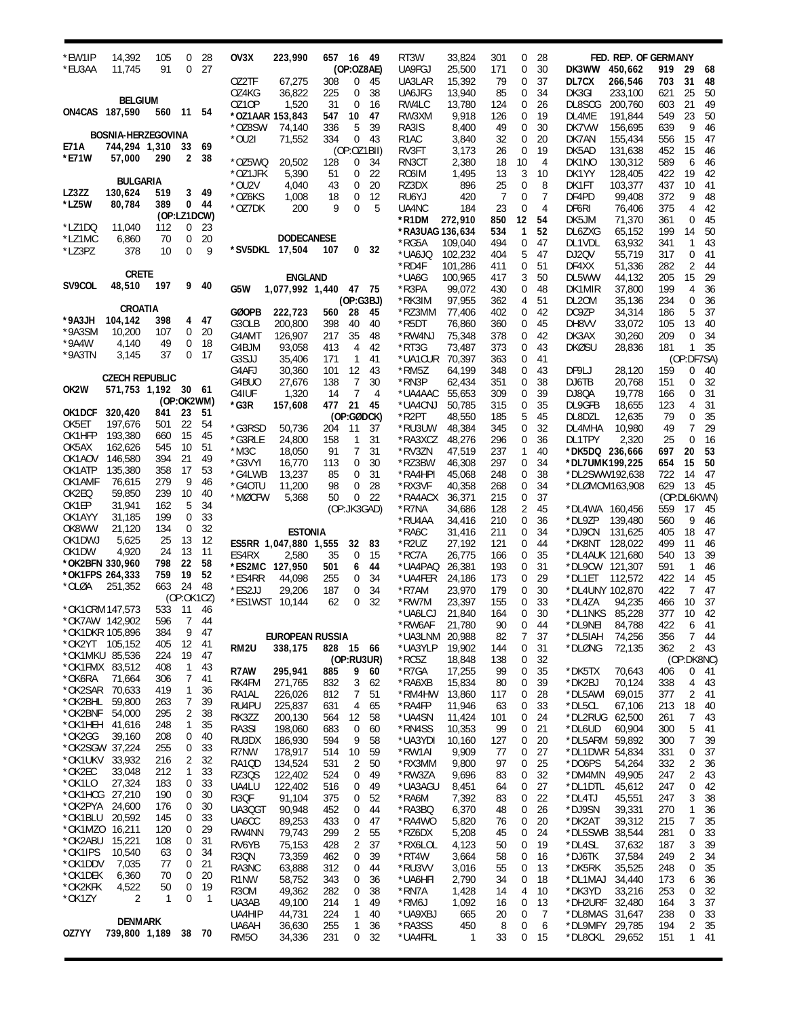| *EW1IP          | 14,392                    | 105 | 0              | 28              | OV3X                  | 223,990                |            | 657 16 49      |          | RT3W              | 33,824           | 301        | 0              | 28             |                  | FED. REP. OF GERMANY |            |                  |           |
|-----------------|---------------------------|-----|----------------|-----------------|-----------------------|------------------------|------------|----------------|----------|-------------------|------------------|------------|----------------|----------------|------------------|----------------------|------------|------------------|-----------|
| *EU3AA          | 11,745                    | 91  | 0              | 27              |                       |                        |            | (OP: 028AE)    |          | UA9FGJ            | 25,500           | 171        | 0              | 30             | DK3WW            | 450,662              | 919        | 29               | 68        |
|                 |                           |     |                |                 | OZ2TF                 | 67,275                 | 308        | 0              | 45       | UA3LAR            | 15,392           | 79         | 0              | 37             | DL7CX            | 266,546              | 703        | 31               | 48        |
|                 |                           |     |                |                 | OZ4KG                 | 36,822                 | 225        | 0              | 38       | UA6JFG            | 13,940           | 85         | 0              | 34             | DK3GI            | 233,100              | 621        | 25               | 50        |
|                 | <b>BELGIUM</b>            |     |                |                 | 0Z10P                 | 1,520                  | 31         | 0              | 16       | RW4LC             | 13,780           | 124        | 0              | 26             | DL8SCG           | 200,760              | 603        | 21               | 49        |
| ON4CAS 187,590  |                           | 560 | 11             | 54              |                       | *OZ1AAR 153,843        | 547        | 10             | 47       | RW3XM             | 9,918            | 126        | 0              | 19             | DL4ME            | 191,844              | 549        | 23               | 50        |
|                 |                           |     |                |                 | *OZ8SW                | 74,140                 | 336        | 5              | 39       | RA3IS             | 8,400            | 49         | 0              | 30             | DK7VW            | 156.695              | 639        | 9                | 46        |
|                 | <b>BOSNIA-HERZEGOVINA</b> |     |                |                 | *OU2I                 | 71,552                 | 334        | 0              | 43       | R <sub>1</sub> AC | 3,840            | 32         | 0              | 20             | DK7AN            | 155,434              | 556        | 15               | 47        |
| E71A            | 744,294 1,310             |     | 33             | 69              |                       |                        |            | (OP:OZ1BII)    |          | RV3FT             | 3,173            | 26         | 0              | 19             | DK5AD            | 131,638              | 452        | 15               | 46        |
| *E71W           | 57,000                    | 290 | 2              | 38              | *OZ5WQ                | 20,502                 | 128        | 0              | 34       | RN3CT             | 2,380            | 18         | 10             | $\overline{4}$ | DK1NO            | 130,312              | 589        | 6                | 46        |
|                 | <b>BULGARIA</b>           |     |                |                 | *OZ1JFK               | 5,390                  | 51         | 0              | 22       | RC6IM             | 1,495            | 13         | 3              | 10             | DK1YY            | 128,405              | 422        | 19               | 42        |
| LZ3ZZ           | 130,624                   | 519 | 3              | 49              | *OU2V                 | 4,040                  | 43         | 0              | 20       | RZ3DX             | 896              | 25         | 0              | 8              | DK1FT            | 103,377              | 437        | 10               | 41        |
| *LZ5W           | 80,784                    | 389 |                | 0 <sub>44</sub> | *OZ6KS                | 1,008                  | 18         | 0              | 12       | RU6YJ             | 420              | 7          | 0              | $\overline{7}$ | DF4PD            | 99,408               | 372        | 9                | 48        |
|                 |                           |     | (OP:LZ1DCW)    |                 | *OZ7DK                | 200                    | 9          | 0              | 5        | UA4NC             | 184              | 23         | 0              | $\overline{4}$ | DF6RI            | 76,406               | 375        | 4                | 42        |
| *LZ1DQ          | 11,040                    | 112 | 0              | 23              |                       |                        |            |                |          | *R1DM             | 272,910          | 850        | 12             | 54             | DK5JM            | 71,370               | 361        | $\mathbf 0$      | 45        |
| *LZ1MC          | 6,860                     | 70  | 0              | 20              |                       | <b>DODECANESE</b>      |            |                |          | *RA3UAG 136,634   |                  | 534        | 1              | 52             | DL6ZXG           | 65,152               | 199        | 14               | 50        |
| *LZ3PZ          | 378                       | 10  | 0              | 9               |                       | *SV5DKL 17,504         | 107        | 0              | 32       | *RG5A             | 109,040          | 494        | 0              | 47             | DL1VDL           | 63,932               | 341        | 1                | 43        |
|                 |                           |     |                |                 |                       |                        |            |                |          | *UA6JQ            | 102,232          | 404        | 5              | 47             | DJ2QV            | 55,719               | 317        | 0                | 41        |
|                 | <b>CRETE</b>              |     |                |                 |                       |                        |            |                |          | *RD4F             | 101,286          | 411        | 0              | 51             | DF4XX            | 51,336               | 282        | 2                | 44        |
| SV9COL          | 48,510                    | 197 |                | 9 40            |                       | <b>ENGLAND</b>         |            |                |          | *UA6G             | 100,965          | 417        | 3              | 50             | DL5WW            | 44,132               | 205        | 15               | 29        |
|                 |                           |     |                |                 | G5W                   | 1,077,992 1,440 47 75  |            |                |          | *R3PA             | 99,072           | 430        | 0              | 48             | DK1MIR           | 37,800               | 199        | 4<br>$\mathbf 0$ | 36        |
|                 | CROATIA                   |     |                |                 |                       |                        |            | (OP:G3BJ)      |          | *RK3IM            | 97,955           | 362        | 4              | 51             | DL20M            | 35,136               | 234        | 5                | 36        |
| $*9A3JH$        | 104,142                   | 398 | 4              | 47              | <b>GØOPB</b><br>G3OLB | 222,723<br>200,800     | 560<br>398 | 28<br>40       | 45<br>40 | *RZ3MM<br>*R5DT   | 77,406<br>76,860 | 402<br>360 | 0<br>0         | 42<br>45       | DC9ZP<br>DH8VV   | 34,314<br>33,072     | 186<br>105 | 13               | 37<br>40  |
| *9A3SM          | 10,200                    | 107 | 0              | 20              | G4AMT                 | 126,907                | 217        | 35             | 48       | *RW4NJ            | 75,348           | 378        | 0              | 42             | DK3AX            | 30,260               | 209        | 0                | 34        |
| $*9A4W$         | 4,140                     | 49  | 0              | 18              | G4BJM                 | 93,058                 | 413        | 4              | 42       | *RT3G             | 73,487           | 373        | 0              | 43             | <b>DKØSU</b>     | 28,836               | 181        | $\mathbf{1}$     | 35        |
| *9A3TN          | 3,145                     | 37  | 0              | 17              | G3SJJ                 | 35,406                 | 171        | $\mathbf{1}$   | 41       | *UA1CUR           | 70,397           | 363        | 0              | 41             |                  |                      |            | (OP:DF7SA)       |           |
|                 |                           |     |                |                 | G4AFJ                 | 30,360                 | 101        | 12             | 43       | *RM5Z             | 64,199           | 348        | 0              | 43             | DF9LJ            | 28,120               | 159        | 0                | 40        |
|                 | <b>CZECH REPUBLIC</b>     |     |                |                 | G4BUO                 | 27,676                 | 138        | 7              | 30       | *RN3P             | 62,434           | 351        | 0              | 38             | DJ6TB            | 20,768               | 151        | 0                | 32        |
| OK2W            | 571,753 1,192 30 61       |     |                |                 | G4IUF                 | 1,320                  | 14         | $\overline{7}$ | 4        | *UA4AAC           | 55,653           | 309        | 0              | 39             | DJ80A            | 19,778               | 166        | 0                | 31        |
|                 |                           |     | (OP:OK2WM)     |                 | *G3R                  | 157,608                | 477        | 21             | -45      | *UA4CNJ           | 50,785           | 315        | 0              | 35             | DL9GFB           | 18,655               | 123        | 4                | 31        |
| OK1DCF 320,420  |                           | 841 | 23             | 51              |                       |                        |            | (OP:GØDCK)     |          | *R2PT             | 48,550           | 185        | 5              | 45             | DL8DZL           | 12,635               | 79         | $\mathbf 0$      | 35        |
| OK5ET           | 197,676                   | 501 | 22             | 54              | *G3RSD                | 50,736                 | 204        | 11             | - 37     | *RU3UW            | 48,384           | 345        | 0              | 32             | DL4MHA           | 10,980               | 49         | $\overline{7}$   | 29        |
| OK1HFP          | 193,380                   | 660 | 15             | 45              | *G3RLE                | 24,800                 | 158        | $\mathbf{1}$   | 31       | *RA3XCZ           | 48,276           | 296        | 0              | 36             | DL1TPY           | 2,320                | 25         | $\mathbf 0$      | 16        |
| OK5AX           | 162,626                   | 545 | 10             | 51              | $*$ M3C               | 18,050                 | 91         | $\overline{7}$ | 31       | *RV3ZN            | 47,519           | 237        | 1              | 40             | *DK5DQ 236,666   |                      | 697        | 20               | 53        |
| OK1AOV          | 146,580                   | 394 | 21             | 49              | *G3VYI                | 16,770                 | 113        | 0              | 30       | *RZ3BW            | 46,308           | 297        | 0              | 34             | *DL7UMK 199,225  |                      | 654        | 15               | 50        |
| OK1ATP          | 135,380                   | 358 | 17             | 53              | *G4LWB                | 13,237                 | 85         | 0              | 31       | *RA4HPI           | 45,068           | 248        | 0              | 38             | *DL2SWW192,638   |                      | 722        | 14               | 47        |
| OK1AMF          | 76,615                    | 279 | 9              | 46              | *G40TU                | 11,200                 | 98         | 0              | 28       | *RX3VF            | 40,358           | 268        | 0              | 34             | *DLØMCM163,908   |                      | 629        | 13               | 45        |
| OK2EQ           | 59,850                    | 239 | 10             | 40              | *MØCFW                | 5,368                  | 50         | 0              | 22       | *RA4ACX           | 36,371           | 215        | 0              | 37             |                  |                      |            | (OP:DL6KWN)      |           |
| OK1EP           | 31,941                    | 162 | 5              | 34              |                       |                        |            | (OP:JK3GAD)    |          | *R7NA             | 34,686           | 128        | 2              | 45             | *DL4WA 160,456   |                      | 559        | 17               | 45        |
| OK1AYY          | 31,185                    | 199 | 0              | 33              |                       |                        |            |                |          | *RU4AA            | 34,416           | 210        | 0              | 36             | *DL9ZP           | 139,480              | 560        | 9                | 46        |
| OK8WW           | 21,120                    | 134 | 0              | 32              |                       | <b>ESTONIA</b>         |            |                |          | *RA6C             | 31,416           | 211        | 0              | 34             | *DJ9CN           | 131,625              | 405        | 18               | 47        |
| OK1DWJ          | 5,625                     | 25  | 13             | 12              |                       | ES5RR 1,047,880 1,555  |            | 32             | 83       | *R2UZ             | 27,192           | 121        | 0              | 44             | *DK8NT 128,022   |                      | 499        | 11               | 46        |
| OK1DW           | 4,920                     | 24  | 13             | 11              | ES4RX                 | 2,580                  | 35         | $\mathbf 0$    | 15       | *RC7A             | 26,775           | 166        | 0              | 35             | *DL4AUK 121,680  |                      | 540        | 13               | 39        |
| *OK2BFN 330,960 |                           | 798 | 22             | 58              |                       | *ES2MC 127,950         | 501        | 6              | 44       | *UA4PAQ           | 26,381           | 193        | 0              | 31             | *DL9CW 121,307   |                      | 591        | $\mathbf{1}$     | 46        |
| *OK1FPS 264,333 |                           | 759 | 19<br>24       | 52              | *ES4RR                | 44,098                 | 255        | 0              | 34       | *UA4FER           | 24,186           | 173        | 0              | 29             | *DL1ET           | 112,572              | 422        | 14               | 45        |
| *OLØA           | 251,352                   | 663 | (OP:OK1CZ)     | 48              | *ES2JJ                | 29,206                 | 187        | 0              | 34       | *R7AM             | 23,970           | 179        | 0              | 30             | *DL4UNY 102,870  |                      | 422        | 7                | 47        |
| *OK1CRM 147,573 |                           | 533 | $-11$          | 46              | *ES1WST               | 10,144                 | 62         | 0              | 32       | *RW7M             | 23,397           | 155        | 0              | 33             | *DL4ZA           | 94,235               | 466        | 10               | 37        |
| *OK7AW 142,902  |                           |     | 596 7          | 44              |                       |                        |            |                |          | *UA6LCJ           | 21,840           | 164        | 0              | 30             | *DL1NKS 85,228   |                      | 377        | 10               | -42       |
| *OK1DKR 105,896 |                           | 384 | 9              | 47              |                       |                        |            |                |          | *RW6AF            | 21,780           | 90         | $\mathbf 0$    | 44             | *DL9NEI          | 84,788               | 422        | 6                | 41        |
| *OK2YT 105,152  |                           | 405 | 12             | 41              |                       | <b>EUROPEAN RUSSIA</b> |            |                |          | *UA3LNM 20,988    |                  | 82         | $\overline{7}$ | 37             | *DL5IAH          | 74,256               | 356        | 7                | 44        |
| *OK1MKU 85,536  |                           | 224 | 19             | 47              | RM2U                  | 338,175                |            | 828 15 66      |          | *UA3YLP           | 19,902           | 144        | 0              | 31             | *DLØNG           | 72,135               | 362        |                  | 243       |
| *OK1FMX 83,512  |                           | 408 | $\mathbf{1}$   | 43              |                       |                        |            | (OP:RU3UR)     |          | $*$ RC5Z          | 18,848           | 138        | 0              | 32             |                  |                      |            | (OP:DK8NC)       |           |
| *OK6RA          | 71,664                    | 306 | 7              | 41              | R7AW<br>RK4FM         | 295,941<br>271,765     | 885<br>832 | 9<br>3         | 60<br>62 | *R7GA<br>*RA6XB   | 17,255<br>15,834 | 99<br>80   | 0              | 35<br>39       | *DK5TX<br>*DK2BJ | 70,643<br>70,124     | 406<br>338 | 0<br>4           | -41<br>43 |
| $*$ OK2SAR      | 70,633                    | 419 | $\mathbf{1}$   | 36              | RA1AL                 | 226,026                | 812        | 7              | 51       | *RM4HW            | 13,860           | 117        | 0<br>0         | 28             | *DL5AWI          | 69,015               | 377        | 2                | 41        |
| *OK2BHL         | 59,800                    | 263 | 7              | 39              | RU4PU                 | 225,837                | 631        | 4              | 65       | *RA4FP            | 11,946           | 63         | 0              | 33             | *DL5CL           | 67,106               | 213        | 18               | 40        |
| *OK2BNF         | 54,000                    | 295 | 2              | 38              | RK3ZZ                 | 200,130                | 564        | 12             | 58       | *UA4SN            | 11,424           | 101        | 0              | 24             | *DL2RUG          | 62,500               | 261        | 7                | 43        |
| *OK1HEH         | 41,616                    | 248 | $\mathbf{1}$   | 35              | RA3SI                 | 198,060                | 683        | 0              | 60       | *RN4SS            | 10,353           | 99         | 0              | 21             | *DL6UD           | 60,904               | 300        | 5                | 41        |
| *OK2GG          | 39,160                    | 208 | 0              | 40              | RU3DX                 | 186,930                | 594        | 9              | 58       | *UA3YDI           | 10,160           | 127        | 0              | 20             | *DL5ARM 59,892   |                      | 300        | 7                | 39        |
| *OK2SGW 37,224  |                           | 255 | 0              | 33              | R7NW                  | 178,917                | 514        | 10             | 59       | *RW1AI            | 9,909            | 77         | 0              | 27             | *DL1DWR 54,834   |                      | 331        | 0                | 37        |
| *OK1UKV         | 33,932                    | 216 | $\overline{c}$ | 32              | RA1QD                 | 134,524                | 531        | 2              | 50       | *RX3MM            | 9,800            | 97         | 0              | 25             | *DO6PS           | 54,264               | 332        | 2                | 36        |
| *OK2EC          | 33,048                    | 212 | 1              | 33              | <b>RZ30S</b>          | 122,402                | 524        | 0              | 49       | *RW3ZA            | 9,696            | 83         | 0              | 32             | *DM4MN           | 49,905               | 247        | 2                | 43        |
| *OK1LO          | 27,324                    | 183 | 0              | 33              | UA4LU                 | 122,402                | 516        | 0              | 49       | *UA3AGU           | 8,451            | 64         | 0              | 27             | *DL1DTL          | 45,612               | 247        | 0                | 42        |
| *OK1HCG 27,210  |                           | 190 | 0              | 30              | R3QF                  | 91,104                 | 375        | 0              | 52       | *RA6M             | 7,392            | 83         | 0              | 22             | *DL4TJ           | 45,551               | 247        | 3                | 38        |
| *OK2PYA         | 24,600                    | 176 | 0              | 30              | UA3QGT                | 90,948                 | 452        | 0              | 44       | *RA3BQ            | 6,370            | 48         | 0              | 26             | *DJ9SN           | 39,331               | 270        | 1                | 36        |
| *OK1BLU         | 20,592                    | 145 | 0              | 33              | UA6CC                 | 89,253                 | 433        | 0              | 47       | *RA4WO            | 5,820            | 76         | 0              | 20             | *DK2AT           | 39,312               | 215        | 7                | 35        |
| *OK1MZO 16,211  |                           | 120 | 0              | 29              | RW4NN                 | 79,743                 | 299        | 2              | 55       | *RZ6DX            | 5,208            | 45         | 0              | 24             | *DL5SWB 38,544   |                      | 281        | 0                | 33        |
| *OK2ABU         | 15,221                    | 108 | 0              | 31              | RV6YB                 | 75,153                 | 428        | 2              | 37       | *RX6LOL           | 4,123            | 50         | 0              | 19             | *DL4SL           | 37,632               | 187        | 3                | 39        |
| *OK1IPS         | 10,540                    | 63  | 0              | 34              | R3QN                  | 73,359                 | 462        | 0              | 39       | *RT4W             | 3,664            | 58         | 0              | 16             | *DJ6TK           | 37,584               | 249        | 2                | 34        |
| *OK1DDV         | 7,035                     | 77  | 0              | 21              | RA3NC                 | 63,888                 | 312        | 0              | 44       | *RU3VV            | 3,016            | 55         | 0              | 13             | *DK5RK           | 35,525               | 248        | 0                | 35        |
| *OK1DEK         | 6,360                     | 70  | 0              | 20              | R <sub>1</sub> NW     | 58,752                 | 343        | 0              | 36       | *UA6HFI           | 2,790            | 34         | 0              | 18             | *DL1MAJ          | 34,440               | 173        | 6                | 36        |
| *OK2KFK         | 4,522                     | 50  | 0              | 19              | R30M                  | 49,362                 | 282        | 0              | 38       | *RN7A             | 1,428            | 14         | 4              | 10             | *DK3YD           | 33,216               | 253        | 0                | 32        |
| *OK1ZY          | 2                         | 1   | 0              | $\mathbf{1}$    | UA3AB                 | 49,100                 | 214        | 1              | 49       | *RM6J             | 1,092            | 16         | 0              | 13             | *DH2URF          | 32,480               | 164        | 3                | 37        |
|                 |                           |     |                |                 | UA4HIP                | 44,731                 | 224        | 1              | 40       | *UA9XBJ           | 665              | 20         | 0              | 7              | *DL8MAS          | 31,647               | 238        | 0                | 33        |
| OZ7YY           | <b>DENMARK</b>            |     | 38 70          |                 | UA6AH                 | 36,630                 | 255        | 1              | 36       | *RA3SS            | 450              | 8          | 0              | 6              | *DL9MFY          | 29,785               | 194        | 2                | 35        |
|                 | 739,800 1,189             |     |                |                 | <b>RM50</b>           | 34,336                 | 231        | 0              | 32       | *UA4FRL           | 1                | 33         | 0              | 15             | *DL8CKL          | 29,652               | 151        | 1.               | 41        |
|                 |                           |     |                |                 |                       |                        |            |                |          |                   |                  |            |                |                |                  |                      |            |                  |           |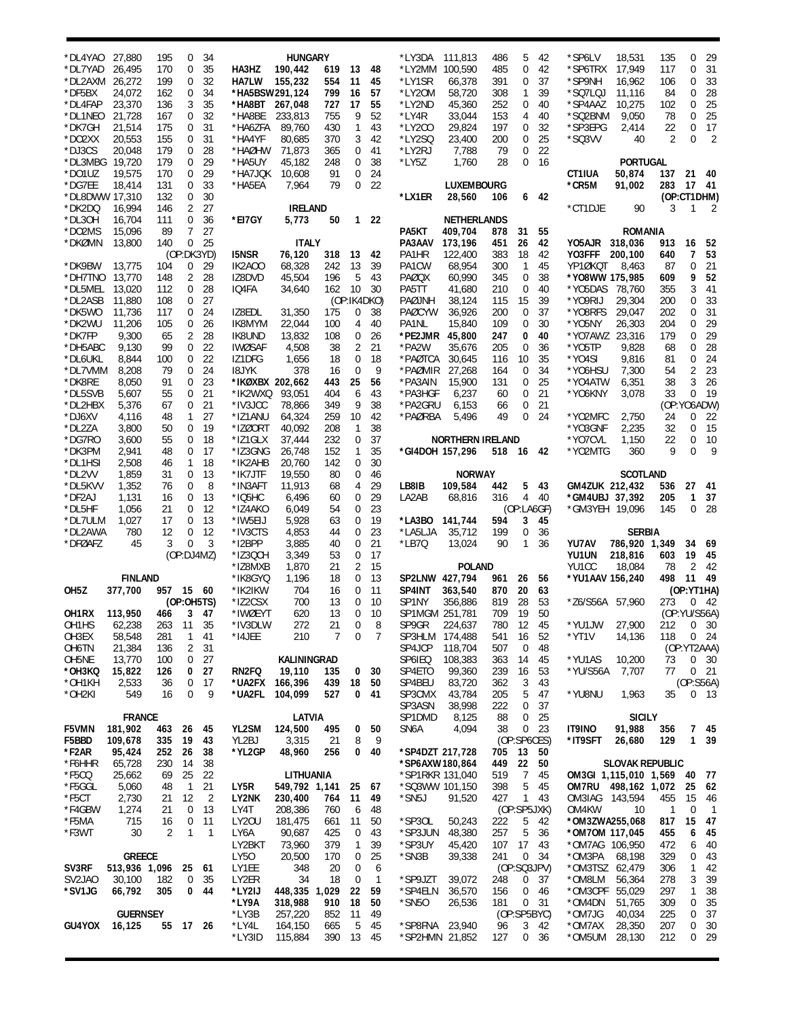| *DL4YAO                        | 27,880                    | 195        | 0               | 34           |                            | <b>HUNGARY</b>         |            |                  |                   | *LY3DA                            | 111,813                  | 486        | 5                           | 42              | *SP6LV                   | 18,531                                          | 135        | 0                    | 29                   |
|--------------------------------|---------------------------|------------|-----------------|--------------|----------------------------|------------------------|------------|------------------|-------------------|-----------------------------------|--------------------------|------------|-----------------------------|-----------------|--------------------------|-------------------------------------------------|------------|----------------------|----------------------|
| *DL7YAD<br>*DL2AXM             | 26,495<br>26,272          | 170<br>199 | 0<br>0          | 35<br>32     | HA3HZ<br><b>HA7LW</b>      | 190,442<br>155,232     | 619<br>554 | 13<br>11         | 48<br>45          | *LY2MM<br>*LY1SR                  | 100,590<br>66,378        | 485<br>391 | 0<br>0                      | 42<br>37        | *SP6TRX<br>*SP9NH        | 17,949<br>16,962                                | 117<br>106 | 0<br>0               | 31<br>33             |
| *DF5BX                         | 24,072                    | 162        | 0               | 34           | *HA5BSW291,124             |                        | 799        | 16               | 57                | *LY20M                            | 58.720                   | 308        | 1                           | 39              | *SQ7LQJ                  | 11,116                                          | 84         | 0                    | 28                   |
| *DL4FAP                        | 23,370                    | 136        | 3               | 35           | *HA8BT 267,048             |                        | 727        | 17               | 55                | *LY2ND                            | 45,360                   | 252        | 0                           | 40              | *SP4AAZ                  | 10,275                                          | 102        | 0                    | 25                   |
| *DL1NEO                        | 21,728                    | 167        | 0               | 32           | *HA8BE                     | 233,813                | 755        | 9                | 52                | *LY4R                             | 33,044                   | 153        | 4                           | 40              | *SQ2BNM                  | 9,050                                           | 78         | 0                    | 25                   |
| *DK7GH<br>*DO2XX               | 21,514<br>20,553          | 175<br>155 | 0<br>0          | 31<br>31     | *HA6ZFA<br>*HA4YF          | 89.760<br>80,685       | 430<br>370 | 1<br>3           | 43<br>42          | *LY2CO<br>*LY2SQ                  | 29,824<br>23,400         | 197<br>200 | 0<br>0                      | 32<br>25        | *SP3EPG<br>*SQ3VV        | 2,414<br>40                                     | 22<br>2    | 0<br>$\mathbf 0$     | 17<br>$\overline{2}$ |
| *DJ3CS                         | 20,048                    | 179        | 0               | 28           | *HAØHW                     | 71,873                 | 365        | 0                | 41                | *LY2RJ                            | 7,788                    | 79         | 0                           | 22              |                          |                                                 |            |                      |                      |
| *DL3MBG 19,720                 |                           | 179        | 0               | 29           | *HA5UY                     | 45,182                 | 248        | 0                | 38                | *LY5Z                             | 1,760                    | 28         | 0                           | 16              |                          | <b>PORTUGAL</b>                                 |            |                      |                      |
| *DO1UZ                         | 19,575                    | 170        | 0               | 29           | *HA7JQK                    | 10,608                 | 91         | 0                | 24                |                                   |                          |            |                             |                 | CT1IUA                   | 50,874                                          | 137 21     |                      | - 40                 |
| *DG7EE<br>*DL8DWW 17.310       | 18,414                    | 131<br>132 | 0<br>0          | 33<br>30     | *HA5EA                     | 7,964                  | 79         | 0                | 22                | *LX1ER                            | LUXEMBOURG<br>28,560     | 106        |                             | 6 42            | *CR5M                    | 91,002                                          | 283        | 17 41<br>(OP:CT1DHM) |                      |
| *DK2DQ                         | 16,994                    | 146        | 2               | 27           |                            | <b>IRELAND</b>         |            |                  |                   |                                   |                          |            |                             |                 | *CT1DJE                  | 90                                              | 3          | 1                    | 2                    |
| *DL3OH                         | 16,704                    | 111        | 0               | 36           | *EI7GY                     | 5,773                  | 50         |                  | $122$             |                                   | <b>NETHERLANDS</b>       |            |                             |                 |                          |                                                 |            |                      |                      |
| *DO2MS                         | 15,096                    | 89         | 7               | 27           |                            |                        |            |                  |                   | PA5KT                             | 409,704                  | 878        | 31                          | 55              |                          | <b>ROMANIA</b>                                  |            |                      |                      |
| *DKØMN                         | 13,800                    | 140        | 0<br>(OP:DK3YD) | - 25         | <b>I5NSR</b>               | <b>ITALY</b><br>76,120 | 318        | 13               | 42                | PA3AAV 173,196<br>PA1HR           | 122,400                  | 451<br>383 | 26<br>18                    | 42<br>42        | YO5AJR 318,036<br>YO3FFF | 200,100                                         | 913<br>640 | 16<br>7              | 52<br>53             |
| *DK9BW                         | 13,775                    | 104        | 0               | 29           | IK2AOO                     | 68,328                 | 242        | 13               | 39                | PA1CW                             | 68,954                   | 300        | 1                           | 45              | YP1ØKQT                  | 8,463                                           | 87         | 0                    | 21                   |
| *DH7TNO                        | 13,770                    | 148        | 2               | 28           | IZ8DVD                     | 45,504                 | 196        | 5                | 43                | PAØQX                             | 60,990                   | 345        | 0                           | 38              | *Y08WW 175,985           |                                                 | 609        | 9                    | 52                   |
| *DL5MEL                        | 13,020                    | 112        | 0               | 28           | IQ4FA                      | 34,640                 | 162        | 10               | 30                | PA5TT                             | 41,680                   | 210        | 0                           | 40              | *Y05DAS 78,760           |                                                 | 355        | 3                    | 41                   |
| *DL2ASB<br>*DK5WO              | 11,880<br>11,736          | 108<br>117 | 0<br>0          | 27<br>24     | IZ8EDL                     | 31,350                 | 175        | (OP:IK4DKO)<br>0 | 38                | PAØJNH<br><b>PAØCYW</b>           | 38,124<br>36,926         | 115<br>200 | 15<br>0                     | 39<br>37        | *Y09RIJ<br>*Y08RFS       | 29,304<br>29,047                                | 200<br>202 | 0<br>0               | 33<br>31             |
| *DK2WU                         | 11,206                    | 105        | 0               | 26           | IK8MYM                     | 22.044                 | 100        | 4                | 40                | PA1NL                             | 15,840                   | 109        | 0                           | 30              | *Y05NY                   | 26,303                                          | 204        | 0                    | 29                   |
| *DK7FP                         | 9,300                     | 65         | 2               | 28           | IK8UND                     | 13,832                 | 108        | 0                | 26                | *PE2JMR                           | 45,800                   | 247        | 0                           | 40              | *YO7AWZ 23,316           |                                                 | 179        | 0                    | 29                   |
| *DH5ABC                        | 9,130                     | 99         | 0               | 22           | <b>IWØSAF</b>              | 4,508                  | 38         | $\overline{2}$   | 21                | *PA2W                             | 35,676                   | 205        | 0                           | 36              | *Y05TP                   | 9,828                                           | 68         | 0                    | 28                   |
| *DL6UKL<br>*DL7VMM             | 8,844<br>8,208            | 100<br>79  | 0<br>0          | 22<br>24     | IZ1DFG<br>18JYK            | 1,656<br>378           | 18<br>16   | 0<br>$\mathbf 0$ | 18<br>9           | *PAØTCA<br>*PAØMIR                | 30,645<br>27,268         | 116<br>164 | 10<br>0                     | 35<br>34        | *Y04SI<br>*Y06HSU        | 9,816<br>7,300                                  | 81<br>54   | 0<br>$\sqrt{2}$      | 24<br>23             |
| *DK8RE                         | 8,050                     | 91         | 0               | 23           | *IKØXBX 202,662            |                        | 443        | 25               | 56                | *PA3AIN                           | 15,900                   | 131        | 0                           | 25              | *Y04ATW                  | 6,351                                           | 38         | 3                    | 26                   |
| *DL5SVB                        | 5,607                     | 55         | 0               | 21           | *IK2WXQ                    | 93,051                 | 404        | 6                | 43                | *PA3HGF                           | 6,237                    | 60         | 0                           | 21              | *YO6KNY                  | 3,078                                           | 33         | $\mathbf 0$          | 19                   |
| *DL2HBX                        | 5,376                     | 67         | 0               | 21           | *IV3JCC                    | 78,866                 | 349        | 9                | 38                | *PA2GRU                           | 6,153                    | 66         | 0                           | 21              |                          |                                                 |            | (OP:YO6ADW)          |                      |
| *DJ6XV<br>*DL2ZA               | 4,116<br>3,800            | 48<br>50   | 1<br>0          | 27<br>19     | *IZ1ANU<br>*IZØORT         | 64,324<br>40,092       | 259<br>208 | 10<br>1          | 42<br>38          | *PAØRBA                           | 5,496                    | 49         | $\mathbf 0$                 | 24              | *YO2MFC<br>*YO3GNF       | 2,750<br>2,235                                  | 24<br>32   | 0<br>0               | 22<br>15             |
| *DG7RO                         | 3,600                     | 55         | 0               | 18           | *IZ1GLX                    | 37,444                 | 232        | 0                | 37                |                                   | <b>NORTHERN IRELAND</b>  |            |                             |                 | *YO7CVL                  | 1,150                                           | 22         | 0                    | 10                   |
| *DK3PM                         | 2,941                     | 48         | 0               | 17           | *IZ3GNG                    | 26,748                 | 152        | 1                | 35                |                                   | *GI4DOH 157,296          | 518 16 42  |                             |                 | *YO2MTG                  | 360                                             | 9          | $\overline{0}$       | 9                    |
| *DL1HSI<br>*DL2VV              | 2,508                     | 46         | 1               | 18           | *IK2AHB                    | 20,760                 | 142        | 0                | 30                |                                   |                          |            |                             |                 |                          |                                                 |            |                      |                      |
| *DL5KVV                        | 1,859<br>1,352            | 31<br>76   | 0<br>0          | 13<br>8      | *IK7JTF<br>*IN3AFT         | 19,550<br>11,913       | 80<br>68   | 0<br>4           | 46<br>29          | LB8IB                             | <b>NORWAY</b><br>109,584 | 442        | 5                           | - 43            | GM4ZUK 212,432           | <b>SCOTLAND</b>                                 | 536        | 27                   | 41                   |
| *DF2AJ                         | 1,131                     | 16         | 0               | 13           | $*$ IQ5HC                  | 6,496                  | 60         | 0                | 29                | LA2AB                             | 68,816                   | 316        |                             | 4 40            | *GM4UBJ 37,392           |                                                 | 205        | 1                    | 37                   |
| *DL5HF                         | 1,056                     | 21         | 0               | 12           | *IZ4AKO                    | 6,049                  | 54         | 0                | 23                |                                   |                          |            | (OP:LA6GF)                  |                 | *GM3YEH 19,096           |                                                 | 145        | 0                    | 28                   |
| *DL7ULM                        | 1,027                     | 17         | 0<br>0          | 13<br>12     | *IW5EIJ                    | 5,928                  | 63         | 0<br>0           | 19<br>23          | *LA3BO                            | 141,744                  | 594        | 3                           | 45              |                          |                                                 |            |                      |                      |
| *DL2AWA<br>*DFØAFZ             | 780<br>45                 | 12<br>3    | 0               | 3            | *IV3CTS<br>*I2BPP          | 4,853<br>3,885         | 44<br>40   | 0                | 21                | *LA5LJA<br>*LB7Q                  | 35,712<br>13,024         | 199<br>90  | 0<br>1                      | 36<br>36        | YU7AV                    | <b>SERBIA</b><br>786,920 1,349                  |            | 34                   | 69                   |
|                                |                           |            | (OP:DJ4MZ)      |              | *IZ3QCH                    | 3,349                  | 53         | 0                | 17                |                                   |                          |            |                             |                 | YU1UN                    | 218,816                                         | 603        | 19                   | 45                   |
|                                |                           |            |                 |              | *IZ8MXB                    | 1,870                  | 21         | 2                | 15                |                                   | <b>POLAND</b>            |            |                             |                 | YU1CC                    | 18,084                                          | 78         | 2                    | -42                  |
| OH <sub>5</sub> Z              | <b>FINLAND</b><br>377,700 | 957 15 60  |                 |              | *IK8GYQ<br>*IK2IKW         | 1,196<br>704           | 18<br>16   | 0<br>0           | 13<br>11          | SP2LNW 427,794<br>SP4INT          | 363,540                  | 961<br>870 | 26<br>20                    | 56<br>63        | *YU1AAV 156,240          |                                                 | 498        | 11<br>(OP:YT1HA)     | 49                   |
|                                |                           |            | (OP:OH5TS)      |              | *IZ2CSX                    | 700                    | 13         | 0                | 10                | SP1NY                             | 356,886                  | 819        | 28                          | 53              | *Z6/S56A 57,960          |                                                 | 273        | 0                    | - 42                 |
| OH1RX                          | 113,950                   | 466        |                 | 3, 47        | *IWØEYT                    | 620                    | 13         | 0                | 10                | SP1MGM 251,781                    |                          | 709        | - 19                        | 50              |                          |                                                 |            | (OP:YU/S56A)         |                      |
| OH <sub>1</sub> H <sub>S</sub> | 62,238                    | 263        | 11              | 35           | *IV3DLW                    | 272                    | 21         | 0                | 8                 | SP9GR                             | 224,637                  | 780        | 12                          | 45              |                          | *YU1JW 27,900                                   | 212        |                      | 0 <sup>30</sup>      |
| OH3EX<br>OH6TN                 | 58,548<br>21,384          | 281<br>136 | 1<br>2          | 41<br>31     | *I4JEE                     | 210                    | 7          | 0                | 7                 | SP3HLM 174,488<br>SP4JCP          | 118,704                  | 541<br>507 | 16<br>0                     | 52<br>48        | *YT1V                    | 14,136                                          | 118        | (OP:YT2AAA)          | $0 \t24$             |
| OH5NE                          | 13,770                    | 100        | 0               | 27           |                            | KALININGRAD            |            |                  |                   | SP6IEQ                            | 108,383                  | 363        | 14                          | 45              | *YU1AS                   | 10,200                                          | 73         |                      | 0 <sup>30</sup>      |
| *OH3KQ                         | 15,822                    | 126        | 0               | 27           | RN2FQ                      | 19,110                 | 135        | 0                | 30                | SP4ETO                            | 99,360                   | 239        | 16                          | 53              | *YU/S56A                 | 7,707                                           | 77         |                      | $0$ 21               |
| *OH1KH                         | 2,533                     | 36         | 0               | -17          | *UA2FX 166,396             |                        | 439        | 18               | 50                | SP4BEU                            | 83,720                   | 362        | 3                           | 43              |                          |                                                 |            | (OP:SS6A)            |                      |
| *OH2KI                         | 549                       | 16         | 0               | 9            | *UA2FL                     | 104,099                | 527        | 0                | 41                | SP3CMX<br>SP3ASN                  | 43,784<br>38,998         | 205<br>222 | 5<br>0                      | 47<br>37        | *YU8NU                   | 1,963                                           | 35         |                      | 0 <sub>13</sub>      |
|                                | <b>FRANCE</b>             |            |                 |              |                            | LATVIA                 |            |                  |                   | SP1DMD                            | 8,125                    | 88         | 0                           | 25              |                          | <b>SICILY</b>                                   |            |                      |                      |
| <b>F5VMN</b>                   | 181,902                   | 463        | - 26            | 45           | YL2SM                      | 124,500                | 495        | 0                | 50                | SN6A                              | 4,094                    | 38         |                             | 0 <sub>23</sub> | IT9INO                   | 91,988                                          | 356        |                      | 7 45                 |
| F5BBD<br>*F2AR                 |                           |            | 19              | 43<br>38     | YL2BJ<br>*YL2GP            | 3.315<br>48,960        | 21<br>256  | 8<br>0           | 9<br>40           | *SP4DZT 217,728                   |                          | 705        | (OP:SP6CES)<br>13           | 50              | *IT9SFT                  | 26,680                                          | 129        | 1                    | - 39                 |
|                                | 109,678                   | 335        |                 |              |                            |                        |            |                  |                   |                                   |                          |            |                             |                 |                          |                                                 |            |                      |                      |
|                                | 95,424                    | 252        | 26              |              |                            |                        |            |                  |                   |                                   |                          |            |                             |                 |                          |                                                 |            |                      |                      |
| *F6HHR<br>*F5CQ                | 65,728<br>25,662          | 230<br>69  | 14<br>25        | 38<br>22     |                            | LITHUANIA              |            |                  |                   | *SP6AXW180,864<br>*SP1RKR 131,040 |                          | 449<br>519 | 22<br>$\overline{7}$        | 50<br>45        |                          | <b>SLOVAK REPUBLIC</b><br>OM3GI 1,115,010 1,569 |            | 40                   | 77                   |
| *F5GGL                         | 5,060                     | 48         | $\mathbf{1}$    | 21           | LY5R                       | 549,792 1,141          |            | 25               | 67                |                                   | *SQ3WW 101,150           | 398        | 5                           | 45              | OM7RU                    | 498,162 1,072                                   |            | 25                   | 62                   |
| *F5CT                          | 2,730                     | 21         | 12              | 2            | LY2NK                      | 230,400                | 764        | 11               | 49                | *SN5J                             | 91,520                   | 427        |                             | 143             | OM3IAG 143,594           |                                                 | 455        | 15                   | 46                   |
| *F4GBW<br>*F5MA                | 1,274<br>715              | 21<br>16   | 0<br>0          | 13<br>11     | LY4T<br>LY <sub>2</sub> 0U | 208,386<br>181,475     | 760<br>661 | 6<br>11          | 48<br>50          | *SP30L                            | 50,243                   | 222        | (OP:SP5JXK)                 | 42              | OM4KW                    | 10<br>*OM3ZWA255,068                            | 1<br>817   | 0<br>15              | $\overline{1}$       |
| *F3WT                          | 30                        | 2          | 1               | $\mathbf{1}$ | LY6A                       | 90,687                 | 425        | 0                | 43                | *SP3JUN                           | 48,380                   | 257        | 5<br>5                      | 36              | *OM7OM 117,045           |                                                 | 455        | 6                    | 47<br>45             |
|                                |                           |            |                 |              | LY2BKT                     | 73,960                 | 379        | 1                | 39                | *SP3UY                            | 45,420                   | 107        | 17                          | 43              | *OM7AG 106,950           |                                                 | 472        | 6                    | 40                   |
|                                | <b>GREECE</b>             |            |                 |              | LY50                       | 20,500                 | 170        | 0                | 25                | *SN3B                             | 39,338                   | 241        | 0                           | 34              | *OM3PA                   | 68,198                                          | 329        | 0                    | 43                   |
| SV3RF<br>SV <sub>2</sub> JAO   | 513,936 1,096<br>30,100   | 182        | 25<br>0         | 61<br>35     | LY1EE<br>LY2ER             | 348<br>34              | 20<br>18   | 0<br>0           | 6<br>$\mathbf{1}$ | *SP9JZT                           | 39,072                   | 248        | (OP:SQ3JPV)<br>0            | 37              | *OM3TSZ 62,479<br>*OM8LM | 56,364                                          | 306<br>278 | 1<br>3               | 42<br>39             |
| *SV1JG                         | 66,792                    | 305        | 0               | 44           | *LY2IJ                     | 448,335                | 1,029      | 22               | 59                | *SP4ELN                           | 36,570                   | 156        | 0                           | 46              | *OM3CPF                  | 55,029                                          | 297        | 1                    | 38                   |
|                                |                           |            |                 |              | *LY9A                      | 318,988                | 910        | 18               | 50                | *SN50                             | 26,536                   | 181        | 0                           | 31              | *OM4DN                   | 51,765                                          | 309        | 0                    | 35                   |
| GU4YOX                         | <b>GUERNSEY</b><br>16,125 | 55         | 17 26           |              | *LY3B<br>*LY4L             | 257,220<br>164,150     | 852<br>665 | 11<br>5          | 49<br>45          | *SP8FNA                           | 23,940                   | 96         | (OP:SP5BYC)<br>$\mathbf{3}$ | 42              | *OM7JG<br>*OM7AX         | 40,034<br>28,350                                | 225<br>207 | 0<br>0               | 37<br>30             |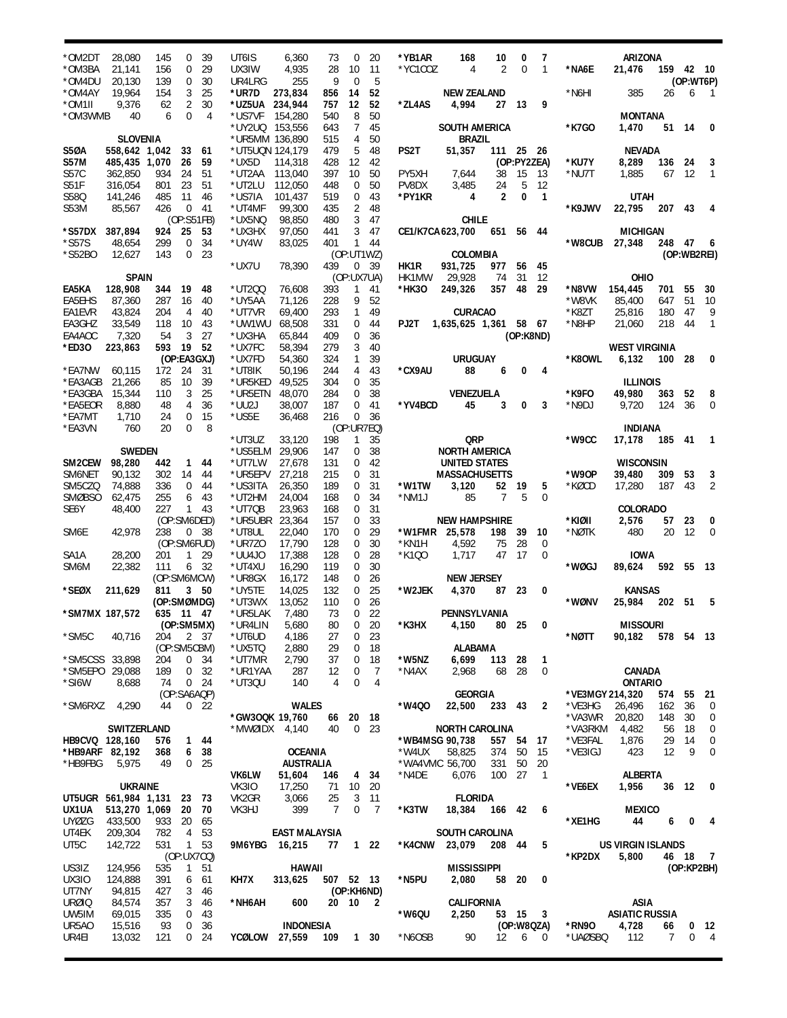| *OM2DT                              | 28,080                  | 145         | 0            | -39             | UT6IS                             | 6,360                | 73             | 0                                | 20                   | *YB1AR         | 168                         | 10             | 0           | 7                       |                 | ARIZONA                             |           |             |                 |
|-------------------------------------|-------------------------|-------------|--------------|-----------------|-----------------------------------|----------------------|----------------|----------------------------------|----------------------|----------------|-----------------------------|----------------|-------------|-------------------------|-----------------|-------------------------------------|-----------|-------------|-----------------|
| *OM3BA                              | 21,141                  | 156         | 0            | 29              | UX3IW                             | 4,935                | 28             | 10                               | 11                   | *YC1COZ        | 4                           | 2              | $\mathbf 0$ | $\mathbf{1}$            | *NA6E           | 21,476                              | 159 42 10 |             |                 |
| *OM4DU                              | 20,130                  | 139         | 0            | 30              | UR4LRG                            | 255                  | 9              | $\mathbf 0$                      | 5                    |                |                             |                |             |                         |                 |                                     |           | (OP:WT6P)   |                 |
| *OM4AY                              | 19,964                  | 154         | 3            | 25              | *ur7d                             | 273,834              | 856            | 14                               | 52                   |                | <b>NEW ZEALAND</b>          |                |             |                         | *N6HI           | 385                                 | 26        | 6           | $\overline{1}$  |
| *OM1II                              | 9,376                   | 62          | 2            | 30              | *UZ5UA 234,944                    |                      | 757            | 12                               | 52                   | *ZL4AS         | 4,994                       | 27 13          |             | 9                       |                 |                                     |           |             |                 |
| *OM3WMB                             | 40                      | 6           | 0            | 4               | *US7VF                            | 154,280              | 540            | 8                                | 50                   |                |                             |                |             |                         |                 | <b>MONTANA</b>                      |           |             |                 |
|                                     | <b>SLOVENIA</b>         |             |              |                 | *UY2UQ 153,556                    |                      | 643            | 7<br>4                           | 45<br>50             |                | SOUTH AMERICA               |                |             |                         | *K7GO           | 1,470                               |           | 51 14       | 0               |
| S5ØA                                | 558,642 1,042 33        |             |              | 61              | *UR5MM 136,890<br>*UT5UQN 124,179 |                      | 515<br>479     | 5                                | 48                   | PS2T           | <b>BRAZIL</b><br>51,357     | 111 25 26      |             |                         |                 | <b>NEVADA</b>                       |           |             |                 |
| <b>S57M</b>                         | 485,435 1,070           |             | 26           | 59              | *UX5D                             | 114,318              | 428            | 12                               | 42                   |                |                             |                | (OP:PY2ZEA) |                         | *KU7Y           | 8,289                               | 136       | - 24        | 3               |
| S57C                                | 362,850                 | 934         | 24           | 51              | *UT2AA                            | 113,040              | 397            | 10                               | 50                   | PY5XH          | 7,644                       | 38             | 15          | 13                      | *NU7T           | 1,885                               | 67        | -12         | 1               |
| S51F                                | 316,054                 | 801         | 23           | 51              | *UT2LU                            | 112,050              | 448            | $\mathbf 0$                      | 50                   | PV8DX          | 3,485                       | 24             | 5           | 12                      |                 |                                     |           |             |                 |
| S580                                | 141,246                 | 485         | -11          | 46              | *US7IA                            | 101,437              | 519            | 0                                | 43                   | *PY1KR         | 4                           | $\overline{2}$ | 0           | $\overline{1}$          |                 | <b>UTAH</b>                         |           |             |                 |
| S53M                                | 85,567                  | 426         | 0            | -41             | *UT4MF                            | 99,300               | 435            | 2                                | 48                   |                |                             |                |             |                         | *K9JWV          | 22,795                              | 207 43    |             | 4               |
|                                     |                         |             | (OP:S51FB)   |                 | *UX5NQ                            | 98,850               | 480            | 3                                | 47                   |                | <b>CHILE</b>                |                |             |                         |                 |                                     |           |             |                 |
| *S57DX                              | 387,894                 | 924         | - 25         | 53              | *UX3HX                            | 97,050               | 441            | 3                                | 47                   |                | CE1/K7CA 623,700            | 651 56 44      |             |                         |                 | <b>MICHIGAN</b>                     |           |             |                 |
| $*$ S57S                            | 48,654                  | 299         | 0            | 34              | *UY4W                             | 83,025               | 401            | 1                                | -44                  |                |                             |                |             |                         | *W8CUB          | 27,348                              | 248 47    |             | 6               |
| *S52BO                              | 12,627                  | 143         | 0            | 23              |                                   |                      |                |                                  | (OP:UT1WZ)           |                | COLOMBIA                    |                |             |                         |                 |                                     |           | (OP:WB2REI) |                 |
|                                     |                         |             |              |                 | *UX7U                             | 78,390               | 439            | 0                                | - 39                 | HK1R           | 931,725                     | 977            | 56          | 45                      |                 |                                     |           |             |                 |
| EA5KA                               | <b>SPAIN</b><br>128,908 | 344         | - 19         | 48              | *UT200                            | 76,608               | 393            | $\mathbf{1}$                     | (OP:UX7UA)<br>41     | HK1MW<br>*HK30 | 29,928<br>249,326           | 74<br>357      | 31<br>48    | 12<br>29                | *N8VW           | OHIO<br>154,445                     | 701 55    |             | 30              |
| EA5EHS                              | 87,360                  | 287         | 16           | 40              | *UY5AA                            | 71,126               | 228            | 9                                | 52                   |                |                             |                |             |                         | *W8VK           | 85,400                              | 647       | 51          | 10              |
| EA1EVR                              | 43,824                  | 204         | 4            | 40              | *UT7VR                            | 69.400               | 293            | $\mathbf{1}$                     | 49                   |                | <b>CURACAO</b>              |                |             |                         | *K8ZT           | 25,816                              | 180       | 47          | 9               |
| EA3GHZ                              | 33,549                  | 118         | 10           | 43              | *UW1WU                            | 68,508               | 331            | 0                                | 44                   | PJ2T           | 1,635,625 1,361 58 67       |                |             |                         | *N8HP           | 21,060                              | 218       | 44          | $\mathbf{1}$    |
| EA4AOC                              | 7,320                   | 54          | 3            | 27              | *UX3HA                            | 65,844               | 409            | 0                                | 36                   |                |                             |                | (OP:K8ND)   |                         |                 |                                     |           |             |                 |
| *ED30                               | 223,863                 | 593         | - 19         | 52              | *UX7FC                            | 58,394               | 279            | 3                                | 40                   |                |                             |                |             |                         |                 | <b>WEST VIRGINIA</b>                |           |             |                 |
|                                     |                         |             | (OP:EA3GXJ)  |                 | *UX7FD                            | 54,360               | 324            | $\mathbf{1}$                     | 39                   |                | <b>URUGUAY</b>              |                |             |                         | *K8OWL          | 6,132                               | 100 28    |             | 0               |
| *EA7NW                              | 60,115                  | 172         | 24           | 31              | *UT8IK                            | 50,196               | 244            | 4                                | 43                   | *CX9AU         | 88                          | 6              | 0           | 4                       |                 |                                     |           |             |                 |
| *EA3AGB                             | 21,266                  | 85          | 10           | 39              | *UR5KED                           | 49,525               | 304            | $\mathbf 0$                      | 35                   |                |                             |                |             |                         |                 | <b>ILLINOIS</b>                     |           |             |                 |
| *EA3GBA                             | 15,344                  | 110         | 3            | 25              | *UR5ETN                           | 48.070               | 284            | 0                                | 38                   |                | <b>VENEZUELA</b>            |                |             |                         | *K9FO           | 49,980                              | 363       | 52          | 8               |
| *EA5EOR                             | 8,880                   | 48          | 4            | 36              | *UU2J                             | 38,007               | 187            | 0                                | 41                   | *YV4BCD        | 45                          | 3              | 0           | 3                       | *N9DJ           | 9,720                               | 124       | 36          | 0               |
| *EA7MT                              | 1,710                   | 24          | 0            | 15              | *US5E                             | 36,468               | 216            | 0                                | 36                   |                |                             |                |             |                         |                 |                                     |           |             |                 |
| *EA3VN                              | 760                     | 20          | 0            | 8               |                                   |                      |                |                                  | (OP:UR7EQ)           |                |                             |                |             |                         |                 | <b>INDIANA</b>                      |           |             |                 |
|                                     | <b>SWEDEN</b>           |             |              |                 | *UT3UZ<br>*US5ELM 29,906          | 33,120               | 198            | 1<br>0                           | 35<br>38             |                | QRP<br><b>NORTH AMERICA</b> |                |             |                         | *W9CC           | 17,178                              | 185 41    |             | $\overline{1}$  |
| SM2CEW                              | 98,280                  | 442         |              | 1 44            | *UT7LW                            | 27,678               | 147<br>131     | 0                                | 42                   |                | UNITED STATES               |                |             |                         |                 | <b>WISCONSIN</b>                    |           |             |                 |
| SM6NET                              | 90,132                  | 302         | 14           | 44              | *UR5EPV 27,218                    |                      | 215            | 0                                | 31                   |                | <b>MASSACHUSETTS</b>        |                |             |                         | *W90P           | 39,480                              | 309       | 53          | 3               |
| SM5CZQ                              | 74,888                  | 336         | 0            | 44              | *US3ITA                           | 26,350               | 189            | 0                                | 31                   | *W1TW          | 3,120                       | 52 19          |             | 5                       | *KØCD           | 17,280                              | 187       | 43          | 2               |
| <b>SMØBSO</b>                       | 62,475                  | 255         | 6            | 43              | *UT2HM                            | 24,004               | 168            | 0                                | 34                   | *NM1J          | 85                          | $\overline{7}$ | 5           | 0                       |                 |                                     |           |             |                 |
| SE6Y                                | 48,400                  | 227         | $\mathbf{1}$ | -43             | *UT7QB                            | 23,963               | 168            | 0                                | 31                   |                |                             |                |             |                         |                 | <b>COLORADO</b>                     |           |             |                 |
|                                     |                         | (OP:SM6DED) |              |                 | *UR5UBR 23,364                    |                      | 157            | 0                                | 33                   |                | <b>NEW HAMPSHIRE</b>        |                |             |                         | *KIØII          | 2,576                               |           | 57 23       | 0               |
| SM <sub>6</sub> E                   | 42,978                  | 238         |              | 0 <sup>38</sup> | *UT8UL                            | 22,040               | 170            | 0                                | 29                   |                | *W1FMR 25,578               | 198            | 39          | 10                      | *NØTK           | 480                                 | 20        | -12         | $\mathbf 0$     |
|                                     |                         |             | (OP:SM6FUD)  |                 | *UR7Z0                            | 17,790               | 128            | 0                                | 30                   | *KN1H          | 4,592                       | 75             | 28          | $\mathbf 0$             |                 |                                     |           |             |                 |
| SA <sub>1</sub> A                   | 28,200                  | 201         | $\mathbf{1}$ | 29              | *UU4J0                            | 17,388               | 128            | $\mathbf 0$                      | 28                   | *K100          | 1,717                       | 47             | -17         | $\mathbf 0$             |                 | <b>IOWA</b>                         |           |             |                 |
| SM6M                                | 22,382                  | 111         |              | 6 32            | *UT4XU                            | 16,290               | 119            | $\mathbf 0$                      | 30                   |                |                             |                |             |                         | *WØGJ           | 89,624                              | 592 55    |             | - 13            |
|                                     |                         | (OP:SM6MCW) |              |                 | *UR8GX                            | 16.172               | 148            | $\mathbf 0$                      | 26                   |                | <b>NEW JERSEY</b>           |                |             |                         |                 |                                     |           |             |                 |
| *SEØX                               | 211,629                 | 811         |              | $3\quad 50$     | *UY5TE                            | 14,025               | 132            | 0                                | 25                   | *W2JEK         | 4,370                       | 87 23          |             | 0                       |                 | <b>KANSAS</b>                       |           |             |                 |
|                                     |                         | (OP:SMØMDG) |              |                 | *UT3WX                            | 13,052               | 110            | 0                                | 26                   |                |                             |                |             |                         | *WØNV           | 25,984                              | 202 51    |             | - 5             |
| *SM7MX 187,572                      |                         | 635 11 47   |              |                 | *UR5LAK                           | 7,480                | 73             | $\mathbf 0$                      | 22                   |                | PENNSYLVANIA                |                |             | 80  25  0               |                 |                                     |           |             |                 |
| *SM5C                               | 40,716                  | 204 2 37    | (OP:SM5MX)   |                 | *UR4LIN<br>*UT6UD                 | 5,680<br>4,186       | 80<br>27       | $\overline{0}$<br>$\overline{0}$ | 20<br>-23            | *K3HX          | 4,150                       |                |             |                         | *NØTT           | <b>MISSOURI</b><br>90,182 578 54 13 |           |             |                 |
|                                     |                         | (OP:SM5CBM) |              |                 | *UX5TQ                            | 2,880                | 29             | 0                                | 18                   |                | ALABAMA                     |                |             |                         |                 |                                     |           |             |                 |
| *SM5CSS 33,898                      |                         | 204         |              | 0, 34           | *UT7MR                            | 2,790                | 37             | 0                                | 18                   | *W5NZ          | 6,699                       | 113 28         |             | $\mathbf{1}$            |                 |                                     |           |             |                 |
| *SM5EPO 29,088                      |                         | 189         |              | 0 <sub>32</sub> | *UR1YAA                           | 287                  | 12             | 0                                | 7                    | *N4AX          | 2,968                       | 68             | 28          | $\mathbf 0$             |                 | CANADA                              |           |             |                 |
| *SI6W                               | 8,688                   | 74          |              | $0 \t24$        | *UT3QU                            | 140                  | $\overline{4}$ | $\mathbf 0$                      | $\overline{4}$       |                |                             |                |             |                         |                 | <b>ONTARIO</b>                      |           |             |                 |
|                                     |                         |             | (OP:SA6AQP)  |                 |                                   |                      |                |                                  |                      |                | GEORGIA                     |                |             |                         | *VE3MGY 214,320 |                                     | 574       | 55 21       |                 |
| *SM6RXZ 4,290                       |                         | 44          |              | 0 <sub>22</sub> |                                   | <b>WALES</b>         |                |                                  |                      | *W4Q0          | 22,500                      | 233 43         |             | 2                       | *VE3HG          | 26,496                              | 162       | 36          | 0               |
|                                     |                         |             |              |                 | *GW30QK 19,760                    |                      |                |                                  | 66 20 18             |                |                             |                |             |                         | *VA3WR          | 20,820                              | 148       | 30          | 0               |
|                                     | SWITZERLAND             |             |              |                 | *MWØIDX 4,140                     |                      | 40             |                                  | 0 <sub>23</sub>      |                | <b>NORTH CAROLINA</b>       |                |             |                         | *VA3RKM         | 4,482                               | 56        | 18          | 0               |
| HB9CVQ 128,160                      |                         | 576         |              | 1 44            |                                   |                      |                |                                  |                      |                | *WB4MSG 90,738              | 557 54         |             | 17                      | *VE3FAL         | 1,876                               | 29        | 14          | 0               |
| *HB9ARF 82,192                      |                         | 368         |              | 6 38            |                                   | <b>OCEANIA</b>       |                |                                  |                      | *W4UX          | 58,825                      | 374 50         |             | 15                      | *VE3IGJ         | 423                                 | 12        | 9           | 0               |
| *HB9FBG                             | 5,975                   | - 49        |              | 0 <sub>25</sub> |                                   | <b>AUSTRALIA</b>     |                |                                  |                      |                | *WA4VMC 56,700              | 331            | 50          | 20                      |                 |                                     |           |             |                 |
|                                     |                         |             |              |                 | VK6LW                             | 51,604               | 146            |                                  | 4 34                 | *N4DE          | 6,076                       | 100 27         |             | $\overline{1}$          |                 | <b>ALBERTA</b>                      |           |             |                 |
|                                     | <b>UKRAINE</b>          |             |              |                 | <b>VK310</b><br>VK2GR             | 17,250               | 71<br>25       |                                  | 10 20                |                | <b>FLORIDA</b>              |                |             |                         | *VE6EX          | 1,956                               |           | 36 12 0     |                 |
| UT5UGR 561,984 1,131 23 73<br>UX1UA | 513,270 1,069           |             | 20           | -70             | VK3HJ                             | 3,066<br>399         | $\overline{7}$ | 3<br>$\mathbf 0$                 | 11<br>$\overline{7}$ | *K3TW          | 18,384                      | 166 42 6       |             |                         |                 | <b>MEXICO</b>                       |           |             |                 |
| <b>UYØZG</b>                        | 433,500                 | 933         | -20          | 65              |                                   |                      |                |                                  |                      |                |                             |                |             |                         | *XE1HG          | 44                                  | 6         | 0           | $\overline{4}$  |
| UT4EK                               | 209,304                 | 782         | 4            | 53              |                                   | <b>EAST MALAYSIA</b> |                |                                  |                      |                | <b>SOUTH CAROLINA</b>       |                |             |                         |                 |                                     |           |             |                 |
| UT5C                                | 142,722                 | 531         |              | 1 53            | 9M6YBG                            | 16,215               | 77             |                                  | $122$                | *K4CNW         | 23,079                      | 208 44         |             | $-5$                    |                 | US VIRGIN ISLANDS                   |           |             |                 |
|                                     |                         |             | (OP:UX7CQ)   |                 |                                   |                      |                |                                  |                      |                |                             |                |             |                         | *KP2DX          | 5,800                               |           | 46 18 7     |                 |
| US3IZ                               | 124,956                 | 535         |              | 1 51            |                                   | HAWAII               |                |                                  |                      |                | <b>MISSISSIPPI</b>          |                |             |                         |                 |                                     |           | (OP:KP2BH)  |                 |
| <b>UX310</b>                        | 124,888                 | 391         |              | 6 61            | KH7X                              | 313,625              | 507 52 13      |                                  |                      | *N5PU          | 2,080                       |                | 58 20       | $\overline{\mathbf{0}}$ |                 |                                     |           |             |                 |
| UT7NY                               | 94,815                  | 427         | 3            | 46              |                                   |                      |                |                                  | (OP:KH6ND)           |                |                             |                |             |                         |                 |                                     |           |             |                 |
| <b>URØIQ</b>                        | 84,574                  | 357         | 3            | 46              | *NH6AH                            | 600                  |                |                                  | 20 10 2              |                | CALIFORNIA                  |                |             |                         |                 | ASIA                                |           |             |                 |
| UW5IM                               | 69,015                  | 335         | 0            | 43              |                                   |                      |                |                                  |                      | *W6QU          | 2,250                       |                | 53 15 3     |                         |                 | <b>ASIATIC RUSSIA</b>               |           |             |                 |
| UR5A0                               | 15,516                  | 93          | 0            | -36             |                                   | <b>INDONESIA</b>     |                |                                  |                      |                |                             |                |             | (OP:W8QZA)              | *RN90           | 4,728                               | 66        |             | 0 <sub>12</sub> |
| UR4EI                               | 13,032                  | 121         |              | $0 \t24$        | <b>YCØLOW 27,559</b>              |                      | 109 1 30       |                                  |                      | *N6OSB         | 90                          | 12             | 6           | $\overline{0}$          | *UAØSBQ         | 112                                 | 7         | 0           | - 4             |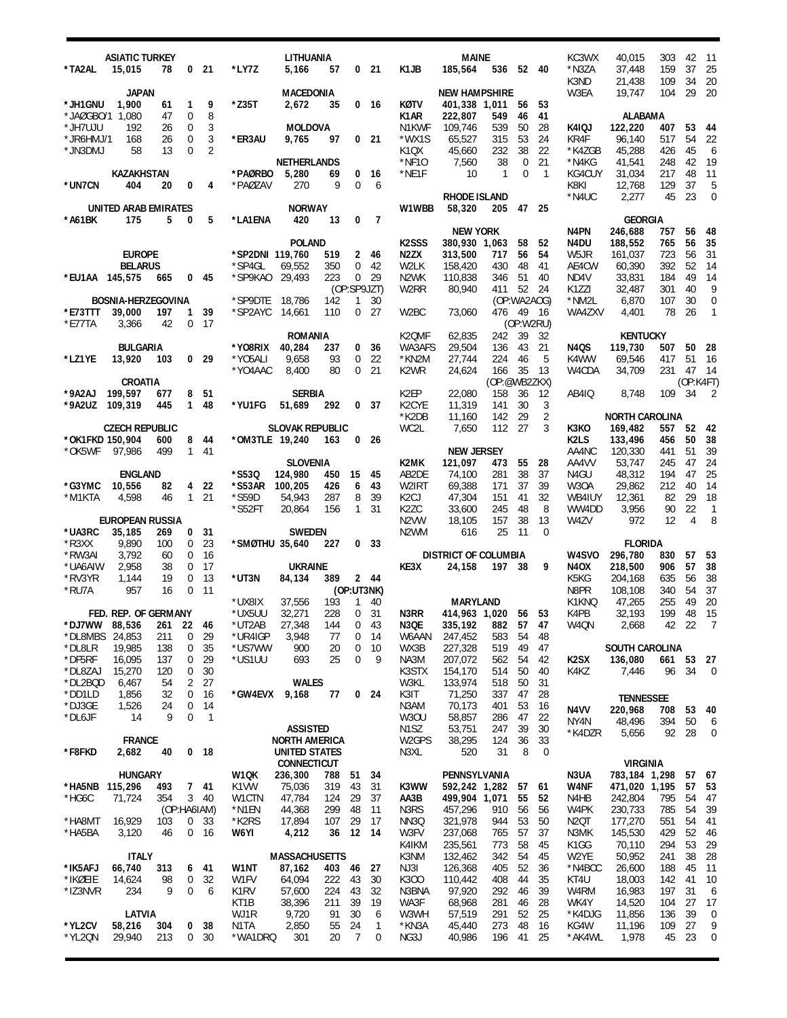| *TA2AL                                             | <b>ASIATIC TURKEY</b><br>15,015 | 78                   | 0                                 | - 21                 | *LY7Z              | LITHUANIA<br>5,166                           | 57         |                      | 0 <sub>21</sub>  | K1JB                                        | <b>MAINE</b><br>185,564                | 536                      |                      | 52 40                | KC3WX<br>*N3ZA<br>K3ND           | 40,015<br>37,448<br>21,438                    | 303<br>159<br>109       | 42<br>37<br>34       | -11<br>25<br>20              |
|----------------------------------------------------|---------------------------------|----------------------|-----------------------------------|----------------------|--------------------|----------------------------------------------|------------|----------------------|------------------|---------------------------------------------|----------------------------------------|--------------------------|----------------------|----------------------|----------------------------------|-----------------------------------------------|-------------------------|----------------------|------------------------------|
| *JH1GNU                                            | <b>JAPAN</b><br>1,900           | 61                   | $\mathbf{1}$                      | 9<br>8               | $*$ Z35T           | <b>MACEDONIA</b><br>2,672                    | 35         |                      | 0 <sub>16</sub>  | KØTV                                        | <b>NEW HAMPSHIRE</b><br>401,338 1,011  |                          | 56                   | 53                   | W3EA                             | 19,747                                        | 104                     | 29                   | 20                           |
| *JAØGBO/1 1,080<br>*JH7UJU<br>*JR6HMJ/1<br>*JN3DMJ | 192<br>168<br>58                | 47<br>26<br>26<br>13 | 0<br>0<br>$\mathbf 0$<br>$\Omega$ | 3<br>3<br>2          | *ER3AU             | MOLDOVA<br>9,765                             | 97         | 0                    | 21               | K1AR<br>N1KWF<br>*WX1S<br>K <sub>1</sub> QX | 222,807<br>109,746<br>65,527<br>45,660 | 549<br>539<br>315<br>232 | 46<br>50<br>53<br>38 | 41<br>28<br>24<br>22 | K4IQJ<br>KR4F<br>*K4ZGB          | <b>ALABAMA</b><br>122,220<br>96,140<br>45,288 | 407<br>517<br>426       | 53<br>54<br>45       | -44<br>22<br>-6              |
| *UN7CN                                             | <b>KAZAKHSTAN</b><br>404        | 20                   | 0                                 | 4                    | *PAØRBO<br>*PAØZAV | <b>NETHERLANDS</b><br>5,280<br>270           | 69<br>9    | 0<br>0               | 16<br>6          | *NF10<br>*NE1F                              | 7,560<br>10<br>RHODE ISLAND            | 38<br>$\mathbf{1}$       | 0<br>$\mathbf 0$     | 21<br>$\overline{1}$ | *N4KG<br>KG4CUY<br>K8KI<br>*N4UC | 41,541<br>31,034<br>12,768<br>2,277           | 248<br>217<br>129<br>45 | 42<br>48<br>37<br>23 | 19<br>11<br>5<br>$\mathbf 0$ |
| *A61BK                                             | UNITED ARAB EMIRATES<br>175     | 5                    | 0                                 | 5                    | *LA1ENA            | <b>NORWAY</b><br>420                         | 13         | 0                    | 7                | W1WBB                                       | 58,320                                 | 205                      | 47                   | 25                   |                                  | <b>GEORGIA</b>                                |                         |                      |                              |
|                                                    |                                 |                      |                                   |                      |                    | <b>POLAND</b>                                |            |                      |                  | K <sub>2</sub> SSS                          | <b>NEW YORK</b><br>380,930 1,063       |                          | 58                   |                      | N4PN                             | 246,688<br>188,552                            | 757<br>765              | 56<br>56             | 48<br>35                     |
|                                                    | <b>EUROPE</b>                   |                      |                                   |                      | *SP2DNI 119,760    |                                              | 519        | $\overline{2}$       | - 46             | N <sub>2</sub> ZX                           | 313,500                                | 717                      | 56                   | 52<br>54             | N4DU<br>W5JR                     | 161,037                                       | 723                     | 56                   | 31                           |
|                                                    | <b>BELARUS</b>                  |                      |                                   |                      | *SP4GL             | 69,552                                       | 350        | 0                    | 42               | W2LK                                        | 158,420                                | 430                      | 48                   | 41                   | AE4CW                            | 60,390                                        | 392                     | 52                   | -14                          |
| *EU1AA 145,575                                     |                                 | 665                  | 0                                 | 45                   | *SP9KAO            | 29,493                                       | 223        | 0                    | 29               | N <sub>2</sub> WK                           | 110,838                                | 346                      | 51                   | 40                   | ND4V                             | 33,831                                        | 184                     | 49                   | 14                           |
|                                                    |                                 |                      |                                   |                      |                    |                                              |            |                      | (OP:SP9JZT)      | W2RR                                        | 80,940                                 | 411                      | 52                   | 24                   | K1ZZI                            | 32,487                                        | 301                     | 40                   | 9                            |
|                                                    | <b>BOSNIA-HERZEGOVINA</b>       |                      |                                   |                      | *SP9DTE            | 18,786                                       | 142        | 1                    | 30               |                                             |                                        |                          | (OP:WA2AOG)          |                      | *NM2L                            | 6,870                                         | 107                     | 30                   | $\mathbf 0$                  |
| *E73TTT                                            | 39,000                          | 197                  | 1                                 | 39                   | *SP2AYC            | 14,661                                       | 110        | $\overline{0}$       | 27               | W <sub>2</sub> BC                           | 73,060                                 | 476 49                   |                      | - 16                 | WA4ZXV                           | 4,401                                         | 78                      | 26                   | $\overline{1}$               |
| *E77TA                                             | 3,366                           | 42                   | 0                                 | 17                   |                    |                                              |            |                      |                  |                                             |                                        |                          | (OP:W2RU)            |                      |                                  |                                               |                         |                      |                              |
|                                                    |                                 |                      |                                   |                      |                    | <b>ROMANIA</b>                               |            |                      |                  | K2QMF                                       | 62,835                                 | 242                      | 39                   | 32                   |                                  | <b>KENTUCKY</b>                               |                         |                      |                              |
|                                                    | <b>BULGARIA</b>                 |                      |                                   |                      | *Y08RIX            | 40,284                                       | 237        | 0                    | 36               | WA3AFS                                      | 29,504                                 | 136                      | 43                   | 21                   | N4QS                             | 119,730                                       | 507                     | 50                   | 28                           |
| *LZ1YE                                             | 13,920                          | 103                  |                                   | 0 <sub>29</sub>      | *Y05ALI            | 9,658                                        | 93         | 0                    | 22               | *KN2M                                       | 27,744                                 | 224                      | 46                   | 5                    | K4WW                             | 69,546                                        | 417                     | 51                   | 16                           |
|                                                    |                                 |                      |                                   |                      | *YO4AAC            | 8,400                                        | 80         | 0                    | 21               | K <sub>2</sub> W <sub>R</sub>               | 24,624                                 | 166                      | 35                   | 13                   | W4CDA                            | 34,709                                        | 231                     | 47                   | -14                          |
|                                                    | <b>CROATIA</b>                  |                      |                                   |                      |                    |                                              |            |                      |                  |                                             |                                        | (OP:@WB2ZKX)             |                      |                      |                                  |                                               |                         | (OP:K4FT)            |                              |
| *9A2AJ                                             | 199,597                         | 677<br>445           | 8<br>$\mathbf{1}$                 | 51<br>48             |                    | <b>SERBIA</b>                                |            |                      | 37               | K <sub>2</sub> EP                           | 22,080                                 | 158<br>141               | 36                   | 12                   | AB4IQ                            | 8,748                                         | 109                     | 34                   | 2                            |
| *9A2UZ                                             | 109,319                         |                      |                                   |                      | *YU1FG             | 51,689                                       | 292        | 0                    |                  | K <sub>2</sub> CYE<br>*K2DB                 | 11,319<br>11,160                       | 142                      | 30<br>29             | 3<br>2               |                                  | <b>NORTH CAROLINA</b>                         |                         |                      |                              |
|                                                    | <b>CZECH REPUBLIC</b>           |                      |                                   |                      |                    | <b>SLOVAK REPUBLIC</b>                       |            |                      |                  | WC2L                                        | 7,650                                  | 112                      | 27                   | 3                    | кзко                             | 169,482                                       | 557                     | 52 42                |                              |
| *OK1FKD 150,904                                    |                                 | 600                  | 8                                 | 44                   | *OM3TLE 19,240     |                                              | 163        | 0                    | 26               |                                             |                                        |                          |                      |                      | K <sub>2</sub> L <sub>S</sub>    | 133,496                                       | 456                     | 50                   | 38                           |
| *OK5WF                                             | 97,986                          | 499                  |                                   | 141                  |                    |                                              |            |                      |                  |                                             | <b>NEW JERSEY</b>                      |                          |                      |                      | AA4NC                            | 120,330                                       | 441                     | 51                   | 39                           |
|                                                    |                                 |                      |                                   |                      |                    | <b>SLOVENIA</b>                              |            |                      |                  | K2MK                                        | 121,097                                | 473                      | 55                   | 28                   | AA4VV                            | 53,747                                        | 245                     | 47                   | 24                           |
|                                                    | <b>ENGLAND</b>                  |                      |                                   |                      | *S53Q              | 124,980                                      | 450        | 15                   | 45               | AB2DE                                       | 74,100                                 | 281                      | 38                   | 37                   | N4GU                             | 48,312                                        | 194                     | 47                   | 25                           |
| *G3YMC                                             | 10,556                          | 82                   | 4                                 | 22                   | *S53AR             | 100,205                                      | 426        | 6                    | 43               | W2IRT                                       | 69,388                                 | 171                      | 37                   | 39                   | W <sub>3</sub> OA                | 29,862                                        | 212                     | 40                   | 14                           |
| *M1KTA                                             | 4,598                           | 46                   |                                   | $1 \quad 21$         | *S59D              | 54,943                                       | 287        | 8                    | 39               | K <sub>2</sub> CJ                           | 47,304                                 | 151                      | 41                   | 32                   | WB4IUY                           | 12,361                                        | 82                      | 29                   | 18                           |
|                                                    |                                 |                      |                                   |                      |                    |                                              |            |                      |                  |                                             |                                        |                          |                      |                      |                                  |                                               |                         |                      |                              |
|                                                    |                                 |                      |                                   |                      | *S52FT             | 20,864                                       | 156        | 1                    | 31               | K <sub>2</sub> ZC                           | 33,600                                 | 245                      | 48                   | 8                    | WW4DD                            | 3,956                                         | 90                      | 22                   | $\overline{1}$               |
|                                                    | <b>EUROPEAN RUSSIA</b>          |                      |                                   |                      |                    |                                              |            |                      |                  | N <sub>2</sub> VW                           | 18,105                                 | 157                      | 38                   | 13                   | W4ZV                             | 972                                           | 12                      | 4                    | 8                            |
| *UA3RC                                             | 35,185                          | 269                  | 0                                 | 31                   |                    | <b>SWEDEN</b>                                |            |                      |                  | N <sub>2</sub> WM                           | 616                                    | 25                       | 11                   | 0                    |                                  |                                               |                         |                      |                              |
| $*$ R3XX                                           | 9,890                           | 100                  | 0                                 | 23                   | *SMØTHU 35,640     |                                              | 227        | 0                    | -33              |                                             |                                        |                          |                      |                      |                                  | <b>FLORIDA</b>                                |                         |                      |                              |
| *RW3AI                                             | 3,792                           | 60                   | $\mathbf 0$                       | 16                   |                    |                                              |            |                      |                  |                                             | <b>DISTRICT OF COLUMBIA</b>            |                          |                      |                      | W4SVO                            | 296.780                                       | 830                     | 57                   | 53                           |
| *UA6AIW                                            | 2,958                           | 38                   | 0                                 | 17                   |                    | <b>UKRAINE</b>                               |            |                      |                  | KE3X                                        | 24,158                                 | 197 38                   |                      | 9                    | <b>N4OX</b>                      | 218,500                                       | 906                     | 57                   | 38                           |
| *RV3YR<br>*RU7A                                    | 1,144<br>957                    | 19<br>16             | $\mathbf 0$<br>0                  | 13<br>11             | *UT3N              | 84,134                                       | 389        |                      | 2 44             |                                             |                                        |                          |                      |                      | K5KG<br>N8PR                     | 204,168<br>108,108                            | 635<br>340              | 56<br>54             | 38                           |
|                                                    |                                 |                      |                                   |                      | *UX8IX             | 37,556                                       | 193        | 1                    | (OP:UT3NK)<br>40 |                                             | <b>MARYLAND</b>                        |                          |                      |                      | K1KNQ                            | 47,265                                        | 255                     | 49                   | 37<br>20                     |
|                                                    | FED. REP. OF GERMANY            |                      |                                   |                      | *UX5UU             | 32,271                                       | 228        | 0                    | 31               | N3RR                                        | 414,963 1,020 56                       |                          |                      | 53                   | K4PB                             | 32,193                                        | 199                     | 48                   | 15                           |
| *DJ7WW                                             | 88,536                          | 261                  | 22                                | 46                   | *UT2AB             | 27,348                                       | 144        | 0                    | 43               | N3QE                                        | 335,192                                | 882                      | 57                   | 41                   | W4QN                             | 2,668                                         | 42                      | 22                   | $\overline{7}$               |
| *DL8MBS                                            | 24,853                          | 211                  | 0                                 | 29                   | *UR4IGP            | 3,948                                        | 77         | 0                    | 14               | W6AAN                                       | 247,452                                | 583                      | 54                   | 48                   |                                  |                                               |                         |                      |                              |
| *DL8LR                                             | 19,985                          | 138                  | 0                                 | 35                   | *US7WW             | 900                                          | 20         | 0                    | 10               | WX3B                                        | 227,328                                | 519                      | 49                   | 47                   |                                  | <b>SOUTH CAROLINA</b>                         |                         |                      |                              |
| *DF5RF                                             | 16,095                          | 137                  | 0                                 | 29                   | *US1UU             | 693                                          | 25         | 0                    | 9                | NA3M                                        | 207,072                                | 562                      | 54                   | 42                   | K <sub>2</sub> SX                | 136,080                                       | 661                     | 53 27                |                              |
| *DL8ZAJ                                            | 15,270                          | 120                  | 0                                 | 30                   |                    |                                              |            |                      |                  | K3STX                                       | 154,170                                | 514                      | 50                   | 40                   | K4KZ                             | 7,446                                         | 96                      | 34                   | 0                            |
| *DL2BQD                                            | 6,467                           | 54                   | 2                                 | 27                   |                    | <b>WALES</b>                                 |            |                      |                  | W3KL                                        | 133,974                                | 518                      | 50                   | 31                   |                                  |                                               |                         |                      |                              |
| *DD1LD                                             | 1,856                           | 32<br>24             | 0<br>0                            | 16                   | *GW4EVX            | 9,168                                        | 77         | 0                    | -24              | K3IT                                        | 71,250                                 | 337                      | 47                   | 28                   |                                  | <b>TENNESSEE</b>                              |                         |                      |                              |
| *DJ3GE<br>*DL6JF                                   | 1,526<br>14                     | 9                    | $\mathbf 0$                       | 14<br>$\overline{1}$ |                    |                                              |            |                      |                  | N3AM<br><b>W30U</b>                         | 70,173<br>58,857                       | 401<br>286               | 53<br>47             | 16<br>22             | N4VV                             | 220,968                                       | 708                     | 53                   | 40                           |
|                                                    |                                 |                      |                                   |                      |                    | <b>ASSISTED</b>                              |            |                      |                  | N <sub>1</sub> SZ                           | 53,751                                 | 247                      | 39                   | 30                   | NY <sub>4</sub> N                | 48,496                                        | 394                     | 50                   | 6                            |
| *F8FKD                                             | <b>FRANCE</b><br>2,682          | 40                   | 0                                 | 18                   |                    | <b>NORTH AMERICA</b><br><b>UNITED STATES</b> |            |                      |                  | W <sub>2</sub> GPS<br>N3XL                  | 38,295<br>520                          | 124<br>31                | 36<br>8              | 33<br>0              | *K4DZR                           | 5,656                                         | 92                      | 28                   | 0                            |
|                                                    |                                 |                      |                                   |                      |                    | <b>CONNECTICUT</b>                           |            |                      |                  |                                             |                                        |                          |                      |                      |                                  | <b>VIRGINIA</b>                               |                         |                      |                              |
| *HA5NB                                             | <b>HUNGARY</b>                  | 493                  |                                   | 7 41                 | W1QK<br>K1VW       | 236,300<br>75,036                            | 788<br>319 | 51<br>43             | 34<br>31         | K3WW                                        | PENNSYLVANIA<br>592,242 1,282          |                          | 57                   | 61                   | N3UA<br>W4NF                     | 783,184 1,298<br>471,020 1,195                |                         | 57 67<br>57          |                              |
| *HG6C                                              | 115,296<br>71,724               | 354                  |                                   | 3 40                 | W1CTN              | 47,784                                       | 124        | 29                   | 37               | AA3B                                        | 499,904 1,071                          |                          | 55                   | 52                   | N4HB                             | 242,804                                       | 795                     | 54                   | 53<br>47                     |
|                                                    |                                 | (OP:HA6IAM)          |                                   |                      | *N1EN              | 44,368                                       | 299        | 48                   | 11               | N3RS                                        | 457,296                                | 910                      | 56                   | 56                   | W4PK                             | 230,733                                       | 785                     | 54                   | 39                           |
| *HA8MT                                             | 16,929                          | 103                  | $\mathbf 0$                       | 33                   | *K2RS              | 17,894                                       | 107        | 29                   | 17               | NN <sub>3</sub> Q                           | 321,978                                | 944                      | 53                   | 50                   | N <sub>2</sub> QT                | 177,270                                       | 551                     | 54                   | 41                           |
| *HA5BA                                             | 3,120                           | 46                   | 0                                 | 16                   | W6YI               | 4,212                                        | 36         | 12                   | -14              | W3FV                                        | 237,068                                | 765                      | 57                   | 37                   | N3MK                             | 145,530                                       | 429                     | 52                   | 46                           |
|                                                    |                                 |                      |                                   |                      |                    |                                              |            |                      |                  | K4IKM                                       | 235,561                                | 773                      | 58                   | 45                   | K <sub>1</sub> GG                | 70,110                                        | 294                     | 53                   | 29                           |
|                                                    | <b>ITALY</b>                    |                      |                                   |                      |                    | <b>MASSACHUSETTS</b>                         |            |                      |                  | K3NM                                        | 132,462                                | 342                      | 54                   | 45                   | W2YE                             | 50,952                                        | 241                     | 38                   | 28                           |
| *IK5AFJ                                            | 66,740                          | 313                  | 6                                 | 41                   | W1NT               | 87,162                                       | 403        | 46                   | 27               | NJ3I                                        | 126,368                                | 405                      | 52                   | 36                   | *N4BCC                           | 26,600                                        | 188                     | 45                   | 11                           |
| *IKØEIE                                            | 14,624<br>234                   | 98<br>9              | 0<br>0                            | 32<br>6              | W1FV               | 64,094                                       | 222        | 43                   | 30               | K300<br>N3BNA                               | 110,442                                | 408                      | 44                   | 35                   | KT4U                             | 18,003                                        | 142                     | 41                   | 10                           |
| *IZ3NVR                                            |                                 |                      |                                   |                      | K1RV<br>KT1B       | 57,600<br>38,396                             | 224<br>211 | 43<br>39             | 32<br>19         | WA3F                                        | 97,920<br>68,968                       | 292<br>281               | 46<br>46             | 39<br>28             | W4RM<br>WK4Y                     | 16,983<br>14,520                              | 197<br>104              | 31<br>27             | 6<br>17                      |
|                                                    | LATVIA                          |                      |                                   |                      | WJ1R               | 9,720                                        | 91         | 30                   | 6                | W3WH                                        | 57,519                                 | 291                      | 52                   | 25                   | *K4DJG                           | 11,856                                        | 136                     | 39                   | 0                            |
| *YL2CV<br>*YL2QN                                   | 58,216<br>29,940                | 304<br>213           | 0<br>0                            | 38<br>30             | N1TA<br>*WA1DRQ    | 2,850<br>301                                 | 55<br>20   | 24<br>$\overline{7}$ | 1<br>0           | *KN3A<br>NG3J                               | 45,440<br>40,986                       | 273<br>196               | 48<br>41             | 16<br>25             | KG4W<br>*AK4WL                   | 11,196<br>1,978                               | 109<br>45               | 27<br>23             | 9<br>0                       |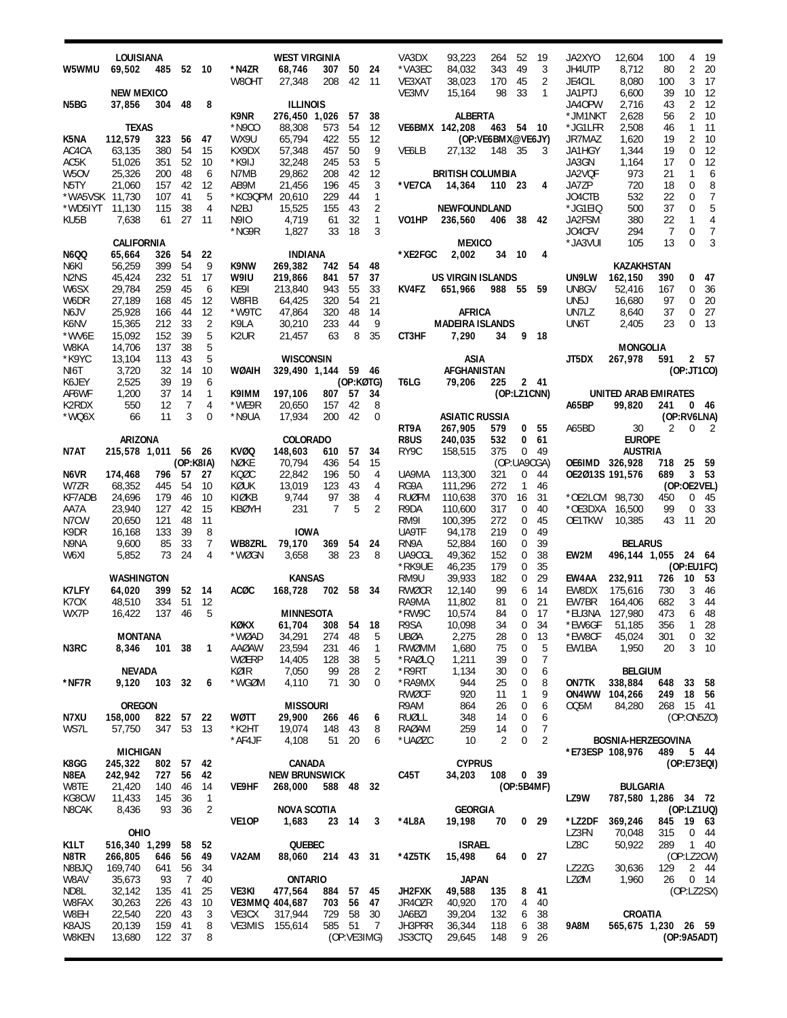|                               | LOUISIANA           |               |           |              |                   | <b>WEST VIRGINIA</b> |                |             |                | VA3DX                | 93,223                   | 264               | 52              | -19                   | JA2XYO          | 12,604               | 100            | 4              | 19              |
|-------------------------------|---------------------|---------------|-----------|--------------|-------------------|----------------------|----------------|-------------|----------------|----------------------|--------------------------|-------------------|-----------------|-----------------------|-----------------|----------------------|----------------|----------------|-----------------|
| W5WMU                         | 69,502              | 485           |           | 52 10        | *N4ZR             | 68,746               | 307            | 50          | 24             | *VA3EC               | 84,032                   | 343               | 49              | 3                     | JH4UTP          | 8,712                | 80             | $\overline{2}$ | 20              |
|                               |                     |               |           |              | W80HT             | 27,348               | 208            | 42          | - 11           | VE3XAT               | 38,023                   | 170               | 45              | 2                     | JE4CIL          | 8,080                | 100            | 3              | -17             |
|                               | <b>NEW MEXICO</b>   |               |           |              |                   |                      |                |             |                | VE3MV                | 15,164                   | 98                | 33              | 1                     | JA1PTJ          | 6,600                | 39             | 10             | -12             |
| N5BG                          | 37,856              | 304 48        |           | 8            |                   | <b>ILLINOIS</b>      |                |             |                |                      |                          |                   |                 |                       | JA40PW          | 2,716                | 43             | $\overline{2}$ | 12              |
|                               |                     |               |           |              | K9NR              | 276,450 1,026        |                | 57          | 38             |                      | <b>ALBERTA</b>           |                   |                 |                       | *JM1NKT         | 2,628                | 56             | $\overline{2}$ | 10              |
|                               | <b>TEXAS</b>        |               |           |              | *N9CO             | 88,308               | 573            | 54          | 12             |                      | VE6BMX 142,208           | 463 54 10         |                 |                       | *JG1LFR         | 2,508                | 46             | $\mathbf{1}$   | 11              |
| K5NA                          | 112,579             | 323           | 56        | -47          | WX9U              | 65.794               | 422            | 55          | 12             |                      |                          | (OP:VE6BMX@VE6JY) |                 |                       | JR7MAZ          | 1,620                | 19             | $\overline{2}$ | 10              |
| AC4CA                         | 63,135              | 380           | 54        | 15           | KX9DX             | 57,348               | 457            | 50          | 9              | VE6LB                | 27,132                   | 148 35            |                 | 3                     | JA1HGY          | 1,344                | 19             | 0              | - 12            |
| AC5K                          | 51,026              | 351           | 52        | 10           | *K9IJ             | 32,248               | 245            | 53          | 5              |                      |                          |                   |                 |                       | JA3GN           | 1,164                | 17             | $\mathbf 0$    | 12              |
| W <sub>5</sub> OV             | 25,326              | 200           | 48        | 6            | N7MB              | 29,862               | 208            | 42          | 12             |                      | <b>BRITISH COLUMBIA</b>  |                   |                 |                       | JA2VQF          | 973                  | 21             | 1              | 6               |
| N5TY                          | 21,060              | 157           | 42        | 12           | AB9M              | 21,456               | 196            | 45          | 3              | *VE7CA               | 14,364                   | 110 23            |                 | 4                     | JA7ZP           | 720                  | 18             | 0              | 8               |
| *WA5VSK 11,730                |                     | 107           | 41        | 5            |                   | *KC9QPM 20.610       | 229            | 44          | 1              |                      |                          |                   |                 |                       | JO4CTB          | 532                  | 22             | 0              | 7               |
| *WD5IYT                       | 11,130              | 115           | 38        | 4            | N <sub>2</sub> BJ | 15,525               | 155            | 43          | 2              |                      | <b>NEWFOUNDLAND</b>      |                   |                 |                       | *JG1EIQ         | 500                  | 37             | 0              | 5               |
| KU5B                          | 7,638               | 61            | 27        | -11          | N9I0              | 4,719                | 61             | 32          | 1              | VO1HP                | 236,560                  | 406 38 42         |                 |                       | JA2FSM          | 380                  | 22             | 1              | 4               |
|                               |                     |               |           |              | *NG9R             | 1,827                | 33             | 18          | 3              |                      |                          |                   |                 |                       | JO4CFV          | 294                  | 7              | $\mathbf 0$    | $\overline{7}$  |
|                               | <b>CALIFORNIA</b>   |               |           |              |                   |                      |                |             |                |                      | <b>MEXICO</b>            |                   |                 |                       | *JA3VUI         | 105                  | 13             | $\Omega$       | 3               |
| N6QQ                          | 65,664              | 326 54        |           | 22           |                   | <b>INDIANA</b>       |                |             |                | *XE2FGC              | 2,002                    | 34                | - 10            | 4                     |                 |                      |                |                |                 |
| N6KI                          | 56,259              | 399           | 54        | 9            | K9NW              | 269,382              | 742            | 54          | 48             |                      |                          |                   |                 |                       |                 | <b>KAZAKHSTAN</b>    |                |                |                 |
| N <sub>2</sub> N <sub>S</sub> | 45,424              | 232 51        |           | 17           | W9IU              | 219,866              | 841            | 57          | 37             |                      | <b>US VIRGIN ISLANDS</b> |                   |                 |                       | UN9LW           | 162,150              | 390            | 0              | - 47            |
| W6SX                          | 29,784              | 259           | 45        | 6            | KE9I              | 213,840              | 943            | 55          | 33             | KV4FZ                | 651,966                  | 988 55 59         |                 |                       | UN8GV           | 52,416               | 167            | 0              | 36              |
| W6DR                          | 27,189              | 168           | 45        | 12           | W8FIB             | 64,425               | 320            | 54          | 21             |                      |                          |                   |                 |                       | UN5J            | 16,680               | 97             | 0              | 20              |
| N6JV                          | 25,928              | 166           | 44        | 12           | *W9TC             | 47,864               | 320            | 48          | 14             |                      | <b>AFRICA</b>            |                   |                 |                       | UN7LZ           | 8,640                | 37             | 0              | 27              |
| K6NV                          | 15,365              | 212           | 33        | 2            | K9LA              | 30,210               | 233            | 44          | 9              |                      | <b>MADEIRA ISLANDS</b>   |                   |                 |                       | UN6T            | 2,405                | 23             | 0              | - 13            |
| *WV6E                         | 15,092              | 152           | 39        | 5            | K <sub>2</sub> UR | 21,457               | 63             | 8           | 35             | CT3HF                | 7,290                    | 34                |                 | 9 18                  |                 |                      |                |                |                 |
| W8KA                          | 14,706              | 137           | 38        | 5            |                   |                      |                |             |                |                      |                          |                   |                 |                       |                 | MONGOLIA             |                |                |                 |
| *K9YC                         | 13,104              | 113           | 43        | 5            |                   | <b>WISCONSIN</b>     |                |             |                |                      | ASIA                     |                   |                 |                       | JT5DX           | 267,978              | 591            |                | 2 57            |
| NI6T                          | 3,720               | 32            | 14        | 10           | WØAIH             | 329,490 1,144 59 46  |                |             |                |                      | AFGHANISTAN              |                   |                 |                       |                 |                      |                | (OP:JT1CO)     |                 |
| K6JEY                         | 2,525               | 39            | 19        | 6            |                   |                      |                | (OP:KØTG)   |                | T6LG                 | 79,206                   | 225               |                 | 2 41                  |                 |                      |                |                |                 |
| AF6WF                         | 1,200               | 37            | 14        | 1            | K9IMM             | 197,106              | 807 57         |             | 34             |                      |                          |                   | (OP:LZ1CNN)     |                       |                 | UNITED ARAB EMIRATES |                |                |                 |
| K2RDX                         | 550                 | 12            | 7         | 4            | *WE9R             | 20.650               | 157            | 42          | 8              |                      |                          |                   |                 |                       | A65BP           | 99,820               | 241            |                | 046             |
| *WQ6X                         | 66                  | 11            | 3         | 0            | *N9UA             | 17,934               | 200            | 42          | $\mathbf 0$    |                      | <b>ASIATIC RUSSIA</b>    |                   |                 |                       |                 |                      |                | (OP:RV6LNA)    |                 |
|                               |                     |               |           |              |                   |                      |                |             |                | RT9A                 | 267,905                  | 579               |                 | 0 <sub>55</sub><br>61 | A65BD           | 30<br><b>EUROPE</b>  | $\overline{2}$ | $\mathbf 0$    | $\overline{2}$  |
|                               | ARIZONA             |               |           |              |                   | <b>COLORADO</b>      |                |             |                | <b>R8US</b>          | 240,035                  | 532               | 0               |                       |                 |                      |                |                |                 |
| N7AT                          | 215,578 1,011 56 26 |               |           |              | <b>KVØQ</b>       | 148,603              | 610            | 57          | 34             | RY9C                 | 158,515                  | 375               |                 | 0, 49                 |                 | <b>AUSTRIA</b>       |                |                |                 |
|                               |                     |               | (OP:K8IA) |              | NØKE              | 70,794               | 436            | 54          | 15             |                      |                          | (OP:UA9CGA)       |                 |                       | OE6IMD 326,928  |                      | 718            | 25             | - 59            |
| N6VR                          | 174,468             | 796 57        |           | - 27         | KOØC              | 22,842               | 196            | 50          | 4              | UA9MA                | 113,300                  | 321               | 0               | 44                    | OE2Ø13S 191,576 |                      | 689            | (OP:OE2VEL)    | 3 <sub>53</sub> |
| W7ZR                          | 68,352              | 445<br>179    | 54<br>46  | 10<br>10     | KØUK<br>KIØKB     | 13,019<br>9,744      | 123            | 43          | 4<br>4         | RG9A<br><b>RUØFM</b> | 111,296                  | 272               | 1               | 46<br>31              |                 |                      |                |                |                 |
| KF7ADB                        | 24,696              |               |           |              |                   |                      |                |             |                |                      |                          |                   |                 |                       |                 |                      |                |                |                 |
|                               |                     |               |           |              |                   |                      | 97             | 38          |                |                      | 110,638                  | 370               | 16              |                       | *OE2LCM 98,730  |                      | 450            | $\mathbf 0$    | - 45            |
| AA7A                          | 23,940              | 127           | 42        | 15           | <b>KBØYH</b>      | 231                  | $\overline{7}$ | 5           | 2              | R9DA                 | 110,600                  | 317               | 0               | 40                    | *OE3DXA         | 16,500               | 99             | 0              | 33              |
| N7CW                          | 20,650              | 121           | 48        | 11           |                   |                      |                |             |                | RM9I                 | 100,395                  | 272               | 0               | 45                    | OE1TKW          | 10,385               | 43             | 11 20          |                 |
| K9DR                          | 16,168              | 133           | 39        | 8            |                   | <b>IOWA</b>          |                |             |                | UA9TF                | 94,178                   | 219               | 0               | 49                    |                 |                      |                |                |                 |
| N9NA                          | 9,600               | 85            | 33        | 7            | <b>WB8ZRL</b>     | 79,170               | 369            | 54          | 24             | RN9A                 | 52,884                   | 160               | 0               | 39                    |                 | <b>BELARUS</b>       |                |                |                 |
| W6XI                          | 5,852               | 73            | 24        | 4            | *WØGN             | 3,658                | 38             | 23          | 8              | UA9CGL               | 49,362                   | 152               | 0               | 38                    | EW2M            | 496,144 1,055 24 64  |                |                |                 |
|                               |                     |               |           |              |                   |                      |                |             |                | *RK9UE               | 46,235                   | 179               | 0               | 35                    |                 |                      |                | (OP:EU1FC)     |                 |
|                               | <b>WASHINGTON</b>   |               |           |              |                   | <b>KANSAS</b>        |                |             |                | RM9U                 | 39,933                   | 182               | 0               | 29                    | EW4AA           | 232,911              | 726            | 10 53          |                 |
| K7LFY                         | 64,020              | 399           | 52        | -14          | <b>ACØC</b>       | 168,728              | 702 58 34      |             |                | <b>RWØCR</b>         | 12,140                   | 99                | 6               | -14                   | EW8DX           | 175,616              | 730            | 3              | - 46            |
| K <sub>7</sub> OX             | 48,510              | 334           | 51        | 12           |                   |                      |                |             |                | RA9MA                | 11,802                   | 81                | $\mathbf 0$     | 21                    | EW7BR           | 164,406              | 682            | 3              | 44              |
| WX7P                          | 16,422              | 137 46        |           | 5            |                   | <b>MINNESOTA</b>     |                |             |                | *RW9C                | 10,574                   | 84                | 0               | - 17                  | *EU3NA 127,980  |                      | 473            | 6              | - 48            |
|                               |                     |               |           |              | KØKX              | 61,704               | 308 54 18      |             |                | R9SA                 | 10,098                   | $34\,$            | $\overline{0}$  | 34                    | *EW6GF          | 51,185               | 356            |                | $1\quad28$      |
|                               | <b>MONTANA</b>      |               |           |              | *WØAD             | 34,291               | 274            | 48          | 5              | UBØA                 | 2,275                    | 28                | 0               | 13                    | *EW8CF          | 45,024               | 301            |                | 0 <sub>32</sub> |
| N3RC                          | 8,346               | 101 38        |           | $\mathbf{1}$ | AAØAW             | 23,594               | 231            | 46          | 1              | <b>RWØMM</b>         | 1,680                    | 75                | 0               | 5                     | EW1BA           | 1,950                | 20             |                | $3 \quad 10$    |
|                               |                     |               |           |              | WØERP             | 14,405               | 128            | 38          | 5              | *RAØLQ               | 1,211                    | 39                | 0               | 7                     |                 |                      |                |                |                 |
|                               | <b>NEVADA</b>       |               |           |              | KØIR              | 7,050                | 99             | 28          | 2              | *R9RT                | 1,134                    | 30                | 0               | 6                     |                 | <b>BELGIUM</b>       |                |                |                 |
| *NF7R                         | 9,120               | 103 32        |           | - 6          | *WGØM             | 4,110                | 71             | 30          | 0              | *RA9MX               | 944                      | 25                | 0               | 8                     | ON7TK           | 338,884              | 648 33 58      |                |                 |
|                               |                     |               |           |              |                   |                      |                |             |                | <b>RWØCF</b>         | 920                      | 11                | 1               | 9                     | ON4WW 104,266   |                      | 249 18 56      |                |                 |
|                               | <b>OREGON</b>       |               |           |              |                   | <b>MISSOURI</b>      |                |             |                | R9AM                 | 864                      | 26                | 0               | 6                     | 005M            | 84,280               | 268 15 41      |                |                 |
| N7XU                          | 158,000             | 822 57 22     |           |              | WØTT              | 29,900               | 266 46         |             | 6              | RUØLL                | 348                      | 14                | 0               | 6                     |                 |                      |                | (OP:ON5ZO)     |                 |
| WS7L                          | 57,750              |               | 347 53 13 |              | *K2HT             | 19,074               | 148            | 43          | 8              | RAØAM                | 259                      | 14                | 0               | 7                     |                 |                      |                |                |                 |
|                               |                     |               |           |              | *AF4JF            | 4,108                | 51             | 20          | 6              | *UAØZC               | 10                       | 2                 | 0               | $\overline{2}$        |                 | BOSNIA-HERZEGOVINA   |                |                |                 |
|                               | <b>MICHIGAN</b>     |               |           |              |                   |                      |                |             |                |                      |                          |                   |                 |                       | *E73ESP 108,976 |                      | 489            |                | 5 44            |
| K8GG                          | 245,322             | 802 57 42     |           |              |                   | CANADA               |                |             |                |                      | <b>CYPRUS</b>            |                   |                 |                       |                 |                      |                | (OP:E73EQI)    |                 |
| N8EA                          | 242,942             | 727           | 56        | 42           |                   | <b>NEW BRUNSWICK</b> |                |             |                | C45T                 | 34,203                   | 108               | 0 <sub>39</sub> |                       |                 |                      |                |                |                 |
| W8TE                          | 21,420              | 140           | 46        | 14           | VE9HF             | 268,000              | 588 48 32      |             |                |                      |                          |                   | (OP:5B4MF)      |                       |                 | <b>BULGARIA</b>      |                |                |                 |
| KG8CW                         | 11,433              | 145           | 36        | $\mathbf{1}$ |                   |                      |                |             |                |                      |                          |                   |                 |                       | LZ9W            | 787,580 1,286 34 72  |                |                |                 |
| N8CAK                         | 8,436               | 93            | 36        | 2            |                   | <b>NOVA SCOTIA</b>   |                |             |                |                      | <b>GEORGIA</b>           |                   |                 |                       |                 |                      |                | (OP:LZ1UQ)     |                 |
|                               |                     |               |           |              | VE10P             | 1,683                |                | 23 14       | 3              | *4L8A                | 19,198                   | 70                |                 | 0 <sub>29</sub>       | *LZ2DF          | 369,246              | 845 19 63      |                |                 |
|                               | OHIO                |               |           |              |                   |                      |                |             |                |                      |                          |                   |                 |                       | LZ3FN           | 70,048               | 315            |                | $0$ 44          |
| K1LT                          | 516,340 1,299       |               | 58        | 52           |                   | QUEBEC               |                |             |                |                      | <b>ISRAEL</b>            |                   |                 |                       | LZ8C            | 50,922               | 289            |                | 1 40            |
| N8TR                          | 266,805             | 646           | 56        | 49           | VA2AM             | 88,060 214 43 31     |                |             |                | *4Z5TK               | 15,498                   | 64                |                 | 0 <sub>27</sub>       |                 |                      |                | (OP: LZ2CW)    |                 |
| N8BJQ                         | 169,740             | 641           | 56        | 34           |                   |                      |                |             |                |                      |                          |                   |                 |                       | LZ2ZG           | 30,636               | 129            |                | 2 44            |
| W8AV                          | 35,673              | 93            | 7         | 40           |                   | <b>ONTARIO</b>       |                |             |                |                      | <b>JAPAN</b>             |                   |                 |                       | LZØM            | 1,960                | 26             |                | $0 \t14$        |
| ND8L                          | 32,142              | 135           | 41        | 25           | VE3KI             | 477,564              | 884 57 45      |             |                | JH2FXK               | 49,588                   | 135               | 8               | - 41                  |                 |                      |                | (OP: LZ2SX)    |                 |
| W8FAX                         | 30,263              | 226           | 43        | 10           |                   | VE3MMQ 404,687       | 703            | 56          | 47             | JR40ZR               | 40,920                   | 170               | 4               | 40                    |                 |                      |                |                |                 |
| W8EH                          | 22,540              | 220           | 43        | 3            | VE3CX             | 317,944              | 729            | 58          | 30             | JA6BZI               | 39,204                   | 132               | 6               | 38                    |                 | <b>CROATIA</b>       |                |                |                 |
| K8AJS<br>W8KEN                | 20,139<br>13,680    | 159<br>122 37 | -41       | 8<br>8       |                   | VE3MIS 155,614       | 585 51         | (OP:VE3IMG) | $\overline{7}$ | JH3PRR<br>JS3CTQ     | 36,344<br>29,645         | 118<br>148        | 6<br>9          | 38<br>26              | 9A8M            | 565,675 1,230 26 59  |                | (OP:9A5ADT)    |                 |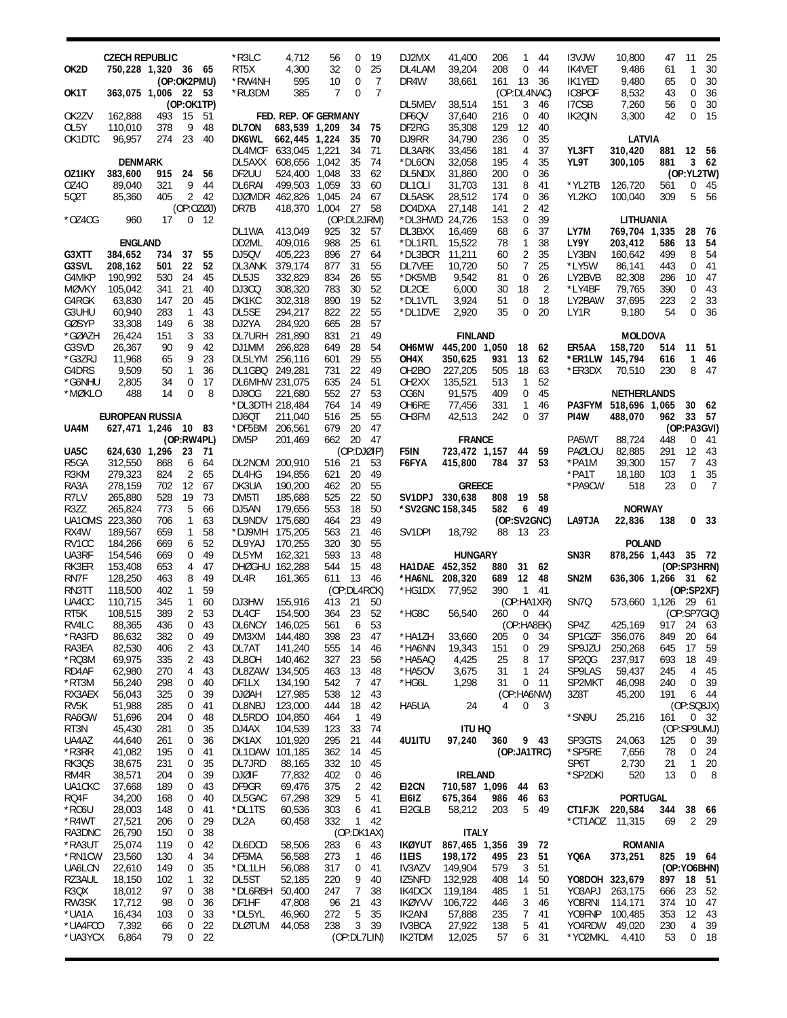| OK2D                       | <b>CZECH REPUBLIC</b><br>750,228 1,320 36 65 |            |                                  |                       | *R3LC<br>RT5X                    | 4,712<br>4,300                        | 56<br>32             | 0<br>$\mathbf 0$            | 19<br>25            | DJ2MX<br>DL4LAM                | 41,400<br>39,204                | 206<br>208 | 1<br>0              | 44<br>44  | <b>I3VJW</b><br>IK4VET                   | 10,800<br>9,486                            | 47<br>61   | 11<br>$\mathbf{1}$             | 25<br>30             |
|----------------------------|----------------------------------------------|------------|----------------------------------|-----------------------|----------------------------------|---------------------------------------|----------------------|-----------------------------|---------------------|--------------------------------|---------------------------------|------------|---------------------|-----------|------------------------------------------|--------------------------------------------|------------|--------------------------------|----------------------|
| OK1T                       | 363,075 1,006 22 53                          |            | (OP:OK2PMU)                      |                       | *RW4NH<br>*RU3DM                 | 595<br>385                            | 10<br>$\overline{7}$ | 0<br>$\Omega$               | 7<br>$\overline{7}$ | DR4W                           | 38,661                          | 161        | 13<br>(OP:DL4NAC)   | 36        | IK1YED<br>IC8POF                         | 9,480<br>8,532                             | 65<br>43   | $\mathbf 0$<br>$\mathbf 0$     | 30<br>36             |
| OK2ZV                      | 162,888                                      | 493        | (OP:OK1TP)<br>- 15               | 51                    |                                  | FED. REP. OF GERMANY                  |                      |                             |                     | DL5MEV<br>DF6QV                | 38,514<br>37,640                | 151<br>216 | 3<br>0              | 46<br>40  | I7CSB<br>IK2QIN                          | 7,260<br>3,300                             | 56<br>42   | $\mathbf 0$<br>$\mathbf 0$     | 30<br>- 15           |
| OL5Y                       | 110,010                                      | 378        | 9                                | 48                    | DL70N                            | 683,539 1,209                         |                      | 34                          | -75                 | DF2RG                          | 35,308                          | 129        | 12                  | 40        |                                          |                                            |            |                                |                      |
| OK1DTC                     | 96.957                                       | 274        | 23                               | 40                    | <b>DK6WL</b>                     | 662,445 1,224<br>DL4MCF 633,045 1,221 |                      | 35<br>34                    | 70<br>71            | DJ9RR<br>DL3ARK                | 34,790<br>33,456                | 236<br>181 | $\mathbf 0$<br>4    | 35<br>37  | YL3FT                                    | LATVIA<br>310,420                          |            | 881 12 56                      |                      |
|                            | <b>DENMARK</b>                               |            |                                  |                       |                                  | DL5AXX 608,656 1,042                  |                      | 35                          | 74                  | *DL6ON                         | 32,058                          | 195        | 4                   | 35        | YL9T                                     | 300,105                                    | 881        |                                | 362                  |
| OZ1IKY<br>0Z40             | 383,600<br>89.040                            | 915<br>321 | 24<br>9                          | 56<br>44              | DF2UU<br>DL6RAI                  | 524,400 1,048<br>499,503 1,059        |                      | 33<br>33                    | 62<br>60            | DL5NDX<br>DL10LI               | 31,860<br>31.703                | 200<br>131 | 0<br>8              | 36<br>41  | *YL2TB                                   | 126,720                                    | 561        | (OP:YL2TW)<br>$\mathbf{0}$     | - 45                 |
| 502T                       | 85,360                                       | 405        |                                  | 2, 42                 |                                  | DJØMDR 462,826 1,045                  |                      | 24                          | -67                 | DL5ASK                         | 28,512                          | 174        | 0                   | 36        | YL2KO                                    | 100,040                                    | 309        | 5                              | 56                   |
| $*OZ4CG$                   | 960                                          | 17         | (OP:OZØJ)<br>0                   | - 12                  | DR7B                             | 418,370 1,004                         |                      | 27<br>(OP:DL2JRM)           | 58                  | DO4DXA<br>*DL3HWD 24,726       | 27,148                          | 141<br>153 | 2<br>0              | 42<br>39  |                                          | LITHUANIA                                  |            |                                |                      |
|                            | <b>ENGLAND</b>                               |            |                                  |                       | DL1WA<br>DD2ML                   | 413,049<br>409,016                    | 925<br>988           | 32<br>25                    | 57<br>61            | DL3BXX<br>*DL1RTL              | 16,469<br>15,522                | 68<br>78   | 6<br>$\mathbf{1}$   | 37<br>38  | LY7M<br>LY9Y                             | 769,704 1,335<br>203,412                   | 586        | 28<br>13                       | - 76<br>54           |
| G3XTT                      | 384,652                                      | 734        | 37                               | 55                    | DJ5QV                            | 405,223                               | 896                  | 27                          | 64                  | *DL3BCR                        | 11,211                          | 60         | $\overline{2}$      | 35        | LY3BN                                    | 160,642                                    | 499        | 8                              | 54                   |
| G3SVL                      | 208,162                                      | 501        | 22                               | 52                    | DL3ANK 379,174                   |                                       | 877                  | 31                          | 55                  | DL7VEE                         | 10,720                          | 50         | 7                   | 25        | *LY5W                                    | 86,141                                     | 443        | $\mathbf 0$                    | -41                  |
| G4MKP<br><b>MØVKY</b>      | 190,992<br>105,042                           | 530<br>341 | 24<br>21                         | 45<br>40              | DL5JS<br>DJ3CQ                   | 332,829<br>308,320                    | 834<br>783           | 26<br>30                    | 55<br>52            | *DK5MB<br>DL <sub>2</sub> OE   | 9,542<br>6,000                  | 81<br>30   | $\mathbf 0$<br>18   | 26<br>2   | LY2BVB<br>*LY4BF                         | 82,308<br>79,765                           | 286<br>390 | 10 <sup>°</sup><br>$\mathbf 0$ | - 47<br>- 43         |
| G4RGK                      | 63,830                                       | 147        | 20                               | 45                    | DK1KC                            | 302,318                               | 890                  | 19                          | 52                  | *DL1VTL                        | 3,924                           | 51         | $\mathbf 0$         | 18        | LY2BAW                                   | 37,695                                     | 223        | $\overline{2}$                 | 33                   |
| G3UHU<br>GØSYP             | 60,940<br>33,308                             | 283<br>149 | $\mathbf{1}$<br>6                | 43<br>38              | DL5SE<br>DJ2YA                   | 294,217<br>284,920                    | 822<br>665           | 22<br>28                    | 55<br>57            | *DL1DVE                        | 2,920                           | 35         | $\mathbf 0$         | 20        | LY1R                                     | 9,180                                      | 54         | $\mathbf 0$                    | 36                   |
| *GØAZH                     | 26,424                                       | 151        | 3                                | 33                    | DL7URH 281,890                   |                                       | 831                  | 21                          | 49                  |                                | <b>FINLAND</b>                  |            |                     |           |                                          | <b>MOLDOVA</b>                             |            |                                |                      |
| G3SVD                      | 26,367                                       | 90         | 9                                | 42                    | DJ1MM                            | 266,828                               | 649                  | 28                          | 54                  |                                | OH6MW 445,200 1,050             |            | 18 62               |           | ER5AA                                    | 158,720                                    | 514        | 11                             | - 51                 |
| *G3ZRJ<br>G4DRS            | 11,968<br>9,509                              | 65<br>50   | 9<br>$\mathbf{1}$                | 23<br>36              | DL5LYM 256,116<br>DL1GBQ 249,281 |                                       | 601<br>731           | 29<br>22                    | 55<br>49            | OH4X<br>OH <sub>2</sub> BO     | 350,625<br>227,205              | 931<br>505 | 13<br>18            | 62<br>63  | *ER1LW 145,794<br>*ER3DX                 | 70,510                                     | 616<br>230 | 1<br>8                         | 46<br>47             |
| *G6NHU                     | 2,805                                        | 34         | 0                                | 17                    | DL6MHW 231,075                   |                                       | 635                  | 24                          | 51                  | OH <sub>2</sub> XX             | 135,521                         | 513        | 1                   | 52        |                                          |                                            |            |                                |                      |
| *MØKLO                     | 488                                          | 14         | $\Omega$                         | 8                     | DJ80G<br>*DL3DTH 218,484         | 221,680                               | 552<br>764           | 27<br>14                    | 53<br>49            | OG6N<br>OH6RE                  | 91,575<br>77,456                | 409<br>331 | $\mathbf 0$<br>1    | 45<br>46  |                                          | <b>NETHERLANDS</b><br>PA3FYM 518,696 1,065 |            | 30 62                          |                      |
|                            | <b>EUROPEAN RUSSIA</b>                       |            |                                  |                       | DJ6QT                            | 211,040                               | 516                  | 25                          | 55                  | OH3FM                          | 42.513                          | 242        | 0                   | 37        | PI4W                                     | 488,070                                    | 962        | 33 57                          |                      |
| UA4M                       | 627,471 1,246 10 83                          |            |                                  |                       | *DF5BM 206,561                   |                                       | 679                  | 20                          | 47                  |                                |                                 |            |                     |           |                                          |                                            |            | (OP:PA3GVI)                    |                      |
| UA5C                       | 624,630 1,296                                |            | (OP:RW4PL)<br>23                 | 71                    | DM5P                             | 201,469                               | 662                  | 20<br>(OP:DJØIP)            | -47                 | F5IN                           | <b>FRANCE</b><br>723,472 1,157  |            | 44                  | 59        | PA5WT<br>PAØLOU                          | 88,724<br>82,885                           | 448<br>291 | $\mathbf{0}$<br>12 43          | - 41                 |
| R <sub>5</sub> GA          | 312,550                                      | 868        | 6                                | 64                    | DL2NOM 200,910                   |                                       | 516 21               |                             | 53                  | F6FYA                          | 415,800                         | 784        | 37                  | 53        | *PA1M                                    | 39,300                                     | 157        |                                | 7 43                 |
| R3KM<br>RA3A               | 279,323<br>278,159                           | 824<br>702 | 2<br>12                          | 65<br>67              | DL4HG<br>DK3UA                   | 194,856<br>190,200                    | 621<br>462           | 20<br>20                    | 49<br>55            |                                | <b>GREECE</b>                   |            |                     |           | *PA1T<br>*PA9CW                          | 18,180<br>518                              | 103<br>23  | $\mathbf{1}$<br>$\mathbf 0$    | 35<br>$\overline{7}$ |
| R7LV                       | 265,880                                      | 528        | 19                               | 73                    | DM5TI                            | 185,688                               | 525                  | 22                          | 50                  | SV1DPJ 330,638                 |                                 | 808        | 19                  | 58        |                                          |                                            |            |                                |                      |
|                            |                                              |            |                                  |                       |                                  |                                       |                      |                             |                     |                                |                                 |            |                     |           |                                          |                                            |            |                                |                      |
| R3ZZ                       | 265,824                                      | 773        | 5                                | 66                    | DJ5AN                            | 179,656                               | 553                  | 18                          | 50                  | *SV2GNC 158,345                |                                 | 582        | 6                   | 49        |                                          | <b>NORWAY</b>                              |            |                                |                      |
| UA10MS 223,360<br>RX4W     |                                              | 706<br>659 | $\mathbf{1}$<br>$\mathbf{1}$     | 63<br>58              | DL9NDV 175,680                   |                                       | 464<br>563           | 23<br>21                    | 49<br>46            | SV1DPI                         | 18,792                          | 88         | (OP:SV2GNC)<br>- 13 | 23        | LA9TJA                                   | 22,836                                     | 138        |                                | 0 <sub>33</sub>      |
| RV1CC                      | 189,567<br>184,266                           | 669        | 6                                | 52                    | *DJ9MH 175,205<br>DL9YAJ         | 170,255                               | 320                  | 30                          | 55                  |                                |                                 |            |                     |           |                                          | <b>POLAND</b>                              |            |                                |                      |
| UA3RF                      | 154,546                                      | 669        | 0                                | 49                    | DL5YM                            | 162,321                               | 593                  | 13                          | 48                  |                                | <b>HUNGARY</b>                  |            |                     |           | SN <sub>3</sub> R                        | 878,256 1,443 35 72                        |            |                                |                      |
| RK3ER<br>RN7F              | 153,408<br>128,250                           | 653<br>463 | 4<br>8                           | -47<br>49             | DHØGHU 162,288<br>DL4R           | 161,365                               | 544<br>611           | 15<br>13                    | 48<br>-46           | HA1DAE 452,352<br>*HA6NL       | 208,320                         | 880<br>689 | 31<br>12            | 62<br>48  | SN <sub>2</sub> M                        | 636,306 1,266 31 62                        |            | (OP:SP3HRN)                    |                      |
| RN3TT                      | 118,500                                      | 402        | $\mathbf{1}$                     | 59                    |                                  |                                       |                      | (OP:DL4RCK)                 |                     | *HG1DX                         | 77,952                          | 390        | $\mathbf{1}$        | 41        |                                          |                                            |            | (OP:SP2XF)                     |                      |
| UA4CC<br>RT <sub>5</sub> K | 110,715                                      | 345<br>389 |                                  | 160<br>2 53           | DJ3HW<br>DL4CF                   | 155,916<br>154,500                    | 413<br>364 23        | 21                          | 50<br>52            | *HG8C                          |                                 | 260        | (OP:HA1XR)          | 0.44      | SN7Q                                     | 573,660 1,126 29 61                        |            |                                |                      |
| RV4LC                      | 108,515<br>88,365                            | 436        |                                  | $0 \t 43$             | DL6NCY 146,025                   |                                       |                      | 561 6                       | 53                  |                                | 56,540                          |            | (OP:HA8EK)          |           | SP4Z 425,169 917 24 63                   |                                            |            | (OP:SP7GIO)                    |                      |
| *RA3FD                     | 86,632                                       | 382        | $\overline{0}$                   | 49                    | DM3XM                            | 144,480                               | 398                  | 23                          | 47                  | *HA1ZH                         | 33,660                          | 205        | 0                   | 34        | SP1GZF                                   | 356,076                                    | 849        | 20                             | 64                   |
| RA3EA<br>*RQ3M             | 82,530<br>69,975                             | 406<br>335 | $\overline{2}$<br>$\overline{a}$ | 43<br>43              | DL7AT<br>DL8OH                   | 141,240<br>140,462                    | 555<br>327           | 14<br>23                    | 46<br>56            | *HA6NN<br>*HA5AQ               | 19,343<br>4,425                 | 151<br>25  | 0<br>8              | 29<br>-17 | SP9JZU<br>SP <sub>2</sub> Q <sub>G</sub> | 250,268<br>237,917                         | 645<br>693 | 17<br>18                       | 59<br>49             |
| RD4AF                      | 62,980                                       | 270        | 4                                | 43                    | DL8ZAW 134,505                   |                                       | 463                  | 13                          | 48                  | *HA5OV                         | 3,675                           | 31         | $\mathbf{1}$        | 24        | SP9LAS                                   | 59,437                                     | 245        | 4                              | 45                   |
| *RT3M<br>RX3AEX            | 56,240<br>56,043                             | 298<br>325 | 0<br>0                           | 40<br>39              | DF1LX<br><b>DJØAH</b>            | 134,190<br>127,985                    | 542<br>538           | $\overline{7}$              | 47<br>43            | *HG6L                          | 1,298                           | 31         | (OP:HA6NW)          | $0$ 11    | SP2MKT<br>3Z8T                           | 46,098<br>45,200                           | 240<br>191 | $\mathbf 0$                    | 39<br>6 44           |
| RV5K                       | 51,988                                       | 285        | 0                                | 41                    | DL8NBJ                           | 123,000                               | 444                  | 12<br>18                    | 42                  | HA5UA                          | 24                              | 4          | 0                   | 3         |                                          |                                            |            | (OP:SQ8JX)                     |                      |
| RA6GW                      | 51,696                                       | 204        | 0                                | 48                    | DL5RDO                           | 104,850                               | 464                  | $\mathbf{1}$                | 49                  |                                |                                 |            |                     |           | *SN9U                                    | 25,216                                     | 161        |                                | $0 \t32$             |
| RT3N<br>UA4AZ              | 45,430<br>44,640                             | 281<br>261 | 0<br>0                           | 35<br>36              | DJ4AX<br>DK1AX                   | 104,539<br>101,920                    | 123<br>295           | 33<br>21                    | 74<br>44            | 4U1ITU                         | ITU HQ<br>97,240                | 360        |                     | 9 43      | SP3GTS                                   | 24,063                                     | 125        | (OP:SP9UMJ)<br>0               | - 39                 |
| *R3RR                      | 41,082                                       | 195        | 0                                | 41                    | DL1DAW 101,185                   |                                       | 362                  | 14                          | 45                  |                                |                                 |            | (OP:JA1TRC)         |           | *SP5RE                                   | 7,656                                      | 78         |                                | $0$ 24               |
| RK3QS                      | 38,675                                       | 231<br>204 | 0                                | 35                    | DL7JRD                           | 88,165                                | 332                  | 10                          | 45                  |                                |                                 |            |                     |           | SP6T                                     | 2,730                                      | 21<br>13   | 1<br>0                         | 20                   |
| RM4R<br>UA1CKC             | 38,571<br>37,668                             | 189        | 0<br>0                           | 39<br>43              | <b>DJØIF</b><br>DF9GR            | 77,832<br>69,476                      | 402<br>375           | 0<br>2                      | 46<br>42            | EI2CN                          | <b>IRELAND</b><br>710,587 1,096 |            | 44                  | 63        | *SP2DKI                                  | 520                                        |            |                                | 8                    |
| RQ4F                       | 34,200                                       | 168        | 0                                | 40                    | DL5GAC                           | 67,298                                | 329                  | 5                           | 41                  | E161Z                          | 675,364                         | 986        | 46                  | 63        |                                          | <b>PORTUGAL</b>                            |            |                                |                      |
| *RC6U<br>*R4WT             | 28,003<br>27,521                             | 148<br>206 | 0<br>0                           | 41<br>29              | *DL1TS<br>DL2A                   | 60,536<br>60,458                      | 303<br>332           | 6<br>$1 \quad 42$           | 41                  | EI2GLB                         | 58,212                          | 203        | 5                   | 49        | CT1FJK 220,584<br>*CT1AOZ 11,315         |                                            | 344<br>69  | 38 66                          | 2 29                 |
| RA3DNC                     | 26,790                                       | 150        | 0                                | 38                    |                                  |                                       |                      | (OP:DK1AX)                  |                     |                                | <b>ITALY</b>                    |            |                     |           |                                          |                                            |            |                                |                      |
| *RA3UT                     | 25,074                                       | 119        | 0                                | 42                    | DL6DCD                           | 58,506                                | 283                  | 6                           | -43                 | IKØYUT                         | 867,465 1,356                   |            | 39                  | - 72      |                                          | <b>ROMANIA</b>                             |            |                                |                      |
| *RN1CW<br>UA6LCN           | 23,560<br>22,610                             | 130<br>149 | 4<br>0                           | 34<br>35              | DF5MA<br>*DL1LH                  | 56,588<br>56,088                      | 273<br>317           | 1<br>0                      | 46<br>41            | <b>ITEIS</b><br><b>IV3AZV</b>  | 198,172<br>149,904              | 495<br>579 | 23<br>3             | 51<br>51  | YQ6A                                     | 373,251                                    |            | 825 19 64<br>(OP:YO6BHN)       |                      |
| RZ3AUL                     | 18,150                                       | 102        | 1                                | 32                    | DL5ST                            | 52,185                                | 220                  | 9                           | 40                  | IZ5NFD                         | 132,928                         | 408        | 14                  | 50        | YO8DOH 323,679                           |                                            | 897        | 18                             | - 51                 |
| R3QX<br>RW3SK              | 18,012<br>17,712                             | 97<br>98   | 0<br>0                           | 38<br>36              | *DL6RBH<br>DF1HF                 | 50,400<br>47,808                      | 247<br>96            | 7<br>21                     | 38<br>43            | IK4DCX<br><b>IKØYVV</b>        | 119,184<br>106,722              | 485<br>446 | $\mathbf{1}$<br>3   | 51<br>46  | YO3APJ<br>Y08RNI                         | 263,175<br>114,171                         | 666<br>374 | 23<br>10                       | 52<br>47             |
| *UA1A                      | 16,434                                       | 103        | 0                                | 33                    | *DL5YL                           | 46,960                                | 272                  | 5                           | 35                  | IK2ANI                         | 57,888                          | 235        | 7                   | 41        | YO9FNP 100,485                           |                                            | 353        | 12                             | 43                   |
| *UA4FCO<br>*UA3YCX         | 7,392<br>6,864                               | 66<br>79   | 0                                | 22<br>0 <sub>22</sub> | <b>DLØTUM</b>                    | 44,058                                | 238                  | $\mathbf{3}$<br>(OP:DL7LIN) | 39                  | <b>IV3BCA</b><br><b>IK2TDM</b> | 27,922<br>12,025                | 138<br>57  | 5<br>6              | 41<br>31  | YO4RDW<br>*YO2MKL                        | 49,020<br>4,410                            | 230<br>53  | $\overline{4}$                 | 39<br>$0$ 18         |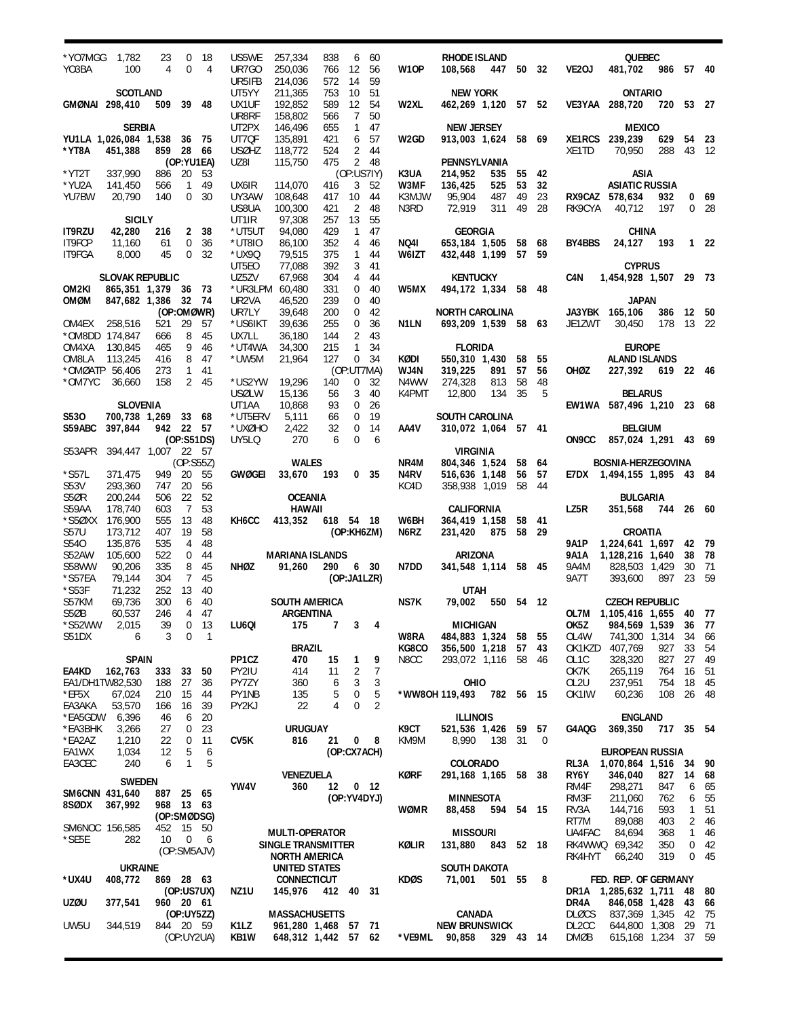| *YO7MGG<br>YO3BA                           | 1,782<br>100                                                   | 23<br>4                        | $\mathbf 0$<br>$\mathbf 0$       | 18<br>4                      | US5WE<br>UR7GO<br>UR5IFB         | 257,334<br>250,036<br>214,036                               | 838<br>766<br>572 | 6<br>12<br>14                           | 60<br>56<br>59         | W10P                  | RHODE ISLAND<br>108,568                                           | 447 50 32         |                      |                          | VE2OJ                             | QUEBEC<br>481,702                                                               | 986                      | 57 40                             |                          |
|--------------------------------------------|----------------------------------------------------------------|--------------------------------|----------------------------------|------------------------------|----------------------------------|-------------------------------------------------------------|-------------------|-----------------------------------------|------------------------|-----------------------|-------------------------------------------------------------------|-------------------|----------------------|--------------------------|-----------------------------------|---------------------------------------------------------------------------------|--------------------------|-----------------------------------|--------------------------|
| GMØNAI 298,410                             | <b>SCOTLAND</b>                                                | 509 39 48                      |                                  |                              | UT5YY<br>UX1UF<br>UR8RF          | 211,365<br>192,852<br>158,802                               | 753<br>589<br>566 | 10<br>12<br>$\overline{7}$              | 51<br>- 54<br>50       | W2XL                  | <b>NEW YORK</b><br>462,269 1,120 57 52                            |                   |                      |                          |                                   | <b>ONTARIO</b><br>VE3YAA 288,720                                                | 720 53 27                |                                   |                          |
| *YT8A                                      | <b>SERBIA</b><br>YU1LA 1,026,084 1,538<br>451,388              | 859 28 66                      | 36 75                            |                              | UT2PX<br>UT7QF<br><b>USØHZ</b>   | 146,496<br>135,891<br>118,772                               | 655<br>421<br>524 | $\mathbf{1}$<br>6                       | - 47<br>57<br>2 44     | W2GD                  | NEW JERSEY<br>913,003 1,624 58 69                                 |                   |                      |                          | XE1TD                             | <b>MEXICO</b><br>XE1RCS 239,239<br>70,950                                       | 629<br>288               | 43 12                             | 54 23                    |
| *YT2T<br>*YU2A<br>YU7BW                    | 337,990<br>141,450<br>20,790                                   | 886<br>566<br>140              | (OP:YU1EA)<br>20<br>$\mathbf{1}$ | 53<br>49<br>0 <sup>30</sup>  | UZ8I<br>UX6IR<br>UY3AW           | 115,750<br>114,070<br>108,648                               | 475<br>416<br>417 | $\overline{2}$<br>(OP:US7IY)<br>3<br>10 | -48<br>52<br>- 44      | K3UA<br>W3MF<br>K3MJW | PENNSYLVANIA<br>214,952<br>136,425<br>95,904                      | 535<br>525<br>487 | 55 42<br>53<br>49    | 32<br>23                 |                                   | ASIA<br><b>ASIATIC RUSSIA</b><br>RX9CAZ 578,634                                 | 932                      |                                   | 0.69                     |
| <b>IT9RZU</b>                              | <b>SICILY</b><br>42,280                                        | 216                            |                                  | 2 38                         | US8UA<br>UT1IR<br>*UT5UT         | 100,300<br>97,308<br>94,080                                 | 421<br>257<br>429 | 2<br>13<br>$\overline{1}$               | -48<br>55<br>47        | N3RD                  | 72,919<br>GEORGIA                                                 | 311               | 49                   | 28                       | RK9CYA                            | 40,712<br>CHINA                                                                 | 197                      |                                   | 0 <sub>28</sub>          |
| IT9FCP<br>IT9FGA                           | 11,160<br>8,000                                                | 61<br>45                       | 0<br>0                           | 36<br>32                     | *UT8IO<br>*UX9Q<br>UT5E0         | 86,100<br>79,515<br>77,088                                  | 352<br>375<br>392 | 4<br>$\mathbf{1}$<br>3                  | - 46<br>-44<br>41      | NQ41<br>W6IZT         | 653,184 1,505 58 68<br>432,448 1,199                              |                   | 57 59                |                          | BY4BBS                            | 24,127<br><b>CYPRUS</b>                                                         | - 193                    |                                   | 1 22                     |
| OM2KI<br>OMØM                              | <b>SLOVAK REPUBLIC</b><br>865,351 1,379 36 73<br>847,682 1,386 |                                | 32 74                            |                              | UZ5ZV<br>UR2VA                   | 67,968<br>*UR3LPM 60,480<br>46,520                          | 304<br>331<br>239 | 4<br>0                                  | -44<br>$0$ 40<br>-40   | W5MX                  | <b>KENTUCKY</b><br>494,172 1,334 58 48                            |                   |                      |                          | C4N                               | 1,454,928 1,507 29 73<br><b>JAPAN</b>                                           |                          |                                   |                          |
| OM4EX<br>*OM8DD 174,847                    | 258,516                                                        | 521<br>666                     | (OP:OMØWR)<br>29<br>8            | -57<br>- 45                  | UR7LY<br>*US6IKT<br>UX7LL        | 39,648<br>39,636<br>36,180                                  | 200<br>255<br>144 | 0<br>0<br>$\overline{2}$                | -42<br>36<br>- 43      | N1LN                  | NORTH CAROLINA<br>693,209 1,539 58 63                             |                   |                      |                          | JE1ZWT                            | JA3YBK 165,106<br>30.450                                                        | 386<br>178               | 12 50<br>13 22                    |                          |
| OM4XA<br>OM8LA<br>*OMØATP 56,406<br>*OM7YC | 130,845<br>113,245<br>36,660                                   | 465<br>416<br>273<br>158       | 9<br>8                           | - 46<br>- 47<br>1 41<br>2 45 | *UT4WA<br>*UW5M<br>*US2YW        | 34,300<br>21,964<br>19,296                                  | 215<br>127<br>140 | $\mathbf{1}$<br>(OP:UT7MA)<br>0         | 34<br>$0 \t34$<br>- 32 | KØDI<br>WJ4N<br>N4WW  | <b>FLORIDA</b><br>550,310 1,430<br>319,225<br>274,328             | 891<br>813        | 58<br>57<br>58       | 55<br>56<br>48           | OHØZ                              | <b>EUROPE</b><br><b>ALAND ISLANDS</b><br>227,392 619 22 46                      |                          |                                   |                          |
| S530                                       | <b>SLOVENIA</b><br>700,738 1,269 33 68                         |                                |                                  |                              | <b>USØLW</b><br>UT1AA<br>*UT5ERV | 15,136<br>10,868<br>5,111                                   | 56<br>93<br>66    | 3<br>$\mathbf 0$<br>$\mathbf 0$         | 40<br>26<br>19         | K4PMT                 | 12,800<br><b>SOUTH CAROLINA</b>                                   | 134 35            |                      | .5                       |                                   | <b>BELARUS</b><br>EW1WA 587,496 1,210 23 68                                     |                          |                                   |                          |
| <b>S59ABC</b><br>S53APR                    | 397,844<br>394,447 1,007 22 57                                 | 942 22 57                      | (0P:S51DS)                       |                              | *UXØHO<br>UY5LQ                  | 2,422<br>270                                                | 32<br>6           | $\mathbf 0$<br>$\Omega$                 | 14<br>- 6              | AA4V                  | 310,072 1,064 57 41<br><b>VIRGINIA</b>                            |                   |                      |                          | ON9CC                             | <b>BELGIUM</b><br>857,024 1,291 43 69                                           |                          |                                   |                          |
| $*$ S57L<br>S53V                           | 371,475<br>293,360                                             | 949 20<br>747                  | (OP:SS5Z)<br>20                  | 55<br>56                     | GWØGEI                           | <b>WALES</b><br>33,670 193                                  |                   |                                         | 0 <sub>35</sub>        | NR4M<br>N4RV<br>KC4D  | 804,346 1,524<br>516,636 1,148<br>358,938 1,019                   |                   | 58 64<br>56<br>58 44 | 57                       |                                   | <b>BOSNIA-HERZEGOVINA</b><br>E7DX 1,494,155 1,895 43 84                         |                          |                                   |                          |
| S5ØR<br>S59AA<br>*S5ØXX 176,900            | 200,244<br>178,740                                             | 506<br>603<br>555              | 22<br>$\overline{7}$<br>13       | 52<br>53<br>48               | KH6CC                            | <b>OCEANIA</b><br><b>HAWAII</b><br>413,352                  | 618 54 18         |                                         |                        | W6BH                  | CALIFORNIA<br>364,419 1,158                                       |                   | 58 41                |                          | LZ5R                              | BULGARIA<br>351,568 744 26 60                                                   |                          |                                   |                          |
| <b>S57U</b><br>S540<br>S52AW               | 173,712<br>135,876<br>105,600                                  | 407<br>535<br>522              | 19<br>4<br>0                     | 58<br>48<br>44               |                                  | <b>MARIANA ISLANDS</b>                                      |                   | (OP:KH6ZM)                              |                        | N6RZ                  | 231,420<br>ARIZONA                                                | 875               | 58 29                |                          | 9A1P<br>9A1A                      | CROATIA<br>1,224,641 1,697 42 79<br>1,128,216 1,640                             |                          | 38                                | - 78                     |
| <b>S58WW</b><br>*S57EA<br>$*$ S53F         | 90,206<br>79,144<br>71,232                                     | 335<br>304<br>252              | 8<br>$\overline{7}$<br>13        | 45<br>45<br>40               | NHØZ                             | 91,260                                                      | 290 6 30          | (OP:JA1LZR)                             |                        | N7DD                  | 341,548 1,114 58 45<br>UTAH                                       |                   |                      |                          | 9A4M<br>9A7T                      | 828,503 1,429<br>393,600                                                        | 897                      | 30<br>23 59                       | 71                       |
| S57KM<br>S5ØB<br>*S52WW 2,015              | 69,736<br>60,537                                               | 300<br>246<br>39               | 6                                | 40<br>4 47<br>$0$ 13         |                                  | <b>SOUTH AMERICA</b><br>ARGENTINA<br>LU6QI 175              |                   |                                         |                        | NS7K                  | 79,002 550 54 12<br>7 3 4 MICHIGAN                                |                   |                      |                          |                                   | <b>CZECH REPUBLIC</b><br>OL7M 1,105,416 1,655 40 77<br>OK5Z 984,569 1,539 36 77 |                          |                                   |                          |
| S51DX                                      | 6<br><b>SPAIN</b>                                              | 3                              | $\mathbf 0$                      | -1                           | PP1CZ                            | <b>BRAZIL</b><br>470                                        | 15                | $\mathbf{1}$                            | 9                      | W8RA<br>KG8CO<br>N8CC | 484,883 1,324 58 55<br>356,500 1,218 57 43<br>293,072 1,116 58 46 |                   |                      |                          | OL4W<br>OL <sub>1</sub> C         | 741,300 1,314<br>OK1KZD 407,769<br>328,320                                      | 927<br>827               | 33<br>27                          | 34 66<br>-54<br>- 49     |
| EA4KD<br>EA1/DH1TW82,530<br>$*$ EF5X       | 162,763<br>67,024                                              | 333<br>188<br>210              | 33<br>27<br>15                   | 50<br>36<br>44               | PY2IU<br>PY7ZY<br>PY1NB          | 414<br>360<br>135                                           | 11<br>6<br>5      | 2<br>3<br>$\mathbf 0$                   | 7<br>3<br>5            |                       | OHIO<br>*WW8OH 119,493 782 56 15                                  |                   |                      |                          | OK7K<br>OL <sub>2U</sub><br>OK1IW | 265,119<br>237,951<br>60,236                                                    | 764<br>754<br>108        | 16<br>18<br>26 48                 | - 51<br>- 45             |
| EA3AKA<br>*EA5GDW<br>*EA3BHK               | 53,570<br>6,396<br>3,266                                       | 166<br>46<br>27                | 16<br>6<br>0                     | 39<br>20<br>23               | PY2KJ                            | 22<br><b>URUGUAY</b>                                        | 4                 | $\mathbf 0$                             | $\overline{2}$         | K9CT                  | <b>ILLINOIS</b><br>521,536 1,426 59 57                            |                   |                      |                          | G4AQG                             | <b>ENGLAND</b><br>369,350                                                       | 717 35 54                |                                   |                          |
| *EA2AZ<br>EA1WX<br>EA3CEC                  | 1,210<br>1,034<br>240                                          | 22<br>12<br>6                  | 0<br>5<br>1                      | 11<br>6<br>5                 | CV5K                             | 816                                                         | 21                | $\mathbf{0}$<br>(OP:CX7ACH)             | - 8                    | KM9M                  | 8,990<br><b>COLORADO</b>                                          | 138               | - 31                 | $\overline{\phantom{0}}$ |                                   | <b>EUROPEAN RUSSIA</b><br>RL3A 1,070,864 1,516 34 90                            |                          |                                   |                          |
| SM6CNN 431,640<br>8SØDX                    | <b>SWEDEN</b><br>367,992                                       | 887 25 65<br>968 13 63         |                                  |                              | YW4V                             | <b>VENEZUELA</b><br>360                                     |                   | 12 0 12<br>(OP:YV4DYJ)                  |                        | KØRF                  | 291,168 1,165 58 38<br><b>MINNESOTA</b>                           |                   |                      |                          | RY6Y<br>RM4F<br>RM3F              | 346,040<br>298,271<br>211,060                                                   | 827<br>847<br>762        | 14 68<br>6<br>6                   | - 65<br>- 55             |
| SM6NOC 156,585<br>*SE5E                    | 282                                                            | (OP:SMØDSG)<br>452 15 50<br>10 |                                  | $0\quad 6$                   |                                  | MULTI-OPERATOR<br>SINGLE TRANSMITTER                        |                   |                                         |                        | WØMR<br>KØLIR         | 88,458 594 54 15<br><b>MISSOURI</b><br>131,880                    | 843 52 18         |                      |                          | RV3A<br>RT7M<br>UA4FAC            | 144,716<br>89,088<br>84,694<br>RK4WWQ 69,342                                    | 593<br>403<br>368<br>350 | $\mathbf{1}$<br>$\mathbf{1}$<br>0 | 51<br>2 46<br>46<br>- 42 |
| *UX4U                                      | <b>UKRAINE</b><br>408,772                                      | 869 28 63                      | (OP:SM5AJV)                      |                              |                                  | <b>NORTH AMERICA</b><br>UNITED STATES<br><b>CONNECTICUT</b> |                   |                                         |                        | KDØS                  | SOUTH DAKOTA<br>71,001                                            | 501 55 8          |                      |                          | RK4HYT                            | 66,240<br>FED. REP. OF GERMANY                                                  | 319                      | 0                                 | 45                       |
| UZØU                                       | 377,541                                                        | 960 20 61                      | (OP:US7UX)<br>(OP:UY5ZZ)         |                              | NZ1U                             | 145,976 412 40 31<br><b>MASSACHUSETTS</b>                   |                   |                                         |                        |                       | CANADA                                                            |                   |                      |                          | DR4A<br><b>DLØCS</b>              | DR1A 1,285,632 1,711 48 80<br>846,058 1,428<br>837,369 1,345                    |                          | 43 66<br>42                       | - 75                     |
| UW5U                                       | 344,519                                                        | 844 20 59                      | (OP:UY2UA)                       |                              | K1LZ<br>KB1W                     | 961,280 1,468 57 71<br>648,312 1,442 57 62                  |                   |                                         |                        |                       | <b>NEW BRUNSWICK</b><br>*VE9ML 90,858 329 43 14                   |                   |                      |                          | DL <sub>2</sub> CC<br>DMØB        | 644,800 1,308<br>615,168 1,234 37 59                                            |                          | 29                                | 71                       |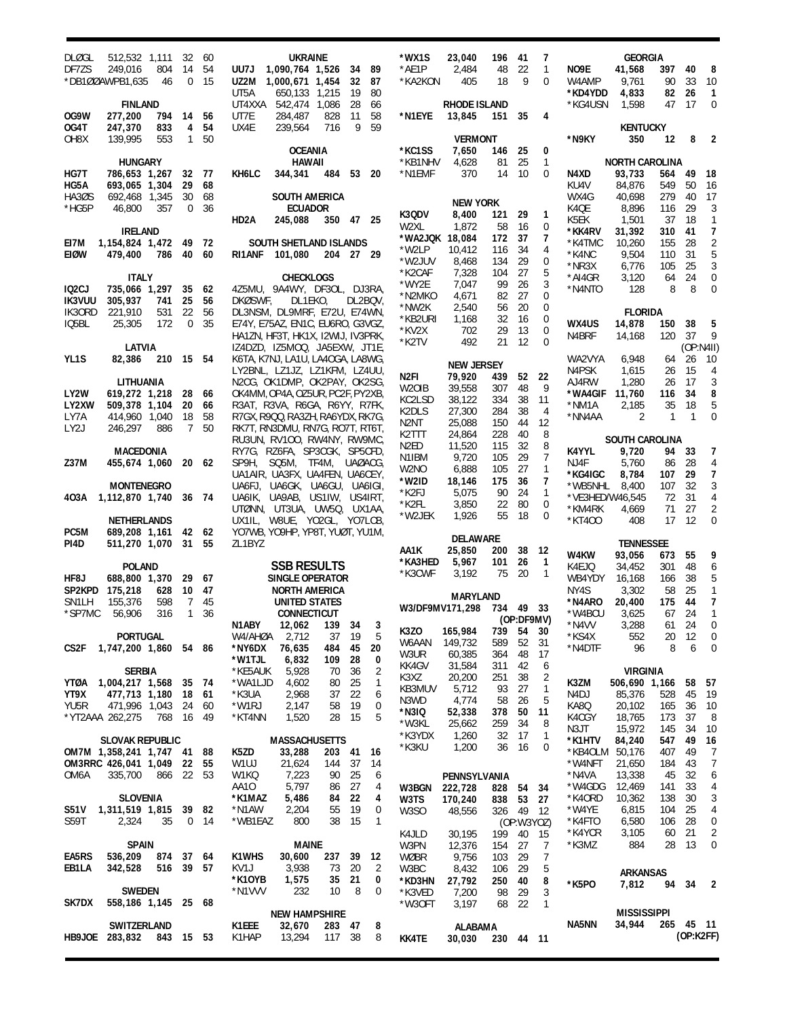| <b>DLØGL</b>                        | 512,532 1,111                              | 32             | 60        | <b>UKRAINE</b>                                                                      | *WX1S                      | 23,040<br>196                   | 41               | 7                 | <b>GEORGIA</b>                      |                          |                               |
|-------------------------------------|--------------------------------------------|----------------|-----------|-------------------------------------------------------------------------------------|----------------------------|---------------------------------|------------------|-------------------|-------------------------------------|--------------------------|-------------------------------|
| DF7ZS                               | 804<br>249,016                             | 14             | 54        | UU7J<br>1,090,764 1,526<br>34<br>89                                                 | *AE1P                      | 2,484<br>48                     | 22               | $\mathbf{1}$      | NO9E<br>41,568                      | 40<br>397                | - 8                           |
|                                     | *DB100AWPB1,635<br>46                      | $\Omega$       | 15        | 32<br>87<br>UZ2M 1,000,671 1,454<br>UT5A<br>19<br>80<br>650,133 1,215               | *KA2KON                    | 405<br>18                       | 9                | $\mathbf 0$       | 9,761<br>W4AMP<br>*KD4YDD<br>4,833  | 33<br>90<br>26<br>82     | 10<br>$\overline{1}$          |
|                                     | <b>FINLAND</b>                             |                |           | 28<br>UT4XXA<br>542,474 1,086<br>66                                                 |                            | RHODE ISLAND                    |                  |                   | *KG4USN<br>1,598                    | 17<br>47                 | $\mathbf{0}$                  |
| OG9W                                | 277,200<br>794                             | 14             | 56        | 11<br>284,487<br>828<br>58<br>UT7E                                                  | *N1EYE                     | 13,845<br>151                   | 35               | 4                 |                                     |                          |                               |
| OG4T                                | 247,370<br>833                             | 4              | 54        | 9<br>59<br>UX4E<br>239,564<br>716                                                   |                            |                                 |                  |                   | <b>KENTUCKY</b>                     |                          |                               |
| OH <sub>8</sub> X                   | 553<br>139,995                             | $\mathbf{1}$   | 50        | <b>OCEANIA</b>                                                                      | *KC1SS                     | <b>VERMONT</b><br>7,650<br>146  | 25               | 0                 | *N9KY<br>350                        | 12                       | 8<br>$\overline{2}$           |
|                                     | <b>HUNGARY</b>                             |                |           | <b>HAWAII</b>                                                                       | *KB1NHV                    | 4,628<br>81                     | 25               | $\mathbf{1}$      | <b>NORTH CAROLINA</b>               |                          |                               |
| HG7T                                | 786,653 1,267                              |                | 32 77     | KH6LC<br>344,341<br>484<br>53<br>20                                                 | *N1EMF                     | 370<br>14                       | 10               | $\mathbf 0$       | N4XD<br>93,733                      | 49<br>564                | -18                           |
| HG5A<br>HA3ØS                       | 693,065 1,304<br>692,468 1,345             | 29<br>30       | 68<br>68  | <b>SOUTH AMERICA</b>                                                                |                            |                                 |                  |                   | KU4V<br>84,876<br>WX4G<br>40,698    | 549<br>50<br>279<br>40   | -16<br>17                     |
| *HG5P                               | 46,800<br>357                              | $\mathbf 0$    | 36        | <b>ECUADOR</b>                                                                      |                            | <b>NEW YORK</b>                 |                  |                   | K4QE<br>8,896                       | 116<br>29                | 3                             |
|                                     |                                            |                |           | HD2A<br>245,088<br>350 47 25                                                        | K3QDV<br>W2XL              | 8,400<br>121<br>1,872<br>58     | 29<br>16         | 1<br>0            | K5EK<br>1,501                       | 37<br>18                 | 1                             |
|                                     | <b>IRELAND</b>                             |                |           |                                                                                     | *WA2JQK 18,084             | 172                             | 37               | 7                 | *KK4RV<br>31,392                    | 310<br>41                | 7                             |
| EI7M<br>EIØW                        | 1,154,824 1,472<br>786<br>479,400          | 49<br>40 60    | - 72      | SOUTH SHETLAND ISLANDS<br>RI1ANF<br>101,080<br>204 27 29                            | *W2LP                      | 10,412<br>116                   | 34               | 4                 | *K4TMC<br>10,260<br>9,504<br>*K4NC  | 155<br>28<br>31<br>110   | $\overline{2}$<br>5           |
|                                     |                                            |                |           |                                                                                     | *W2JUV                     | 8,468<br>134                    | 29               | 0                 | *NR3X<br>6,776                      | 25<br>105                | 3                             |
|                                     | <b>ITALY</b>                               |                |           | <b>CHECKLOGS</b>                                                                    | *K2CAF<br>*WY2E            | 7,328<br>104<br>7,047<br>99     | 27<br>26         | 5<br>3            | *AI4GR<br>3,120                     | 24<br>64                 | $\mathbf 0$                   |
| IQ <sub>2</sub> CJ<br><b>IK3VUU</b> | 735,066 1,297<br>305,937<br>741            | 35<br>25       | 62<br>56  | 4Z5MU, 9A4WY, DF3OL, DJ3RA,<br>DL1EKO,<br>DKØSWF,<br>DL2BQV,                        | *N2MKO                     | 4,671<br>82                     | 27               | $\mathbf 0$       | *N4NTO<br>128                       | 8                        | 8<br>$\mathbf 0$              |
| IK30RD                              | 531<br>221,910                             | 22             | 56        | DL3NSM, DL9MRF, E72U, E74WN,                                                        | *NW2K                      | 2,540<br>56                     | 20               | $\mathbf{0}$      | <b>FLORIDA</b>                      |                          |                               |
| IQ5BL                               | 25,305<br>172                              | $\mathbf 0$    | 35        | E74Y, E75AZ, EN1C, EU6RO, G3VGZ,                                                    | *KB2URI<br>*KV2X           | 1,168<br>32<br>702<br>29        | 16<br>13         | 0<br>$\mathbf 0$  | WX4US<br>14,878                     | 38<br>150                | 5                             |
|                                     |                                            |                |           | HA1ZN, HF3T, HK1X, I2WIJ, IV3PRK,                                                   | *K2TV                      | 492<br>21                       | 12               | $\mathbf 0$       | N4BRF<br>14,168                     | 37<br>120                | 9                             |
| YL1S                                | <b>LATVIA</b><br>82,386<br>210             | 15 54          |           | IZ4DZD, IZ5MOQ, JA5EXW, JT1E,<br>K6TA, K7NJ, LA1U, LA4OGA, LA8WG,                   |                            |                                 |                  |                   | WA2VYA<br>6,948                     | 26<br>64                 | (OP:NAII)<br>10               |
|                                     |                                            |                |           | LY2BNL, LZ1JZ, LZ1KFM, LZ4UU,                                                       |                            | <b>NEW JERSEY</b>               |                  |                   | N4PSK<br>1,615                      | 15<br>26                 | $\overline{4}$                |
|                                     | LITHUANIA                                  |                |           | N2CG, OK1DMP, OK2PAY, OK2SG,                                                        | N2FI<br>W <sub>2</sub> OIB | 79,920<br>439<br>39,558<br>307  | 52<br>48         | 22<br>9           | AJ4RW<br>1,280                      | 17<br>26                 | 3                             |
| LY2W                                | 619,272 1,218                              | 28             | 66        | OK4MM, OP4A, OZ5UR, PC2F, PY2XB,                                                    | KC2LSD                     | 38,122<br>334                   | 38               | 11                | *WA4GIF<br>11,760<br>*NM1A          | 34<br>116                | 8<br>5                        |
| LY2XW<br>LY7A                       | 509,378 1,104<br>414,960 1,040             | 20<br>18       | 66<br>58  | R3AT, R3VA, R6GA, R6YY, R7FK,<br>R7GX, R9QQ, RA3ZH, RA6YDX, RK7G,                   | K2DLS                      | 27,300<br>284                   | 38               | 4                 | 2,185<br>2<br>*NN4AA                | 18<br>35<br>$\mathbf{1}$ | $\mathbf{1}$<br>$\mathbf 0$   |
| LY <sub>2</sub> J                   | 246,297<br>886                             | $7^{\circ}$    | 50        | RK7T, RN3DMU, RN7G, RO7T, RT6T,                                                     | N2NT                       | 25,088<br>150                   | 44               | 12                |                                     |                          |                               |
|                                     |                                            |                |           | RU3UN, RV100, RW4NY, RW9MC,                                                         | K2TTT<br>N2ED              | 24,864<br>228<br>11,520<br>115  | 40<br>32         | 8<br>8            | <b>SOUTH CAROLINA</b>               |                          |                               |
| <b>Z37M</b>                         | <b>MACEDONIA</b><br>455,674 1,060          |                | 20 62     | RY7G, RZ6FA, SP3CGK, SP5CFD,<br>SP9H, SQ5M, TF4M, UAØACG,                           | N1IBM                      | 9,720<br>105                    | 29               | $\overline{7}$    | K4YYL<br>9,720<br>5,760<br>NJ4F     | 33<br>94<br>28<br>86     | 7<br>4                        |
|                                     |                                            |                |           | UA1AIR, UA3FX, UA4FEN, UA6CEY,                                                      | W2NO                       | 6,888<br>105                    | 27               | $\mathbf{1}$      | *KG4IGC<br>8,784                    | 29<br>107                | $\overline{7}$                |
|                                     | <b>MONTENEGRO</b>                          |                |           | UA6FJ, UA6GK, UA6GU, UA6IGI,                                                        | *W2ID<br>*K2FJ             | 18,146<br>175<br>5,075<br>90    | 36<br>24         | 7<br>$\mathbf{1}$ | *WB5NHL<br>8,400                    | 32<br>107                | 3                             |
| 403A                                | 1,112,870 1,740                            | 36 74          |           | UA6IK, UA9AB, US1IW, US4IRT,                                                        | *K2FL                      | 3,850<br>22                     | 80               | 0                 | *VE3HED/W46,545                     | 31<br>72                 | 4                             |
|                                     | <b>NETHERLANDS</b>                         |                |           | UTØNN, UT3UA, UW5Q, UX1AA,<br>UX1IL, W8UE, YO2GL, YO7LCB,                           | *W2JEK                     | 1,926<br>55                     | 18               | 0                 | *KM4RK<br>4,669<br>*KT400<br>408    | 27<br>71<br>17<br>12     | $\overline{2}$<br>$\mathbf 0$ |
| PC5M                                | 689,208 1,161                              |                | 42 62     | YO7WB, YO9HP, YP8T, YUØT, YU1M,                                                     |                            |                                 |                  |                   |                                     |                          |                               |
| PI4D                                | 511,270 1,070                              | 31             | 55        | ZL1BYZ                                                                              | AA1K                       | DELAWARE<br>25,850<br>200       | 38               | -12               | <b>TENNESSEE</b>                    |                          |                               |
|                                     | <b>POLAND</b>                              |                |           | <b>SSB RESULTS</b>                                                                  | *KA3HED                    | 5,967<br>101                    | 26               | $\mathbf{1}$      | W4KW<br>93,056<br>K4EJQ<br>34,452   | 55<br>673<br>301<br>48   | 9<br>6                        |
| HF8J                                | 688,800 1,370                              | 29             | 67        | SINGLE OPERATOR                                                                     | *K3CWF                     | 3.192<br>75                     | 20               | $\overline{1}$    | WB4YDY<br>16.168                    | 38<br>166                | 5                             |
| SP2KPD                              | 175,218<br>628                             | 10             | 47        | <b>NORTH AMERICA</b>                                                                |                            | <b>MARYLAND</b>                 |                  |                   | NY4S<br>3,302                       | 25<br>58                 | $\mathbf{1}$                  |
| SN <sub>1</sub> LH                  | 598<br>155,376                             | $\overline{7}$ | 45        | UNITED STATES                                                                       | W3/DF9MV171,298            | 734 49 33                       |                  |                   | *N4ARO<br>20,400                    | 175<br>44                | $\overline{7}$                |
| *SP7MC                              | 316<br>56,906                              | $\mathbf{1}$   | 36        | <b>CONNECTICUT</b><br>N1ABY<br>12,062 139 34 3                                      |                            |                                 | (OP:DF9MV)       |                   | *W4BCU<br>3,625<br>3,288<br>*N4VV   | 67<br>24<br>24<br>61     | 1<br>$\overline{0}$           |
|                                     | <b>PORTUGAL</b>                            |                |           | 5<br>37<br>19<br>W4/AHØA<br>2,712                                                   | K3ZO                       | 165,984<br>739                  | 54               | 30                | *KS4X<br>552                        | 12<br>20                 | $\overline{\phantom{0}}$      |
| CS2F                                | 1,747,200 1,860 54 86                      |                |           | *NY6DX<br>76,635<br>484<br>45<br>20                                                 | W6AAN<br>W3UR              | 149,732<br>589<br>60,385<br>364 | 52<br>48         | 31<br>17          | *N4DTF<br>96                        | 8                        | 6<br>0                        |
|                                     | <b>SERBIA</b>                              |                |           | *W1TJL<br>6,832<br>109<br>28<br>0<br>$\overline{2}$<br>36<br>*KE5AUK<br>5,928<br>70 | KK4GV                      | 31,584<br>311                   | 42               | 6                 | <b>VIRGINIA</b>                     |                          |                               |
| YTØA                                | 1,004,217 1,568                            | 35 74          |           | 1<br>*WA1LJD<br>4,602<br>80<br>25                                                   | K3XZ                       | 20,200<br>251                   | 38               | 2                 | K3ZM<br>506,690 1,166               |                          | 58<br>- 57                    |
| YT9X                                | 477,713 1,180                              | 18 61          |           | 2,968<br>22<br>6<br>*K3UA<br>37                                                     | KB3MUV<br>N3WD             | 5,712<br>93<br>4,774<br>58      | 27<br>26         | $\mathbf{1}$<br>5 | N4DJ<br>85,376                      | 528<br>45                | - 19                          |
| YU5R                                | 471,996 1,043                              | 24             | 60        | *W1RJ<br>2,147<br>58<br>19<br>0                                                     | *N3IQ                      | 52,338<br>378                   | 50               | 11                | KA8Q<br>20,102                      | 165<br>36                | 10                            |
|                                     | *YT2AAA 262,275<br>768                     | 16 49          |           | 28<br>15<br>5<br>*KT4NN<br>1,520                                                    | *W3KL                      | 25,662<br>259                   | 34               | 8                 | K4CGY<br>18,765<br>N3JT<br>15,972   | 173<br>37<br>145<br>34   | 8<br>10                       |
|                                     | <b>SLOVAK REPUBLIC</b>                     |                |           | <b>MASSACHUSETTS</b>                                                                | *K3YDX                     | 1,260<br>32                     | 17               | $\mathbf{1}$      | *K1HTV<br>84,240                    | 547<br>49                | 16                            |
|                                     | OM7M 1,358,241 1,747 41 88                 |                |           | 16<br>K5ZD<br>33,288<br>203<br>41                                                   | *K3KU                      | 1,200<br>36                     | -16              | 0                 | *KB4OLM 50,176                      | 407<br>49                | 7                             |
| OM6A                                | OM3RRC 426,041 1,049<br>335,700<br>866 22  | 22             | 55<br>-53 | 21,624<br>W1UJ<br>144<br>37<br>14<br>7,223<br>90<br>25                              |                            |                                 |                  |                   | *W4NFT<br>21,650<br>*N4VA<br>13,338 | 184<br>43<br>45<br>32    | $\overline{7}$<br>6           |
|                                     |                                            |                |           | W1KQ<br>6<br>5,797<br>AA10<br>27<br>86<br>4                                         | W3BGN                      | PENNSYLVANIA<br>222,728<br>828  | 54               | 34                | *W4GDG<br>12,469                    | 33<br>141                | 4                             |
|                                     | <b>SLOVENIA</b>                            |                |           | *K1MAZ<br>5,486<br>22<br>4<br>84                                                    | W3TS                       | 170,240<br>838                  | 53               | 27                | *K4ORD<br>10,362                    | 138<br>30                | 3                             |
| <b>S51V</b>                         | 1,311,519 1,815                            | 39 82          |           | *N1AW<br>2,204<br>19<br>0<br>55                                                     | W <sub>3</sub> SO          | 48,556<br>326                   | -49              | 12                | *W4YE<br>6,815                      | 25<br>104                | 4                             |
| S <sub>59</sub> T                   | 35<br>2,324                                | 0              | -14       | 38<br>*WB1EAZ<br>800<br>15<br>$\mathbf{1}$                                          |                            | 199                             | (OP:W3YOZ)<br>40 |                   | 6,580<br>*K4FTO<br>*K4YCR<br>3,105  | 106<br>28<br>21<br>60    | 0<br>2                        |
|                                     | <b>SPAIN</b>                               |                |           | <b>MAINE</b>                                                                        | K4JLD<br>W3PN              | 30,195<br>12,376<br>154         | 27               | - 15<br>7         | 884<br>*K3MZ                        | 28<br>13                 | 0                             |
| EA5RS                               | 536,209<br>874 37 64                       |                |           | K1WHS<br>237<br>39<br>30,600<br>12                                                  | WØBR                       | 9,756<br>103                    | -29              | 7                 |                                     |                          |                               |
| EB1LA                               | 342,528<br>516 39 57                       |                |           | KV1J<br>3,938<br>73<br>20<br>2                                                      | W3BC                       | 8,432<br>106                    | 29               | 5                 | <b>ARKANSAS</b>                     |                          |                               |
|                                     | <b>SWEDEN</b>                              |                |           | 35<br>*K10YB<br>1,575<br>21<br>0<br>232<br>8<br>*N1VVV<br>10<br>0                   | *KD3HN<br>*K3VED           | 250<br>27,792<br>7,200<br>98    | 40<br>29         | 8<br>3            | *K5PO<br>7,812                      | 94 34 2                  |                               |
| SK7DX                               | 558,186 1,145 25 68                        |                |           |                                                                                     | *W30FT                     | 3,197<br>68                     | 22               | 1                 |                                     |                          |                               |
|                                     |                                            |                |           | <b>NEW HAMPSHIRE</b>                                                                |                            |                                 |                  |                   | <b>MISSISSIPPI</b><br>NA5NN         |                          |                               |
|                                     | SWITZERLAND<br>HB9JOE 283,832<br>843 15 53 |                |           | K1EEE<br>32,670<br>283 47<br>8<br>8<br>K1HAP<br>13,294<br>117 38                    | KK4TE                      | <b>ALABAMA</b><br>30,030        | 230 44 11        |                   | 34,944                              | 265 45 11                | (OP:K2FF)                     |
|                                     |                                            |                |           |                                                                                     |                            |                                 |                  |                   |                                     |                          |                               |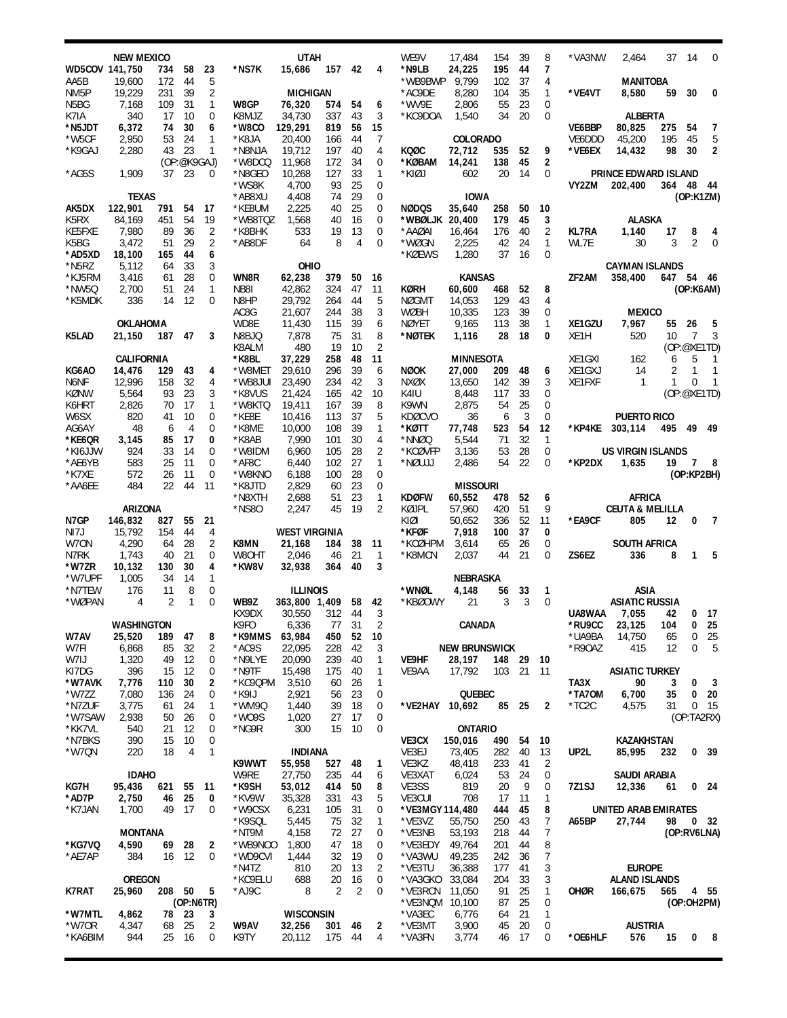|                           | <b>NEW MEXICO</b> |                |                      |                   |                    | <b>UTAH</b>          |            |          |                             | WE9V                 | 17,484                    | 154           | 39       | 8                           | *VA3NW           | 2,464                      | 37        | 14                          | 0                       |
|---------------------------|-------------------|----------------|----------------------|-------------------|--------------------|----------------------|------------|----------|-----------------------------|----------------------|---------------------------|---------------|----------|-----------------------------|------------------|----------------------------|-----------|-----------------------------|-------------------------|
| WD5COV 141,750            |                   | 734            | 58                   | 23                | *NS7K              | 15,686               | 157        | 42       | 4                           | *N9LB                | 24,225                    | 195           | 44       | 7                           |                  |                            |           |                             |                         |
| AA5B<br>NM <sub>5</sub> P | 19,600<br>19,229  | 172<br>231     | 44<br>39             | 5<br>2            |                    | <b>MICHIGAN</b>      |            |          |                             | *WB9BWP<br>*AC9DE    | 9,799<br>8,280            | 102<br>104    | 37<br>35 | 4<br>$\mathbf{1}$           | *VE4VT           | <b>MANITOBA</b><br>8,580   | 59        | 30                          | 0                       |
| N5BG                      | 7,168             | 109            | 31                   | $\mathbf{1}$      | W8GP               | 76,320               | 574        | 54       | 6                           | *WV9E                | 2,806                     | 55            | 23       | $\mathbf 0$                 |                  |                            |           |                             |                         |
| K7IA                      | 340               | 17             | 10                   | 0                 | K8MJZ              | 34,730               | 337        | 43       | 3                           | *KC9DOA              | 1,540                     | 34            | 20       | $\mathbf 0$                 |                  | <b>ALBERTA</b>             |           |                             |                         |
| *N5JDT                    | 6,372             | 74             | 30                   | 6                 | *W8CO              | 129,291              | 819        | 56       | 15                          |                      |                           |               |          |                             | VE6BBP           | 80,825                     | 275       | 54                          | 7<br>5                  |
| *W5CF<br>*K9GAJ           | 2,950<br>2,280    | 53<br>43       | 24<br>23             | 1<br>$\mathbf{1}$ | *K8JA<br>*N8NJA    | 20,400<br>19,712     | 166<br>197 | 44<br>40 | 7<br>4                      | KQØC                 | <b>COLORADO</b><br>72,712 | 535           | 52       | 9                           | VE6DDD<br>*VE6EX | 45,200<br>14,432           | 195<br>98 | 45<br>30                    | 2                       |
|                           |                   |                | (OP:@K9GAJ)          |                   | *W8DCQ             | 11,968               | 172        | 34       | 0                           | *KØBAM               | 14,241                    | 138           | 45       | $\overline{\mathbf{2}}$     |                  |                            |           |                             |                         |
| *AG5S                     | 1,909             | 37             | 23                   | 0                 | *N8GEO             | 10,268               | 127        | 33       | 1                           | *KIØJ                | 602                       | 20            | 14       | $\mathbf 0$                 |                  | PRINCE EDWARD ISLAND       |           |                             |                         |
|                           | <b>TEXAS</b>      |                |                      |                   | *WS8K<br>*AB8XU    | 4,700<br>4,408       | 93<br>74   | 25<br>29 | $\mathbf 0$<br>0            |                      | <b>IOWA</b>               |               |          |                             | VY2ZM            | 202,400                    | 364       | 48 44<br>(OP:K1ZM)          |                         |
| AK5DX                     | 122,901           | 791            | 54                   | 17                | *KE8UM             | 2,225                | 40         | 25       | 0                           | <b>NØDQS</b>         | 35,640                    | 258           | 50       | 10                          |                  |                            |           |                             |                         |
| K5RX                      | 84,169            | 451            | 54                   | 19                | *WB8TQZ            | 1,568                | 40         | 16       | 0                           | *WBØLJK 20,400       |                           | 179           | 45       | 3                           |                  | <b>ALASKA</b>              |           |                             |                         |
| KE5FXE                    | 7,980             | 89             | 36                   | 2                 | *K8BHK             | 533                  | 19         | 13       | $\mathbf 0$                 | *AAØAI               | 16,464                    | 176           | 40       | $\overline{2}$              | <b>KL7RA</b>     | 1,140                      | 17        | 8                           | 4                       |
| K5BG                      | 3,472             | 51             | 29                   | 2<br>6            | *AB8DF             | 64                   | 8          | 4        | $\overline{0}$              | *WØGN                | 2,225                     | 42            | 24<br>16 | $\mathbf{1}$<br>$\mathbf 0$ | WL7E             | 30                         | 3         | 2                           | $\mathbf 0$             |
| *AD5XD<br>*N5RZ           | 18,100<br>5,112   | 165<br>64      | 44<br>33             | 3                 |                    | OHIO                 |            |          |                             | *KØEWS               | 1,280                     | 37            |          |                             |                  | <b>CAYMAN ISLANDS</b>      |           |                             |                         |
| *KJ5RM                    | 3,416             | 61             | 28                   | 0                 | WN8R               | 62,238               | 379        | 50       | 16                          |                      | <b>KANSAS</b>             |               |          |                             | ZF2AM            | 358,400                    |           | 647 54 46                   |                         |
| *NW5Q                     | 2,700             | 51             | 24                   | $\mathbf{1}$      | NB8I               | 42,862               | 324        | 47       | 11                          | KØRH                 | 60,600                    | 468           | 52       | 8                           |                  |                            |           | (OP:K6AM)                   |                         |
| *K5MDK                    | 336               | 14             | 12                   | 0                 | N8HP               | 29,792               | 264        | 44       | 5                           | <b>NØGMT</b>         | 14,053                    | 129           | 43       | 4                           |                  |                            |           |                             |                         |
|                           | <b>OKLAHOMA</b>   |                |                      |                   | AC8G<br>WD8E       | 21,607<br>11,430     | 244<br>115 | 38<br>39 | 3<br>6                      | <b>WØBH</b><br>NØYET | 10,335<br>9,165           | 123<br>113    | 39<br>38 | 0<br>$\mathbf{1}$           | XE1GZU           | <b>MEXICO</b><br>7,967     | 55        | 26                          | 5                       |
| K5LAD                     | 21,150            | 187            | 47                   | 3                 | N8BJQ              | 7,878                | 75         | 31       | 8                           | *NØTEK               | 1,116                     | 28            | 18       | 0                           | XE1H             | 520                        | 10        | $\overline{7}$              | 3                       |
|                           |                   |                |                      |                   | K8ALM              | 480                  | 19         | 10       | $\overline{2}$              |                      |                           |               |          |                             |                  |                            |           | (OP:@XE1TD)                 |                         |
|                           | <b>CALIFORNIA</b> |                |                      |                   | *K8BL              | 37,229               | 258        | 48       | 11                          |                      | <b>MINNESOTA</b>          |               |          |                             | XE1GXI           | 162                        | 6         | 5                           | 1                       |
| KG6AO<br>N6NF             | 14,476<br>12,996  | 129<br>158     | 43<br>32             | 4<br>4            | *W8MET<br>*WB8JUI  | 29,610<br>23,490     | 296<br>234 | 39<br>42 | 6<br>3                      | <b>NØOK</b><br>NXØX  | 27,000<br>13,650          | 209<br>142    | 48<br>39 | 6<br>3                      | XE1GXJ<br>XE1FXF | 14<br>$\mathbf{1}$         | 2<br>1    | $\mathbf{1}$<br>$\mathbf 0$ | 1<br>1                  |
| KØNW                      | 5,564             | 93             | 23                   | 3                 | *K8VUS             | 21,424               | 165        | 42       | 10                          | K4IU                 | 8,448                     | 117           | 33       | $\mathbf 0$                 |                  |                            |           | (OP:@XE1TD)                 |                         |
| K6HRT                     | 2,826             | 70             | 17                   | 1                 | *W8KTQ             | 19,411               | 167        | 39       | 8                           | K9WN                 | 2,875                     | 54            | 25       | $\overline{0}$              |                  |                            |           |                             |                         |
| W6SX                      | 820               | 41             | 10                   | 0                 | *KE8E              | 10,416               | 113        | 37       | 5                           | <b>KDØCVO</b>        | 36                        | 6             | 3        | $\mathbf 0$                 |                  | <b>PUERTO RICO</b>         |           |                             |                         |
| AG6AY<br>*KE6QR           | 48<br>3,145       | 6<br>85        | $\overline{4}$<br>17 | 0<br>0            | *K8ME<br>*K8AB     | 10,000<br>7,990      | 108<br>101 | 39<br>30 | 1<br>4                      | *KØTT<br>*NNØQ       | 77,748<br>5,544           | 523<br>71     | 54<br>32 | 12<br>1                     | *KP4KE           | 303,114                    | 495       | 49 49                       |                         |
| *KI6JJW                   | 924               | 33             | 14                   | 0                 | *W8IDM             | 6,960                | 105        | 28       | 2                           | *KCØVFP              | 3,136                     | 53            | 28       | $\mathbf 0$                 |                  | <b>US VIRGIN ISLANDS</b>   |           |                             |                         |
| *AE6YB                    | 583               | 25             | 11                   | 0                 | *AF8C              | 6,440                | 102        | 27       | $\mathbf{1}$                | *NØUJJ               | 2,486                     | 54            | 22       | $\overline{0}$              | *KP2DX           | 1,635                      | 19        | 7                           | 8                       |
| *K7XE                     | 572               | 26             | 11                   | 0                 | *W8KNO             | 6,188                | 100        | 28       | $\mathbf 0$                 |                      |                           |               |          |                             |                  |                            |           | (OP:KP2BH)                  |                         |
| *AA6EE                    | 484               | 22             | 44                   | 11                | *K8JTD<br>*N8XTH   | 2,829<br>2,688       | 60<br>51   | 23<br>23 | $\mathbf 0$<br>$\mathbf{1}$ | <b>KDØFW</b>         | <b>MISSOURI</b><br>60,552 | 478           | 52       | 6                           |                  | AFRICA                     |           |                             |                         |
|                           | ARIZONA           |                |                      |                   | *NS80              | 2,247                | 45         | 19       | 2                           | KØJPL                | 57,960                    | 420           | 51       | 9                           |                  | <b>CEUTA &amp; MELILLA</b> |           |                             |                         |
| N7GP                      | 146,832           | 827            | 55                   | 21                |                    |                      |            |          |                             | KIØI                 | 50,652                    | 336           | 52       | 11                          | *EA9CF           | 805                        | 12        | 0                           | $\overline{7}$          |
| NI7J                      | 15,792            | 154            | 44                   | 4                 |                    | <b>WEST VIRGINIA</b> |            |          |                             | *KFØF                | 7,918                     | 100           | 37       | 0                           |                  |                            |           |                             |                         |
| W70N<br>N7RK              | 4,290<br>1,743    | 64<br>40       | 28<br>21             | 2<br>0            | K8MN<br>W80HT      | 21,168<br>2,046      | 184<br>46  | 38<br>21 | 11<br>$\mathbf{1}$          | *KCØHPM<br>*K8MCN    | 3,614<br>2,037            | 65<br>44      | 26<br>21 | 0<br>0                      | ZS6EZ            | <b>SOUTH AFRICA</b><br>336 | 8         | 1                           | 5                       |
| *W7ZR                     | 10,132            | 130            | 30                   | 4                 | *KW8V              | 32,938               | 364        | 40       | 3                           |                      |                           |               |          |                             |                  |                            |           |                             |                         |
| *W7UPF                    | 1,005             | 34             | 14                   | 1                 |                    |                      |            |          |                             |                      | NEBRASKA                  |               |          |                             |                  |                            |           |                             |                         |
| *N7TEW                    | 176               | 11             | 8                    | 0                 |                    | <b>ILLINOIS</b>      |            |          |                             | *WNØL                | 4,148                     | 56            | 33       | 1                           |                  | ASIA                       |           |                             |                         |
| *WØPAN                    | $\overline{4}$    | $\overline{2}$ | 1                    | 0                 | WB9Z<br>KX9DX      | 363,800 1,409        | 312        | 58<br>44 | 42<br>3                     | *KBØOWY              | 21                        | 3             | 3        | $\mathbf 0$                 | UA8WAA           | <b>ASIATIC RUSSIA</b>      | 42        |                             | $0$ 17                  |
|                           | <b>WASHINGTON</b> |                |                      |                   | K9FO               | 30,550<br>6,336      | 77         | 31       | $\overline{2}$              |                      | CANADA                    |               |          |                             | *RU9CC           | 7,055<br>23,125            | 104       | 0                           | 25                      |
| W7AV                      | 25,520            | 189            | 47                   | 8                 | *K9MMS             | 63,984               | 450        | 52       | 10                          |                      |                           |               |          |                             | *UA9BA           | 14,750                     | 65        | 0                           | 25                      |
| W7FI                      | 6,868             | 85             | 32                   | 2                 | *AC9S              | 22,095               | 228        | 42       | 3                           |                      | <b>NEW BRUNSWICK</b>      |               |          |                             | *R90AZ           | 415                        | 12        | 0                           | 5                       |
| W7IJ<br>KI7DG             | 1,320<br>396      | 49<br>15       | 12<br>12             | 0<br>0            | *N9LYE<br>*N9TF    | 20,090<br>15,498     | 239<br>175 | 40<br>40 | $\mathbf{1}$<br>1           | VE9HF<br>VE9AA       | 28,197<br>17,792          | 148 29<br>103 | 21       | - 10<br>-11                 |                  | <b>ASIATIC TURKEY</b>      |           |                             |                         |
| *W7AVK                    | 7,776             | 110            | 30                   | 2                 | *KC9QPM            | 3,510                | 60         | 26       | 1                           |                      |                           |               |          |                             | TA3X             | 90                         | 3         | 0                           | $\overline{\mathbf{3}}$ |
| $*$ W7ZZ                  | 7,080             | 136            | 24                   | 0                 | *K9IJ              | 2,921                | 56         | 23       | 0                           |                      | QUEBEC                    |               |          |                             | *TA70M           | 6,700                      | 35        |                             | 0 <sub>20</sub>         |
| *N7ZUF                    | 3,775             | 61             | 24                   | 1                 | *WM9Q              | 1,440                | 39         | 18       | 0                           | *VE2HAY 10,692       |                           | 85 25         |          | 2                           | $*$ TC2C         | 4,575                      | 31        |                             | $0$ 15                  |
| *W7SAW<br>*KK7VL          | 2,938<br>540      | 50<br>21       | 26<br>12             | 0                 | *WO9S<br>*NG9R     | 1,020<br>300         | 27<br>15   | 17<br>10 | 0<br>0                      |                      | <b>ONTARIO</b>            |               |          |                             |                  |                            |           | (OP:TA2RX)                  |                         |
| *N7BKS                    | 390               | 15             | 10                   | 0<br>0            |                    |                      |            |          |                             | <b>VE3CX</b>         | 150,016                   | 490           | 54       | 10                          |                  | KAZAKHSTAN                 |           |                             |                         |
| *W7QN                     | 220               | 18             | 4                    | 1                 |                    | <b>INDIANA</b>       |            |          |                             | VE3EJ                | 73,405                    | 282           | 40       | 13                          | UP2L             | 85,995                     | 232       |                             | 0 <sub>39</sub>         |
|                           |                   |                |                      |                   | K9WWT              | 55,958               | 527        | 48       | 1                           | VE3KZ                | 48,418                    | 233           | 41       | 2                           |                  |                            |           |                             |                         |
|                           | <b>IDAHO</b>      |                |                      |                   | W9RE               | 27,750<br>53,012     | 235        | 44       | 6                           | VE3XAT               | 6,024                     | 53            | 24       | 0                           |                  | SAUDI ARABIA               |           |                             |                         |
| KG7H<br>*AD7P             | 95,436<br>2,750   | 621<br>46      | 55<br>25             | 11<br>0           | *K9SH<br>*KV9W     | 35,328               | 414<br>331 | 50<br>43 | 8<br>5                      | VE3SS<br>VE3CUI      | 819<br>708                | 20<br>17      | 9<br>11  | 0<br>1                      | 7Z1SJ            | 12,336                     | 61        |                             | 0 <sub>24</sub>         |
| *K7JAN                    | 1,700             | 49             | 17                   | 0                 | *W9CSX             | 6,231                | 105        | 31       | 0                           | *VE3MGY 114,480      |                           | 444           | 45       | 8                           |                  | UNITED ARAB EMIRATES       |           |                             |                         |
|                           |                   |                |                      |                   | *K9SQL             | 5,445                | 75         | 32       | 1                           | *VE3VZ               | 55,750                    | 250           | 43       | 7                           | A65BP            | 27,744                     | 98        |                             | 0 <sub>32</sub>         |
|                           | <b>MONTANA</b>    |                |                      |                   | *NT9M              | 4,158                | 72         | 27       | 0                           | *VE3NB<br>*VE3EDY    | 53,193                    | 218           | 44       | 7                           |                  |                            |           | (OP:RV6LNA)                 |                         |
| *KG7VQ<br>*AE7AP          | 4,590<br>384      | 69<br>16       | 28<br>12             | 2<br>0            | *WB9NOO<br>*WD9CVI | 1,800<br>1,444       | 47<br>32   | 18<br>19 | 0<br>0                      | *VA3WU               | 49,764<br>49,235          | 201<br>242    | 44<br>36 | 8<br>7                      |                  |                            |           |                             |                         |
|                           |                   |                |                      |                   | *N4TZ              | 810                  | 20         | 13       | 2                           | *VE3TU               | 36,388                    | 177           | 41       | 3                           |                  | <b>EUROPE</b>              |           |                             |                         |
|                           | <b>OREGON</b>     |                |                      |                   | *KC9ELU            | 688                  | 20         | 16       | 0                           | *VA3GKO              | 33,084                    | 204           | 33       | 3                           |                  | <b>ALAND ISLANDS</b>       |           |                             |                         |
| K7RAT                     | 25,960            | 208 50         |                      | 5                 | *AJ9C              | 8                    | 2          | 2        | 0                           | *VE3RCN              | 11,050                    | 91            | 25       | 1                           | OHØR             | 166,675                    | 565       |                             | 4 55                    |
| *W7MTL                    | 4,862             |                | (OP:NGTR)<br>78 23   | 3                 |                    | <b>WISCONSIN</b>     |            |          |                             | *VE3NQM<br>*VA3EC    | 10,100<br>6,776           | 87<br>64      | 25<br>21 | 0<br>1                      |                  |                            |           | (OP:OH2PM)                  |                         |
| *W70R                     | 4,347             | 68             | 25                   | 2                 | W9AV               | 32,256               | 301        | 46       | 2                           | *VE3MT               | 3,900                     | 45            | 20       | 0                           |                  | <b>AUSTRIA</b>             |           |                             |                         |
| *KA6BIM                   | 944               |                | 25 16                | 0                 | K9TY               | 20,112               | 175        | 44       | 4                           | *VA3FN               | 3,774                     | 46            | 17       | 0                           | *OE6HLF          | 576                        | 15        | $\mathbf{0}$                | $_{\rm 8}$              |
|                           |                   |                |                      |                   |                    |                      |            |          |                             |                      |                           |               |          |                             |                  |                            |           |                             |                         |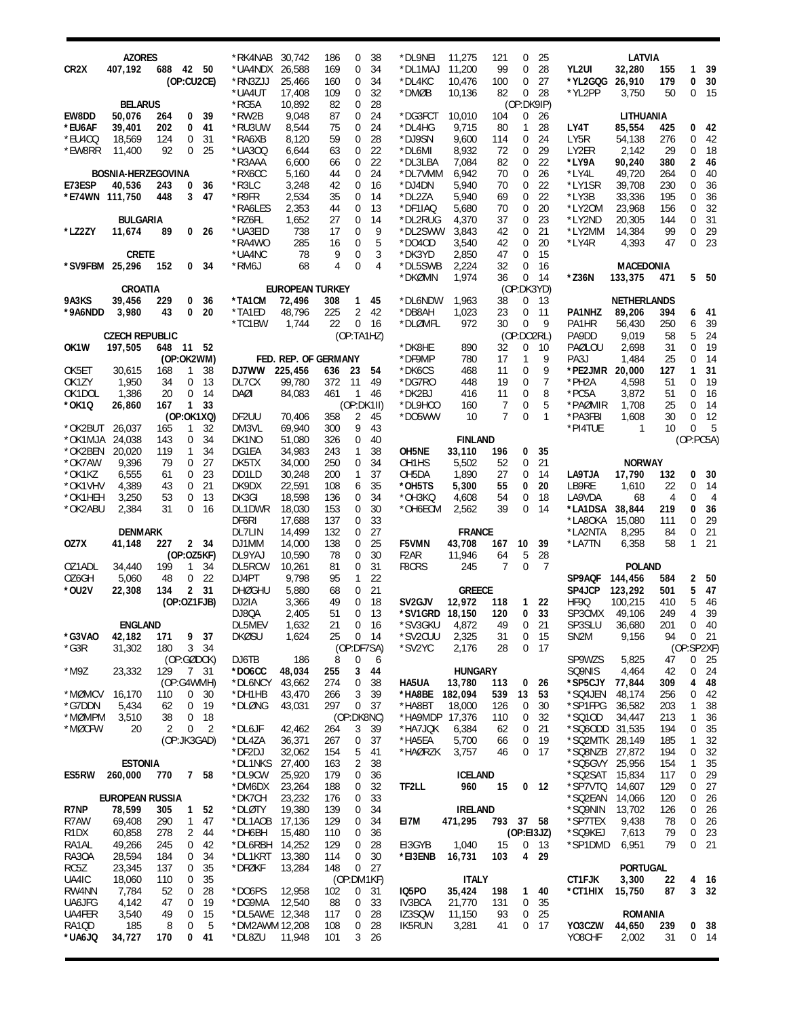|                   | <b>AZORES</b>             |           |                   |                 |                        |                        |            |                |           | *DL9NEI                               | 11,275         |            |                   |                 |                             | LATVIA             |            |                |                 |
|-------------------|---------------------------|-----------|-------------------|-----------------|------------------------|------------------------|------------|----------------|-----------|---------------------------------------|----------------|------------|-------------------|-----------------|-----------------------------|--------------------|------------|----------------|-----------------|
| CR <sub>2</sub> X | 407,192                   | 688 42 50 |                   |                 | *RK4NAB<br>*UA4NDX     | 30,742<br>26,588       | 186<br>169 | 0<br>0         | 38<br>34  | *DL1MAJ                               | 11,200         | 121<br>99  | 0<br>0            | 25<br>28        | YL2UI                       | 32,280             | 155        | 1              | 39              |
|                   |                           |           | (OP:CU2CE)        |                 | *RN3ZJJ                | 25,466                 | 160        | 0              | 34        | *DL4KC                                | 10,476         | 100        | 0                 | 27              | *YL2GQG                     | 26,910             | 179        | 0              | 30              |
|                   |                           |           |                   |                 | *UA4UT                 | 17,408                 | 109        | 0              | 32        | *DMØB                                 | 10,136         | 82         | 0                 | 28              | *YL2PP                      | 3,750              | 50         | 0              | 15              |
|                   | <b>BELARUS</b>            |           |                   |                 | *RG5A                  | 10,892                 | 82         | 0              | 28        |                                       |                |            | (OP:DK9IP)        |                 |                             |                    |            |                |                 |
| EW8DD             | 50,076                    | 264       | 0                 | 39              | *RW2B                  | 9,048                  | 87         | 0              | 24        | *DG3FCT                               | 10,010         | 104        | 0                 | 26              |                             | LITHUANIA          |            |                |                 |
| *EU6AF            | 39,401                    | 202       | 0                 | 41              | *RU3UW                 | 8,544                  | 75         | 0              | 24        | *DL4HG                                | 9,715          | 80         | $\mathbf{1}$      | 28              | LY4T                        | 85,554             | 425        | 0              | 42              |
| *EU4CQ            | 18,569                    | 124       | 0                 | 31              | *RA6XB                 | 8,120                  | 59         | 0              | 28        | *DJ9SN                                | 9,600          | 114        | 0                 | 24              | LY5R                        | 54,138             | 276        | $\mathbf 0$    | 42              |
| *EW8RR            | 11,400                    | 92        | 0                 | 25              | *UA300                 | 6,644                  | 63         | 0              | 22        | *DL6MI                                | 8,932          | 72         | 0                 | 29              | LY2ER                       | 2,142              | 29         | $\overline{0}$ | 18              |
|                   |                           |           |                   |                 | *R3AAA                 | 6,600                  | 66         | 0              | 22        | *DL3LBA                               | 7,084          | 82         | 0                 | 22              | *LY9A                       | 90,240             | 380        | 2              | 46              |
|                   | <b>BOSNIA-HERZEGOVINA</b> |           |                   |                 | *RX6CC                 | 5,160                  | 44         | 0              | 24        | *DL7VMM                               | 6,942          | 70         | 0                 | 26              | *LY4L                       | 49,720             | 264        | $\overline{0}$ | 40              |
| E73ESP            | 40,536                    | 243       | 0                 | 36              | *R3LC                  | 3,248                  | 42         | 0              | 16        | *DJ4DN                                | 5,940          | 70         | 0                 | 22              | *LY1SR                      | 39,708             | 230        | $\mathbf 0$    | 36              |
|                   | *E74WN 111,750            | 448       | 3                 | 47              | $*$ R9FR               | 2,534                  | 35         | 0              | 14        | *DL2ZA                                | 5,940          | 69         | 0                 | 22              | *LY3B                       | 33,336             | 195        | $\mathbf 0$    | 36              |
|                   |                           |           |                   |                 | *RA6LES                | 2,353                  | 44         | 0              | 13        | *DF1IAQ                               | 5,680          | 70         | 0                 | 20              | *LY20M                      | 23,968             | 156        | $\mathbf 0$    | 32              |
|                   | <b>BULGARIA</b>           |           |                   |                 | *RZ6FL                 | 1,652                  | 27         | 0              | 14        | *DL2RUG                               | 4,370          | 37         | 0                 | 23              | *LY2ND                      | 20,305             | 144        | $\mathbf 0$    | 31              |
| *LZ2ZY            | 11,674                    | 89        |                   | 0 <sub>26</sub> | *UA3EID                | 738                    | 17         | 0              | 9         | *DL2SWW                               | 3,843          | 42         | 0                 | 21              | *LY2MM                      | 14,384             | 99         | $\mathbf 0$    | 29              |
|                   |                           |           |                   |                 | *RA4WO                 | 285                    | 16         | 0              | 5         | $*$ DO4OD                             | 3,540          | 42         | 0                 | 20              | *LY4R                       | 4,393              | 47         | $\mathbf 0$    | 23              |
|                   | <b>CRETE</b>              |           |                   |                 | *UA4NC                 | 78                     | 9          | 0              | 3         | *DK3YD                                | 2,850          | 47         | 0                 | 15              |                             |                    |            |                |                 |
|                   | *SV9FBM 25,296            | 152       | 0                 | 34              | *RM6J                  | 68                     | 4          | 0              | 4         | *DL5SWB                               | 2,224          | 32         | $\mathbf 0$       | 16              |                             | <b>MACEDONIA</b>   |            |                |                 |
|                   |                           |           |                   |                 |                        |                        |            |                |           | *DKØMN                                | 1,974          | 36         | 0                 | 14              | *Z36N                       | 133,375            | 471        |                | 5 50            |
|                   | CROATIA                   |           |                   |                 |                        | <b>EUROPEAN TURKEY</b> |            |                |           |                                       |                |            | (OP:DK3YD)        |                 |                             |                    |            |                |                 |
| 9A3KS             | 39,456                    | 229       | 0                 | 36              | *TA1CM                 | 72,496                 | 308        | 1              | 45        | *DL6NDW                               | 1,963          | 38         | 0                 | 13              |                             | <b>NETHERLANDS</b> |            |                |                 |
| *9A6NDD           | 3,980                     | 43        | 0                 | 20              | *TA1ED                 | 48,796                 | 225        | 2              | 42        | *DB8AH                                | 1,023          | 23         | 0                 | 11              | PA1NHZ                      | 89,206             | 394        | 6              | -41             |
|                   |                           |           |                   |                 | *TC1BW                 | 1,744                  | 22         | 0              | 16        | *DLØMFL                               | 972            | 30         | $\mathbf 0$       | 9               | PA1HR                       | 56,430             | 250        | 6              | 39              |
|                   | <b>CZECH REPUBLIC</b>     |           |                   |                 |                        |                        |            | (OP:TA1HZ)     |           |                                       |                |            | (OP:DO2RL)        |                 | PA9DD                       | 9,019              | 58         | 5              | 24              |
| OK <sub>1</sub> W | 197,505                   | 648       | 11 52             |                 |                        | FED. REP. OF GERMANY   |            |                |           | *DK8HE<br>*DF9MP                      | 890            | 32         | 0<br>$\mathbf{1}$ | 10<br>9         | PAØLOU                      | 2,698              | 31         | $\mathbf 0$    | 19              |
|                   |                           | 168       | (OP:OK2WM)<br>1   |                 | DJ7WW                  |                        |            |                | 54        | *DK6CS                                | 780            | 17<br>11   | $\mathbf 0$       | 9               | PA3J<br>*PE2JMR 20,000      | 1,484              | 25<br>127  | 0<br>1         | -14<br>31       |
| OK5ET<br>OK1ZY    | 30,615<br>1,950           | 34        | 0                 | 38<br>13        | DL7CX                  | 225,456<br>99,780      | 636<br>372 | 23<br>11       | 49        | *DG7RO                                | 468<br>448     | 19         | 0                 | $\overline{7}$  | *PH2A                       | 4,598              | 51         | $\mathbf 0$    | 19              |
| OK1DOL            | 1,386                     | 20        | 0                 | 14              | DAØI                   | 84,083                 | 461        | $\mathbf{1}$   | 46        | *DK2BJ                                | 416            | 11         | 0                 | 8               | *PC5A                       | 3,872              | 51         | $\mathbf 0$    | 16              |
| *OK1Q             | 26,860                    | 167       | $\mathbf{1}$      | 33              |                        |                        |            | (OP:DK1II)     |           | *DL9HCO                               | 160            | 7          | 0                 | 5               | *PAØMIR                     | 1,708              | 25         | $\mathbf 0$    | -14             |
|                   |                           |           | (OP:OK1XQ)        |                 | DF2UU                  | 70,406                 | 358        | $\overline{2}$ | 45        | *D05WW                                | 10             | 7          | $\mathbf 0$       | $\mathbf{1}$    | *PA3FBI                     | 1,608              | 30         | $\mathbf 0$    | 12              |
| *OK2BUT           | 26,037                    | 165       | 1                 | 32              | DM3VL                  | 69,940                 | 300        | 9              | 43        |                                       |                |            |                   |                 | *PI4TUE                     | 1                  | 10         | $\Omega$       | - 5             |
| *OK1MJA           | 24,038                    | 143       | 0                 | 34              | DK1NO                  | 51,080                 | 326        | 0              | 40        |                                       | <b>FINLAND</b> |            |                   |                 |                             |                    |            | (OP:PC5A)      |                 |
| *OK2BEN           | 20,020                    | 119       | $\mathbf{1}$      | 34              | DG1EA                  | 34,983                 | 243        | 1              | 38        | OH5NE                                 | 33,110         | 196        | 0                 | 35              |                             |                    |            |                |                 |
| *OK7AW            | 9,396                     | 79        | 0                 | 27              | DK5TX                  | 34,000                 | 250        | 0              | 34        | OH1HS                                 | 5,502          | 52         | 0                 | 21              |                             | <b>NORWAY</b>      |            |                |                 |
| *OK1KZ            | 6,555                     | 61        | 0                 | 23              | DD1LD                  | 30,248                 | 200        | $\mathbf{1}$   | 37        | OH5DA                                 | 1,890          | 27         | 0                 | 14              | LA9TJA                      | 17,790             | 132        | 0              | 30              |
| *OK1VHV           | 4,389                     | 43        | 0                 | 21              | DK9DX                  | 22,591                 | 108        | 6              | 35        | *OH5TS                                | 5,300          | 55         | 0                 | 20              | LB9RE                       | 1,610              | 22         | 0              | 14              |
| *OK1HEH           | 3,250                     | 53        | 0                 | 13              | DK3GI                  | 18,598                 | 136        | 0              | 34        | *OH3KQ                                | 4,608          | 54         | 0                 | 18              | LA9VDA                      | 68                 | 4          | $\mathbf 0$    | $\overline{4}$  |
| *OK2ABU           | 2,384                     | 31        | 0                 | 16              | DL1DWR                 | 18,030                 | 153        | 0              | 30        | *OH6ECM                               | 2,562          | 39         | $\mathbf 0$       | 14              | *LA1DSA                     | 38,844             | 219        | 0              | 36              |
|                   |                           |           |                   |                 | DF6RI                  | 17,688                 | 137        | 0              | 33        |                                       |                |            |                   |                 | *LA8OKA                     | 15,080             | 111        | $\overline{0}$ | 29              |
|                   | <b>DENMARK</b>            |           |                   |                 | DL7LIN                 | 14,499                 | 132        | 0              | 27        |                                       | <b>FRANCE</b>  |            |                   |                 | *LA2NTA                     | 8,295              | 84         | 0              | 21              |
| OZ7X              | 41,148                    | 227       |                   | 2 34            | DJ1MM                  | 14,000                 | 138        | 0              | 25        | F5VMN                                 | 43,708         | 167        | 10                | 39              | *LA7TN                      | 6,358              | 58         | $\mathbf{1}$   | 21              |
|                   |                           |           | (OP:OZ5KF)        |                 | DL9YAJ                 | 10,590                 | 78         | 0              | 30        | F <sub>2</sub> AR                     | 11,946         | 64         | 5                 | 28              |                             |                    |            |                |                 |
| OZ1ADL            | 34,440                    | 199       | $\mathbf{1}$      | 34              | DL5RCW                 | 10,261                 | 81         | 0              | 31        | F8CRS                                 | 245            | 7          | 0                 | 7               |                             | <b>POLAND</b>      |            |                |                 |
| OZ6GH             | 5,060                     | 48        | 0                 | 22              | DJ4PT                  | 9,798                  | 95         | 1              | 22        |                                       |                |            |                   |                 | SP9AQF                      | 144,456            | 584        | 2              | 50              |
| *0U2V             | 22,308                    | 134       |                   | 2 31            | <b>DHØGHU</b>          | 5,880                  | 68         | 0              | 21        |                                       | <b>GREECE</b>  |            |                   |                 | SP4JCP                      | 123,292            | 501        | 5              | 47              |
|                   |                           |           | (OP:OZ1FJB)       |                 | DJ2IA<br>DJ8QA         | 3,366<br>2,405         | 49<br>51   | 0<br>0         | 18<br>13  | SV <sub>2</sub> GJV<br>*SV1GRD 18,150 | 12,972         | 118<br>120 | 1<br>0            | 22<br>33        | HF9Q<br>SP3CMX              | 100,215<br>49,106  | 410<br>249 | 5<br>4         | 46<br>39        |
|                   | <b>ENGLAND</b>            |           |                   |                 |                        |                        | 21         | 0              |           |                                       |                |            | 0                 |                 |                             |                    | 201        |                | $0$ 40          |
| *G3VAO            | 42,182                    | 171       |                   | 9 37            | DLSMEV<br><b>DKØSU</b> | 1,632<br>1,624         | 25         | 0              | 16<br>-14 | *SV3GKU<br>*SV2CUU                    | 4,872<br>2,325 | 49<br>31   | 0                 | 21<br>-15       | SP3SLU<br>SN <sub>2</sub> M | 36,680<br>9,156    | 94         |                | $0$ 21          |
| $*G3R$            | 31,302                    | 180       | 3 <sup>1</sup>    | 34              |                        |                        |            | (OP:DF7SA)     |           | *SV2YC                                | 2,176          | 28         | 0                 | 17              |                             |                    |            | (OP:SP2XF)     |                 |
|                   |                           |           | (OP:GØDCK)        |                 | DJ6TB                  | 186                    | 8          | 0              | 6         |                                       |                |            |                   |                 | SP9WZS                      | 5,825              | 47         | 0              | 25              |
| $*$ M9Z           | 23,332                    | 129       |                   | 7 31            | $*$ DO6CC              | 48,034                 | 255        | 3              | 44        |                                       | <b>HUNGARY</b> |            |                   |                 | SQ9NIS                      | 4,464              | 42         | 0              | 24              |
|                   |                           |           | (OP:G4WMH)        |                 | *DL6NCY                | 43,662                 | 274        | 0              | 38        | HA5UA                                 | 13,780         | 113        | $\mathbf{0}$      | 26              | *SP5CJY                     | 77,844             | 309        | 4              | 48              |
| *MØMCV            | 16,170                    | 110       | 0                 | 30              | *DH1HB                 | 43,470                 | 266        | 3              | 39        | *HA8BE                                | 182,094        | 539        | 13                | 53              | *SQ4JEN                     | 48,174             | 256        | 0              | 42              |
| *G7DDN            | 5,434                     | 62        | 0                 | 19              | *DLØNG                 | 43,031                 | 297        | 0              | 37        | *HA8BT                                | 18,000         | 126        | 0                 | 30              | *SP1FPG                     | 36,582             | 203        | 1              | 38              |
| *MØMPM            | 3,510                     | 38        | 0                 | 18              |                        |                        |            | (OP:DK8NC)     |           | *HA9MDP 17,376                        |                | 110        | 0                 | 32              | *SQ10D                      | 34,447             | 213        | $\mathbf{1}$   | 36              |
| *MØCFW            | 20                        | 2         | 0                 | 2               | *DL6JF                 | 42,462                 | 264        | 3              | 39        | *HA7JQK                               | 6,384          | 62         | 0                 | 21              | *SQ6ODD                     | 31,535             | 194        | 0              | 35              |
|                   |                           |           | (OP:JK3GAD)       |                 | *DL4ZA                 | 36,371                 | 267        | 0              | 37        | *HA5EA                                | 5,700          | 66         | 0                 | 19              | *SQ2MTK 28,149              |                    | 185        | 1              | 32              |
|                   |                           |           |                   |                 | *DF2DJ                 | 32,062                 | 154        | 5              | 41        | *HAØRZK                               | 3,757          | 46         | $\mathbf 0$       | 17              | *SQ8NZB                     | 27,872             | 194        | 0              | 32              |
|                   | <b>ESTONIA</b>            |           |                   |                 | *DL1NKS                | 27,400                 | 163        | 2              | 38        |                                       |                |            |                   |                 | *SQ5GVY                     | 25,956             | 154        | $\mathbf{1}$   | 35              |
| ES5RW             | 260,000                   | 770       |                   | 7 58            | *DL9CW                 | 25,920                 | 179        | 0              | 36        |                                       | <b>ICELAND</b> |            |                   |                 | *SQ2SAT                     | 15,834             | 117        | 0              | 29              |
|                   |                           |           |                   |                 | *DM6DX                 | 23,264                 | 188        | 0              | 32        | TF2LL                                 | 960            | 15         |                   | 0 <sub>12</sub> | *SP7VTQ                     | 14,607             | 129        | 0              | 27              |
|                   | <b>EUROPEAN RUSSIA</b>    | 305       |                   |                 | *DK7CH<br>*DLØTY       | 23,232                 | 176<br>139 | 0              | 33<br>34  |                                       | <b>IRELAND</b> |            |                   |                 | *SQ2EAN<br>*SQ9NIN          | 14,066<br>13,702   | 120<br>126 | 0<br>0         | 26<br>26        |
| R7NP<br>R7AW      | 78,599<br>69,408          | 290       | $\mathbf{1}$<br>1 | 52<br>47        | *DL1AOB                | 19,380<br>17,136       | 129        | 0<br>0         | 34        | EI7M                                  | 471,295        | 793 37 58  |                   |                 | *SP7TEX                     | 9,438              | 78         | $\mathbf 0$    | 26              |
| R <sub>1</sub> DX | 60,858                    | 278       | 2                 | 44              | *DH6BH                 | 15,480                 | 110        | 0              | 36        |                                       |                |            | (OP: E13JZ)       |                 | *SQ9KEJ                     | 7,613              | 79         | 0              | 23              |
| RA1AL             | 49,266                    | 245       | 0                 | 42              | *DL6RBH                | 14,252                 | 129        | 0              | 28        | EI3GYB                                | 1,040          | 15         |                   | 0 <sub>13</sub> | *SP1DMD                     | 6,951              | 79         | 0              | 21              |
| RA30A             | 28,594                    | 184       | 0                 | 34              | *DL1KRT                | 13,380                 | 114        | 0              | 30        | *EI3ENB                               | 16,731         | 103        | 4                 | 29              |                             |                    |            |                |                 |
| RC5Z              | 23,345                    | 137       | 0                 | 35              | *DFØKF                 | 13,284                 | 148        | $\overline{0}$ | 27        |                                       |                |            |                   |                 |                             | <b>PORTUGAL</b>    |            |                |                 |
| UA4IC             | 18,060                    | 110       | 0                 | 35              |                        |                        |            | (OP:DM1KF)     |           |                                       | <b>ITALY</b>   |            |                   |                 | CT1FJK                      | 3,300              | 22         |                | 4 16            |
| RW4NN             | 7,784                     | 52        | 0                 | 28              | *DO6PS                 | 12,958                 | 102        | 0              | 31        | IQ5PO                                 | 35,424         | 198        | $\mathbf{1}$      | 40              | *CT1HIX                     | 15,750             | 87         |                | 3 <sub>32</sub> |
| UA6JFG            | 4,142                     | 47        | 0                 | 19              | *DG9MA                 | 12,540                 | 88         | 0              | 33        | IV3BCA                                | 21,770         | 131        | 0                 | 35              |                             |                    |            |                |                 |
| UA4FER            | 3,540                     | 49        | 0                 | 15              | *DL5AWE 12,348         |                        | 117        | 0              | 28        | IZ3SQW                                | 11,150         | 93         | 0                 | 25              |                             | ROMANIA            |            |                |                 |
| RA1QD             | 185                       | 8         | 0                 | 5               | *DM2AWM 12,208         |                        | 108        | 0              | 28        | <b>IK5RUN</b>                         | 3,281          | 41         | 0                 | -17             | Y03CZW                      | 44,650             | 239        |                | 0 <sub>38</sub> |
| *UA6JQ            | 34,727                    | 170       | 0                 | 41              | *DL8ZU                 | 11,948                 | 101        | 3              | 26        |                                       |                |            |                   |                 | YO8CHF                      | 2,002              | 31         |                | $0$ 14          |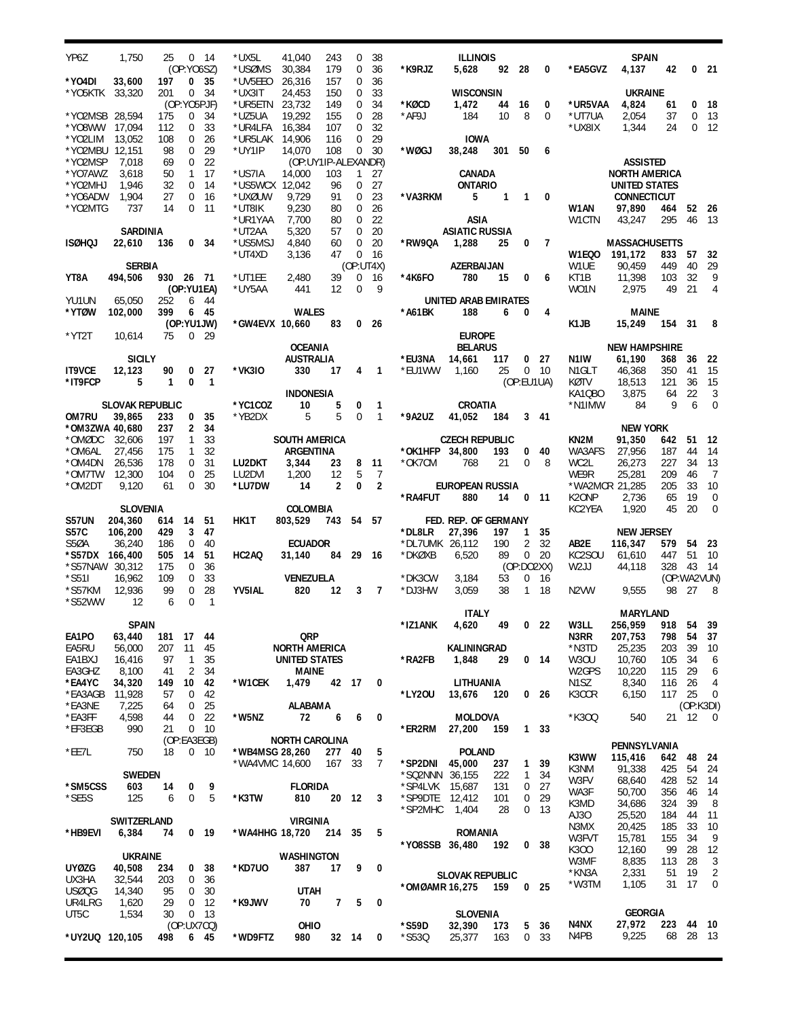| YP6Z                    | 1,750                   | 25         |                   | $0 \t14$              | *UX5L                     | 41,040                                | 243                  | 0                          | 38                  |                           | <b>ILLINOIS</b>             |              |                                  |                                    |                              | <b>SPAIN</b>                        |            |                |                          |
|-------------------------|-------------------------|------------|-------------------|-----------------------|---------------------------|---------------------------------------|----------------------|----------------------------|---------------------|---------------------------|-----------------------------|--------------|----------------------------------|------------------------------------|------------------------------|-------------------------------------|------------|----------------|--------------------------|
| *YO4DI                  | 33,600                  | 197        | (OP:YO6SZ)        | 0 35                  | *USØMS<br>*UV5EEO         | 30,384<br>26,316                      | 179<br>157           | 0<br>0                     | 36<br>36            | *K9RJZ                    | 5,628                       | 92 28        |                                  | $\overline{\mathbf{0}}$            | *EA5GVZ                      | 4,137                               | 42         |                | 021                      |
| *YO5KTK                 | 33,320                  | 201        | $\mathbf{0}$      | 34                    | *UX3IT                    | 24.453                                | 150                  | 0                          | 33                  |                           | <b>WISCONSIN</b>            |              |                                  |                                    |                              | <b>UKRAINE</b>                      |            |                |                          |
|                         |                         |            | (OP:YO5PJF)       |                       | *UR5ETN 23,732            |                                       | 149                  | 0                          | 34                  | *KØCD                     | 1,472                       | 44           | 16                               | 0                                  | *UR5VAA                      | 4,824                               | 61         |                | 0 <sub>18</sub>          |
| *YO2MSB 28.594          |                         | 175        | $\overline{0}$    | 34                    | *UZ5UA                    | 19,292                                | 155                  | 0                          | 28                  | *AF9J                     | 184                         | 10           | 8                                | 0                                  | *UT7UA                       | 2,054                               | 37         |                | 0 <sub>13</sub>          |
| *Y08WW<br>*YO2LIM       | 17,094<br>13.052        | 112<br>108 | 0<br>0            | 33<br>26              | *UR4LFA<br>*UR5LAK 14,906 | 16,384                                | 107<br>116           | 0<br>0                     | 32<br>29            |                           | <b>IOWA</b>                 |              |                                  |                                    | *UX8IX                       | 1,344                               | 24         |                | $0 \t12$                 |
| *YO2MBU 12,151          |                         | 98         | 0                 | 29                    | *UY1IP                    | 14,070                                | 108                  | 0                          | 30                  | *WØGJ                     | 38,248                      | 301 50       |                                  | 6                                  |                              |                                     |            |                |                          |
| *Y02MSP                 | 7,018                   | 69         | $\mathbf 0$       | 22                    |                           | (OP:UY1IP-ALEXANDR)                   |                      |                            |                     |                           |                             |              |                                  |                                    |                              | <b>ASSISTED</b>                     |            |                |                          |
| *YO7AWZ                 | 3,618                   | 50         |                   | 1 17                  | *US7IA                    | 14,000                                | 103                  | 1                          | 27                  |                           | CANADA<br><b>ONTARIO</b>    |              |                                  |                                    |                              | <b>NORTH AMERICA</b>                |            |                |                          |
| *YO2MHJ<br>*Y06ADW      | 1,946<br>1,904          | 32<br>27   | $\mathbf 0$<br>0  | -14<br>16             | *US5WCX 12,042<br>*UXØUW  | 9.729                                 | 96<br>91             | 0<br>0                     | 27<br>23            | *VA3RKM                   | 5                           | $\mathbf{1}$ |                                  | $1 \quad 0$                        |                              | UNITED STATES<br><b>CONNECTICUT</b> |            |                |                          |
| *YO2MTG                 | 737                     | 14         | 0                 | -11                   | *UT8IK                    | 9,230                                 | 80                   | $\mathbf 0$                | 26                  |                           |                             |              |                                  |                                    | W1AN                         | 97,890                              | 464        | 52 26          |                          |
|                         |                         |            |                   |                       | *UR1YAA                   | 7,700                                 | 80                   | 0                          | 22                  |                           | ASIA                        |              |                                  |                                    | W1CTN                        | 43,247                              | 295        | 46 13          |                          |
|                         | <b>SARDINIA</b>         |            |                   |                       | *UT2AA                    | 5,320                                 | 57                   | $\mathbf 0$                | 20                  |                           | <b>ASIATIC RUSSIA</b>       |              |                                  |                                    |                              |                                     |            |                |                          |
| <b>ISØHQJ</b>           | 22,610                  | 136        |                   | 0 <sub>34</sub>       | *US5MSJ<br>*UT4XD         | 4,840<br>3,136                        | 60<br>47             | $\mathbf 0$<br>$\mathbf 0$ | 20<br>16            | *RW9QA                    | 1,288                       | 25           | 0                                | 7                                  | W1EQO                        | <b>MASSACHUSETTS</b><br>191,172     | 833        | 57             | 32                       |
|                         | <b>SERBIA</b>           |            |                   |                       |                           |                                       |                      |                            | (OP:UT4X)           |                           | AZERBAIJAN                  |              |                                  |                                    | W1UE                         | 90,459                              | 449        | 40             | 29                       |
| YT8A                    | 494,506                 | 930 26 71  |                   |                       | *UT1EE                    | 2,480                                 | 39                   | 0                          | -16                 | *4K6FO                    | 780                         | 15           | 0                                | 6                                  | KT1B                         | 11,398                              | 103        | 32             | 9                        |
|                         |                         |            |                   | (OP:YU1EA)            | *UY5AA                    | 441                                   | 12                   | 0                          | - 9                 |                           |                             |              |                                  |                                    | WO1N                         | 2,975                               | 49         | 21             | 4                        |
| YU1UN<br>*YTØW          | 65,050<br>102,000       | 252<br>399 |                   | 6 44<br>6 45          |                           | <b>WALES</b>                          |                      |                            |                     | *A61BK                    | UNITED ARAB EMIRATES<br>188 | 6            | 0                                | 4                                  |                              | MAINE                               |            |                |                          |
|                         |                         |            |                   | (OP:YU1JW)            | *GW4EVX 10,660            |                                       | 83                   |                            | 0 <sub>26</sub>     |                           |                             |              |                                  |                                    | K1JB                         | 15,249                              | 154 31     |                | 8                        |
| $*$ YT2T                | 10.614                  | 75         |                   | 0 <sub>29</sub>       |                           |                                       |                      |                            |                     |                           | <b>EUROPE</b>               |              |                                  |                                    |                              |                                     |            |                |                          |
|                         |                         |            |                   |                       |                           | <b>OCEANIA</b>                        |                      |                            |                     |                           | <b>BELARUS</b>              |              |                                  |                                    |                              | <b>NEW HAMPSHIRE</b>                |            |                |                          |
| <b>IT9VCE</b>           | <b>SICILY</b><br>12,123 | 90         |                   | 0 <sub>27</sub>       | *VK3IO                    | <b>AUSTRALIA</b><br>330               | 17                   | 4                          | $\mathbf{1}$        | *EU3NA<br>*EU1WW          | 14,661<br>1,160             | 117<br>25    |                                  | 0 <sub>27</sub><br>0 <sub>10</sub> | N1IW<br>N1GLT                | 61,190<br>46.368                    | 368<br>350 | 36<br>-41      | - 22<br>15               |
| *IT9FCP                 | 5                       | 1          | $\mathbf{0}$      | $\overline{1}$        |                           |                                       |                      |                            |                     |                           |                             |              | (OP:EU1UA)                       |                                    | KØTV                         | 18,513                              | 121        | 36             | - 15                     |
|                         |                         |            |                   |                       |                           | INDONESIA                             |                      |                            |                     |                           |                             |              |                                  |                                    | KA1QBO                       | 3,875                               | 64         | 22             | 3                        |
|                         | <b>SLOVAK REPUBLIC</b>  |            |                   |                       | *YC1COZ                   | 10                                    | 5                    | 0                          | $\mathbf{1}$        |                           | CROATIA                     |              |                                  |                                    | *N1IMW                       | 84                                  | 9          | 6              | $\mathbf 0$              |
| OM7RU<br>*OM3ZWA 40,680 | 39,865                  | 233<br>237 | 0<br>2            | 35<br>34              | *YB2DX                    | 5                                     | 5                    | $\mathbf 0$                | $\mathbf{1}$        | *9A2UZ                    | 41,052                      | 184          |                                  | 3 41                               |                              | <b>NEW YORK</b>                     |            |                |                          |
| *OMØDC                  | 32,606                  | 197        | 1                 | 33                    |                           | SOUTH AMERICA                         |                      |                            |                     |                           | <b>CZECH REPUBLIC</b>       |              |                                  |                                    | KN2M                         | 91,350                              | 642        | 51             | - 12                     |
| *OM6AL                  | 27,456                  | 175        | 1                 | 32                    |                           | ARGENTINA                             |                      |                            |                     | *OK1HFP 34,800            |                             | 193          |                                  | $0\quad 40$                        | WA3AFS                       | 27,956                              | 187        | 44             | 14                       |
| *OM4DN                  | 26,536                  | 178        | 0                 | 31                    | LU2DKT                    | 3,344                                 | 23                   | 8                          | 11                  | *OK7CM                    | 768                         | 21           | 0                                | 8                                  | WC2L                         | 26,273                              | 227        | 34             | 13                       |
| $*$ OM7TW<br>*OM2DT     | 12,300<br>9,120         | 104<br>61  | 0<br>$\Omega$     | 25<br>30              | LU2DVI<br>*LU7DW          | 1,200<br>14                           | 12<br>$\overline{2}$ | 5<br>0                     | 7<br>$\overline{2}$ |                           | EUROPEAN RUSSIA             |              |                                  |                                    | WE9R<br>*WA2MCR 21,285       | 25,281                              | 209<br>205 | 46<br>33       | $\overline{7}$<br>10     |
|                         |                         |            |                   |                       |                           |                                       |                      |                            |                     |                           |                             |              |                                  | $0$ 11                             |                              |                                     |            |                |                          |
|                         |                         |            |                   |                       |                           |                                       |                      |                            |                     |                           |                             |              |                                  |                                    |                              |                                     |            |                |                          |
|                         | <b>SLOVENIA</b>         |            |                   |                       |                           | <b>COLOMBIA</b>                       |                      |                            |                     | *RA4FUT                   | 880                         | 14           |                                  |                                    | K <sub>2</sub> ONP<br>KC2YEA | 2,736<br>1,920                      | 65<br>45   | 19<br>20       | 0<br>$\mathbf 0$         |
| S57UN                   | 204,360                 | 614        | 14                | 51                    | HK1T                      | 803,529 743 54 57                     |                      |                            |                     |                           | FED. REP. OF GERMANY        |              |                                  |                                    |                              |                                     |            |                |                          |
| S <sub>57</sub> C       | 106,200                 | 429        | 3                 | 47                    |                           |                                       |                      |                            |                     | *DL8LR                    | 27,396                      | 197          | 1                                | 35                                 |                              | <b>NEW JERSEY</b>                   |            |                |                          |
| S5ØA<br>*S57DX 166,400  | 36,240                  | 186<br>505 | $\mathbf 0$<br>14 | 40<br>51              | HC2AQ                     | <b>ECUADOR</b>                        | 84                   | 29                         |                     | *DL7UMK 26,112<br>*DKØXB  | 6,520                       | 190<br>89    | $\overline{2}$<br>$\overline{0}$ | 32<br>20                           | AB2E<br>KC2SOU               | 116,347                             | 579<br>447 | 54<br>51       | - 23<br>10               |
| *S57NAW 30,312          |                         | 175        | $\mathbf 0$       | 36                    |                           | 31,140                                |                      |                            | - 16                |                           |                             |              | (OP:DO2XX)                       |                                    | W2JJ                         | 61,610<br>44,118                    | 328        | 43             | - 14                     |
| $*$ S51I                | 16,962                  | 109        | 0                 | 33                    |                           | VENEZUELA                             |                      |                            |                     | *DK3CW                    | 3,184                       | 53           | 0                                | 16                                 |                              |                                     |            | (OP:WA2VUN)    |                          |
| *S57KM                  | 12,936                  | 99         | 0                 | 28                    | <b>YV5IAL</b>             | 820                                   | 12                   | 3                          | $\overline{7}$      | *DJ3HW                    | 3,059                       | 38           |                                  | 1 18                               | N2VW                         | 9,555                               | 98         | - 27           | - 8                      |
| *S52WW                  | 12                      | 6          | $\Omega$          | $\overline{1}$        |                           |                                       |                      |                            |                     |                           | <b>ITALY</b>                |              |                                  |                                    |                              | <b>MARYLAND</b>                     |            |                |                          |
|                         | <b>SPAIN</b>            |            |                   |                       |                           |                                       |                      |                            |                     | *IZ1ANK                   | 4,620                       |              |                                  |                                    | 49 0 22 W3LL 256,959         |                                     | 918 54 39  |                |                          |
| EA1PO                   | 63,440                  | 181        | 17 44             |                       |                           | QRP                                   |                      |                            |                     |                           |                             |              |                                  |                                    | N3RR                         | 207,753                             | 798        | 54             | 37                       |
| EA5RU                   | 56,000                  | 207        | 11                | 45                    |                           | NORTH AMERICA                         |                      |                            |                     |                           | KALININGRAD                 |              |                                  |                                    | *N3TD                        | 25,235                              | 203        | 39             | 10                       |
| EA1BXJ<br>EA3GHZ        | 16,416<br>8,100         | 97<br>41   | 1<br>2            | 35<br>34              |                           | UNITED STATES<br>MAINE                |                      |                            |                     | *RA2FB                    | 1,848                       | 29           |                                  | $0 \t14$                           | W3OU<br>W2GPS                | 10,760<br>10,220                    | 105<br>115 | 34<br>29       | 6<br>6                   |
| *EA4YC                  | 34,320                  | 149        | 10                | 42                    | *W1CEK                    | 1,479 42 17 0                         |                      |                            |                     |                           | LITHUANIA                   |              |                                  |                                    | N1SZ                         | 8,340                               | 116        | 26             | 4                        |
| *EA3AGB                 | 11,928                  | 57         | 0                 | 42                    |                           |                                       |                      |                            |                     | *LY20U                    | 13,676                      | 120          |                                  | 0 26                               | K3CCR                        | 6,150                               | 117 25     |                | $\mathbf 0$              |
| *EA3NE                  | 7,225                   | 64         | 0                 | 25                    |                           | ALABAMA                               |                      |                            |                     |                           |                             |              |                                  |                                    |                              |                                     |            | (OP:K3DI)      |                          |
| *EA3FF<br>*EF3EGB       | 4,598<br>990            | 44<br>21   | 0                 | 22<br>0 <sub>10</sub> | *W5NZ                     | 72                                    | 6                    | 6                          | 0                   | *ER2RM                    | MOLDOVA<br>27,200           | 159          |                                  | 1 <sup>33</sup>                    | *K300                        | 540                                 |            | 21 12          | $\overline{\phantom{0}}$ |
|                         |                         |            |                   | (OP:EA3EGB)           |                           | <b>NORTH CAROLINA</b>                 |                      |                            |                     |                           |                             |              |                                  |                                    |                              | PENNSYLVANIA                        |            |                |                          |
| *EE7L                   | 750                     | 18         |                   | 0 <sub>10</sub>       | *WB4MSG 28,260            |                                       | 277 40               |                            | 5                   |                           | <b>POLAND</b>               |              |                                  |                                    | K3WW                         | 115,416                             | 642        | 48             | - 24                     |
|                         |                         |            |                   |                       | *WA4VMC 14,600            |                                       | 167 33               |                            | 7                   | *SP2DNI                   | 45,000                      | 237          | $\mathbf{1}$                     | 39                                 | K3NM                         | 91,338                              | 425        | 54             | -24                      |
| *SM5CSS                 | <b>SWEDEN</b><br>603    | 14         | 0                 | 9                     |                           | <b>FLORIDA</b>                        |                      |                            |                     | *SQ2NNN 36,155<br>*SP4LVK | 15,687                      | 222<br>131   | $\mathbf{1}$<br>0                | 34<br>27                           | W3FV                         | 68,640                              | 428        | 52             | -14                      |
| *SE5S                   | 125                     | 6          | $\overline{0}$    | 5                     | *K3TW                     | 810                                   | 20 12                |                            | 3                   | *SP9DTE                   | 12,412                      | 101          | 0                                | 29                                 | WA3F                         | 50,700                              | 356        | 46             | -14                      |
|                         |                         |            |                   |                       |                           |                                       |                      |                            |                     | *SP2MHC                   | 1,404                       | 28           | 0                                | 13                                 | K3MD<br>AJ30                 | 34,686<br>25,520                    | 324<br>184 | 39<br>44       | - 8<br>-11               |
| *HB9EVI                 | SWITZERLAND<br>6,384    | 74         |                   | $0$ 19                |                           | <b>VIRGINIA</b><br>*WA4HHG 18,720 214 |                      | 35                         | 5                   |                           |                             |              |                                  |                                    | N3MX                         | 20,425                              | 185        | 33             | 10                       |
|                         |                         |            |                   |                       |                           |                                       |                      |                            |                     | *Y08SSB 36,480            | <b>ROMANIA</b>              | 192          |                                  | 0 <sup>38</sup>                    | W3FVT                        | 15,781                              | 155        | 34             | 9                        |
|                         | <b>UKRAINE</b>          |            |                   |                       |                           | <b>WASHINGTON</b>                     |                      |                            |                     |                           |                             |              |                                  |                                    | K300<br>W3MF                 | 12,160<br>8,835                     | 99<br>113  | 28<br>28       | 12<br>3                  |
| <b>UYØZG</b>            | 40,508                  | 234        |                   | 0 <sub>38</sub>       | *KD7U0                    | 387                                   | 17                   | 9                          | $\bf{0}$            |                           | <b>SLOVAK REPUBLIC</b>      |              |                                  |                                    | *KN3A                        | 2,331                               | 51         | 19             | $\overline{2}$           |
| UX3HA<br>USØQG          | 32,544<br>14,340        | 203<br>95  | $\mathbf 0$<br>0  | 36<br>30              |                           | <b>UTAH</b>                           |                      |                            |                     | *OMØAMR 16,275            |                             | 159 0 25     |                                  |                                    | *W3TM                        | 1,105                               | 31         | 17             | 0                        |
| UR4LRG                  | 1,620                   | 29         | 0                 | 12                    | *K9JWV                    | 70                                    | $\overline{7}$       | 5                          | 0                   |                           |                             |              |                                  |                                    |                              |                                     |            |                |                          |
| UT5C                    | 1,534                   | 30         |                   | 0 <sub>13</sub>       |                           |                                       |                      |                            |                     |                           | <b>SLOVENIA</b>             |              |                                  |                                    |                              | <b>GEORGIA</b>                      |            |                |                          |
| *UY2UQ 120,105          |                         | 498        |                   | (OP:UX7CO)<br>6 45    | *WD9FTZ                   | OHIO<br>980                           | 32 14                |                            | 0                   | *S59D<br>$*$ S53Q         | 32,390<br>25,377            | 173<br>163   |                                  | 5 36<br>0 <sup>33</sup>            | N4NX<br>N4PB                 | 27,972<br>9,225                     | 223<br>68  | 44 10<br>28 13 |                          |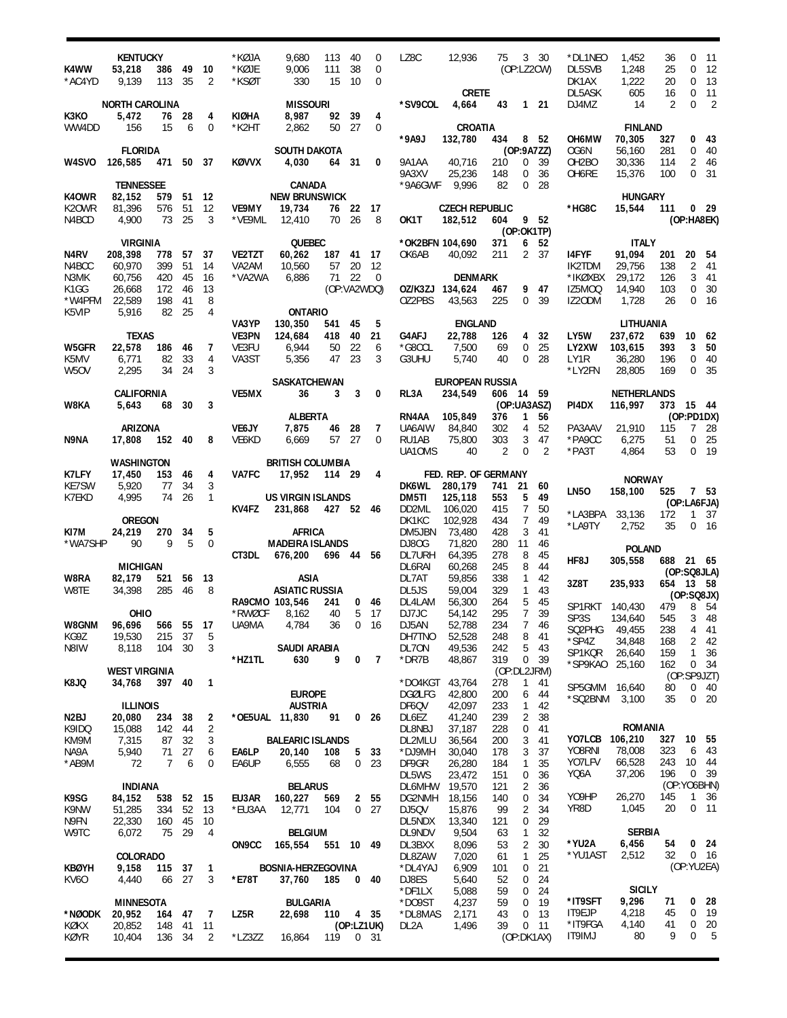| K4WW<br>*AC4YD              | <b>KENTUCKY</b><br>53,218<br>9,139 | 386<br>113     | 49<br>35 | 10<br>2             | *KØJA<br>*KØJE<br>*KSØT | 9,680<br>9,006<br>330                | 113<br>111<br>15  | 40<br>38<br>10 | 0<br>0<br>0     | LZ8C            | 12,936<br><b>CRETE</b>           | 75             |                     | 3 30<br>(OP:LZ2CW) | *DL1NEO<br>DL5SVB<br>DK1AX<br>DL5ASK | 1,452<br>1,248<br>1,222<br>605 | 36<br>25<br>20<br>16 | 0<br>0<br>0<br>0 | 11<br>12<br>13<br>11          |
|-----------------------------|------------------------------------|----------------|----------|---------------------|-------------------------|--------------------------------------|-------------------|----------------|-----------------|-----------------|----------------------------------|----------------|---------------------|--------------------|--------------------------------------|--------------------------------|----------------------|------------------|-------------------------------|
|                             | <b>NORTH CAROLINA</b>              |                |          |                     |                         | <b>MISSOURI</b>                      |                   |                |                 | *SV9COL         | 4,664                            | 43             |                     | $1 \quad 21$       | DJ4MZ                                | 14                             | $\overline{2}$       | 0                | $\overline{2}$                |
| K3KO<br>WW4DD               | 5,472<br>156                       | 76<br>15       | 28<br>6  | 4<br>0              | KIØHA<br>*K2HT          | 8,987<br>2,862                       | 92<br>50          | 39<br>27       | 4<br>0          |                 | CROATIA                          |                |                     |                    |                                      | <b>FINLAND</b>                 |                      |                  |                               |
|                             |                                    |                |          |                     |                         |                                      |                   |                |                 | *9A9J           | 132,780                          | 434            |                     | 8 52               | OH6MW                                | 70,305                         | 327                  | 0                | 43                            |
|                             | <b>FLORIDA</b>                     |                |          |                     |                         | <b>SOUTH DAKOTA</b>                  |                   |                |                 |                 |                                  |                |                     | (OP:9A7ZZ)         | OG6N                                 | 56,160                         | 281                  | 0                | 40                            |
| W4SVO                       | 126,585                            | 471            |          | 50 37               | <b>KØVVX</b>            | 4,030                                |                   | 64 31          | 0               | 9A1AA           | 40,716                           | 210            | 0                   | 39                 | OH <sub>2</sub> BO                   | 30,336                         | 114                  | $\overline{2}$   | -46                           |
|                             |                                    |                |          |                     |                         |                                      |                   |                |                 | 9A3XV           | 25,236                           | 148            | 0                   | 36                 | OH6RE                                | 15,376                         | 100                  | $\overline{0}$   | 31                            |
|                             | <b>TENNESSEE</b>                   |                |          |                     |                         | CANADA                               |                   |                |                 | *9A6GWF         | 9,996                            | 82             | 0                   | 28                 |                                      |                                |                      |                  |                               |
| K40WR                       | 82,152                             | 579<br>576     | 51<br>51 | 12                  |                         | <b>NEW BRUNSWICK</b>                 |                   |                |                 |                 |                                  |                |                     |                    |                                      | <b>HUNGARY</b>                 |                      |                  |                               |
| K <sub>2</sub> OWR<br>N4BCD | 81,396<br>4,900                    | 73             | 25       | 12<br>3             | VE9MY<br>*VE9ML         | 19,734<br>12,410                     | 76<br>70          | 22<br>26       | - 17<br>8       | OK1T            | <b>CZECH REPUBLIC</b><br>182,512 | 604            |                     | 9 52               | *HG8C                                | 15,544                         | 111                  |                  | 0 <sub>29</sub><br>(OP:HA8EK) |
|                             |                                    |                |          |                     |                         |                                      |                   |                |                 |                 |                                  |                |                     | (OP:OK1TP)         |                                      |                                |                      |                  |                               |
|                             | <b>VIRGINIA</b>                    |                |          |                     |                         | QUEBEC                               |                   |                |                 | *OK2BFN 104,690 |                                  | 371            | 6                   | 52                 |                                      | <b>ITALY</b>                   |                      |                  |                               |
| N4RV                        | 208,398                            | 778            | 57       | 37                  | VE2TZT                  | 60,262                               | 187               | 41             | 17              | OK6AB           | 40,092                           | 211            | $\mathbf{2}$        | 37                 | <b>I4FYF</b>                         | 91,094                         | 201                  | 20               | - 54                          |
| N4BCC                       | 60,970                             | 399            | 51       | 14                  | VA2AM                   | 10,560                               | 57                | 20             | 12              |                 |                                  |                |                     |                    | IK2TDM                               | 29,756                         | 138                  | $\overline{2}$   | -41                           |
| N3MK<br>K1GG                | 60,756                             | 420<br>172     | 45<br>46 | 16<br>13            | *VA2WA                  | 6,886                                | 71<br>(OP:VA2WDQ) | 22             | $\overline{0}$  | OZ/K3ZJ 134,624 | <b>DENMARK</b>                   | 467            | 9                   | 47                 | *IKØXBX<br>IZ5MOQ                    | 29,172<br>14,940               | 126<br>103           | 3<br>$\mathbf 0$ | 41<br>- 30                    |
| *W4PFM                      | 26,668<br>22,589                   | 198            | 41       | 8                   |                         |                                      |                   |                |                 | OZ2PBS          | 43,563                           | 225            | $\Omega$            | 39                 | IZ20DM                               | 1,728                          | 26                   | $\Omega$         | 16                            |
| K5VIP                       | 5,916                              | 82             | 25       | $\overline{4}$      |                         | <b>ONTARIO</b>                       |                   |                |                 |                 |                                  |                |                     |                    |                                      |                                |                      |                  |                               |
|                             |                                    |                |          |                     | VA3YP                   | 130,350                              | 541               | 45             | 5               |                 | <b>ENGLAND</b>                   |                |                     |                    |                                      | LITHUANIA                      |                      |                  |                               |
|                             | <b>TEXAS</b>                       |                |          |                     | <b>VE3PN</b>            | 124,684                              | 418               | 40             | 21              | G4AFJ           | 22,788                           | 126            | 4                   | 32                 | LY5W                                 | 237,672                        | 639                  | 10               | - 62                          |
| W5GFR                       | 22,578                             | 186<br>82      | 46       | 7<br>$\overline{4}$ | VE3FU                   | 6,944                                | 50<br>47          | 22<br>23       | 6<br>3          | *G8CCL          | 7,500                            | 69<br>40       | 0<br>$\Omega$       | 25                 | LY2XW                                | 103,615                        | 393                  | 3                | 50                            |
| K5MV<br>W <sub>5</sub> OV   | 6,771<br>2,295                     | 34             | 33<br>24 | 3                   | VA3ST                   | 5,356                                |                   |                |                 | G3UHU           | 5,740                            |                |                     | 28                 | LY1R<br>*LY2FN                       | 36,280<br>28,805               | 196<br>169           | 0<br>$\mathbf 0$ | 40<br>35                      |
|                             |                                    |                |          |                     |                         | SASKATCHEWAN                         |                   |                |                 |                 | <b>EUROPEAN RUSSIA</b>           |                |                     |                    |                                      |                                |                      |                  |                               |
|                             | <b>CALIFORNIA</b>                  |                |          |                     | VE5MX                   | 36                                   | 3                 | 3              | 0               | RL3A            | 234,549                          | 606 14 59      |                     |                    |                                      | <b>NETHERLANDS</b>             |                      |                  |                               |
| W8KA                        | 5,643                              | 68             | 30       | 3                   |                         |                                      |                   |                |                 |                 |                                  | (OP:UA3ASZ)    |                     |                    | PI4DX                                | 116,997                        | 373 15 44            |                  |                               |
|                             |                                    |                |          |                     |                         | <b>ALBERTA</b>                       |                   |                |                 | RN4AA           | 105,849                          | 376            | 1                   | 56                 |                                      |                                |                      |                  | (OP:PD1DX)                    |
| N9NA                        | <b>ARIZONA</b><br>17,808           | 152            | 40       | 8                   | <b>VE6JY</b><br>VE6KD   | 7,875<br>6,669                       | 46<br>57          | 28<br>27       | 7<br>$\Omega$   | UA6AIW<br>RU1AB | 84,840<br>75,800                 | 302<br>303     | 4<br>3              | 52<br>47           | PA3AAV<br>*PA9CC                     | 21,910<br>6,275                | 115<br>51            | $7^{\circ}$<br>0 | -28<br>25                     |
|                             |                                    |                |          |                     |                         |                                      |                   |                |                 | UA10MS          | 40                               | $\overline{2}$ | $\Omega$            | $\overline{2}$     | *PA3T                                | 4,864                          | 53                   |                  | 0, 19                         |
|                             | <b>WASHINGTON</b>                  |                |          |                     |                         | <b>BRITISH COLUMBIA</b>              |                   |                |                 |                 |                                  |                |                     |                    |                                      |                                |                      |                  |                               |
| K7LFY                       | 17,450                             | 153            | 46       | 4                   | VA7FC                   | 17,952                               | 114 29            |                | 4               |                 | FED. REP. OF GERMANY             |                |                     |                    |                                      | <b>NORWAY</b>                  |                      |                  |                               |
| <b>KE7SW</b>                | 5,920                              | 77             | 34       | 3                   |                         |                                      |                   |                |                 | DK6WL           | 280,179                          | 741            | 21                  | 60                 | <b>LN50</b>                          | 158,100                        | 525                  |                  | 7 53                          |
| K7EKD                       | 4,995                              | 74             | 26       | 1                   | KV4FZ                   | <b>US VIRGIN ISLANDS</b><br>231,868  | 427 52 46         |                |                 | DM5TI<br>DD2ML  | 125,118<br>106,020               | 553<br>415     | 5<br>$\overline{7}$ | 49<br>50           |                                      |                                |                      |                  | (OP:LA6FJA)                   |
|                             | <b>OREGON</b>                      |                |          |                     |                         |                                      |                   |                |                 | DK1KC           | 102,928                          | 434            | 7                   | 49                 | *LA3BPA                              | 33,136                         | 172                  | 1                | - 37                          |
| KI7M                        | 24,219                             | 270            | 34       | 5                   |                         | <b>AFRICA</b>                        |                   |                |                 | DM5JBN          | 73,480                           | 428            | 3                   | 41                 | *LA9TY                               | 2,752                          | 35                   |                  | 0 <sub>16</sub>               |
| *WA7SHP                     | 90                                 | 9              | 5        | 0                   |                         | <b>MADEIRA ISLANDS</b>               |                   |                |                 | DJ80G           | 71,820                           | 280            | 11                  | 46                 |                                      | <b>POLAND</b>                  |                      |                  |                               |
|                             |                                    |                |          |                     | CT3DL                   | 676,200                              | 696 44            |                | 56              | DL7URH          | 64,395                           | 278            | 8                   | 45                 | HF8J                                 | 305,558                        | 688 21 65            |                  |                               |
|                             | <b>MICHIGAN</b>                    |                |          |                     |                         |                                      |                   |                |                 | DL6RAI          | 60,268                           | 245            | 8                   | 44                 |                                      |                                |                      |                  | (OP:SQ8JLA)                   |
| W8RA<br>W8TE                | 82,179<br>34.398                   | 521<br>285     | 56<br>46 | 13<br>8             |                         | <b>ASIA</b><br><b>ASIATIC RUSSIA</b> |                   |                |                 | DL7AT<br>DL5JS  | 59,856<br>59,004                 | 338<br>329     | $\mathbf{1}$<br>1   | 42<br>43           | 3Z8T                                 | 235,933                        | 654                  | 13 58            |                               |
|                             |                                    |                |          |                     |                         | RA9CMO 103,546                       | 241               | 0              | 46              | DL4LAM          | 56,300                           | 264            | 5                   | 45                 |                                      |                                |                      |                  | (OP:SQ8JX)                    |
|                             | OHIO                               |                |          |                     | *RWØCF                  | 8,162                                | 40                | 5              | - 17            | DJ7JC           | 54,142                           | 295            | $\overline{7}$      | 39                 | SP1RKT 140.430<br>SP3S               |                                | 479                  |                  | 8 54<br>3 48                  |
| W8GNM                       | 96,696                             | 566 55         |          | 17                  | UA9MA                   | 4,784                                | 36                | 0              | 16              | DJ5AN           | 52,788                           | 234            | 7                   | 46                 | SQ2PHG                               | 134,640<br>49,455              | 545<br>238           | 4                | 41                            |
| KG9Z                        | 19,530                             | 215            | 37       | 5                   |                         |                                      |                   |                |                 | DH7TNO          | 52,528                           | 248            | 8                   | 41                 | *SP4Z                                | 34,848                         | 168                  | 2                | 42                            |
| N8IW                        | 8,118                              | 104            | 30       | 3                   | *HZ1TL                  | <b>SAUDI ARABIA</b><br>630           | 9                 | 0              | 7               | DL70N<br>*DR7B  | 49,536<br>48,867                 | 242<br>319     | 5<br>0              | 43<br>39           | SP1KQR                               | 26,640                         | 159                  | 1                | 36                            |
|                             | <b>WEST VIRGINIA</b>               |                |          |                     |                         |                                      |                   |                |                 |                 |                                  | (OP:DL2JRM)    |                     |                    | *SP9KAO                              | 25,160                         | 162                  |                  | 0 34                          |
| K8JQ                        | 34,768                             | 397            | 40       | $\mathbf{1}$        |                         |                                      |                   |                |                 | *DO4KGT         | 43,764                           | 278            | 1                   | 41                 | SP5GMM                               | 16,640                         | 80                   | 0                | (OP:SP9JZT)<br>40             |
|                             |                                    |                |          |                     |                         | <b>EUROPE</b>                        |                   |                |                 | <b>DGØLFG</b>   | 42,800                           | 200            | 6                   | 44                 | *SQ2BNM                              | 3,100                          | 35                   | 0                | 20                            |
|                             | <b>ILLINOIS</b>                    |                |          |                     |                         | <b>AUSTRIA</b>                       |                   |                |                 | DF6QV           | 42,097                           | 233            | 1                   | 42                 |                                      |                                |                      |                  |                               |
| N <sub>2</sub> BJ<br>K9IDQ  | 20,080<br>15,088                   | 234<br>142     | 38<br>44 | 2<br>$\overline{2}$ |                         | *OE5UAL 11,830                       | 91                |                | 0 <sub>26</sub> | DL6EZ<br>DL8NBJ | 41,240<br>37,187                 | 239<br>228     | 2<br>0              | 38<br>41           |                                      | ROMANIA                        |                      |                  |                               |
| KM9M                        | 7,315                              | 87             | 32       | 3                   |                         | <b>BALEARIC ISLANDS</b>              |                   |                |                 | DL2MLU          | 36,564                           | 200            | 3                   | 41                 | YO7LCB                               | 106,210                        | 327                  | 10               | - 55                          |
| NA9A                        | 5,940                              | 71             | 27       | 6                   | EA6LP                   | 20,140                               | 108               | 5              | 33              | *DJ9MH          | 30,040                           | 178            | 3                   | 37                 | Y08RNI                               | 78,008                         | 323                  | 6                | 43                            |
| *AB9M                       | 72                                 | $\overline{7}$ | 6        | 0                   | EA6UP                   | 6,555                                | 68                | 0              | 23              | DF9GR           | 26,280                           | 184            | 1                   | 35                 | YO7LFV                               | 66,528                         | 243                  | 10               | - 44                          |
|                             |                                    |                |          |                     |                         |                                      |                   |                |                 | DL5WS           | 23,472                           | 151            | 0                   | 36                 | YQ6A                                 | 37,206                         | 196                  |                  | 0, 39                         |
|                             | <b>INDIANA</b>                     |                |          |                     |                         | <b>BELARUS</b>                       |                   |                |                 | <b>DL6MHW</b>   | 19,570                           | 121            | 2                   | 36                 | Y09HP                                | 26,270                         | 145                  |                  | (OP:YO6BHN)                   |
| K9SG<br>K9NW                | 84,152<br>51,285                   | 538<br>334     | 52<br>52 | 15<br>13            | EU3AR<br>*EU3AA         | 160,227<br>12,771                    | 569<br>104        | 2<br>0         | 55<br>27        | DG2NMH<br>DJ5QV | 18,156<br>15,876                 | 140<br>99      | $\pmb{0}$<br>2      | 34<br>34           | YR8D                                 | 1,045                          | 20                   |                  | 1 36<br>$0$ 11                |
| N9FN                        | 22,330                             | 160            | 45       | 10                  |                         |                                      |                   |                |                 | DL5NDX          | 13,340                           | 121            | 0                   | 29                 |                                      |                                |                      |                  |                               |
| W9TC                        | 6,072                              | 75             | 29       | 4                   |                         | <b>BELGIUM</b>                       |                   |                |                 | DL9NDV          | 9,504                            | 63             | 1                   | 32                 |                                      | <b>SERBIA</b>                  |                      |                  |                               |
|                             |                                    |                |          |                     | ON9CC                   | 165,554                              | 551 10            |                | - 49            | DL3BXX          | 8,096                            | 53             | 2                   | 30                 | *YU2A                                | 6,456                          | 54                   |                  | 0 <sub>24</sub>               |
|                             | <b>COLORADO</b>                    |                |          |                     |                         |                                      |                   |                |                 | DL8ZAW          | 7,020                            | 61             | 1                   | 25                 | *YU1AST                              | 2,512                          | 32                   |                  | 0 <sub>16</sub>               |
| <b>KBØYH</b>                | 9,158                              | 115            | 37<br>27 | 1<br>3              |                         | <b>BOSNIA-HERZEGOVINA</b>            |                   |                |                 | *DL4YAJ         | 6,909                            | 101            | 0                   | 21                 |                                      |                                |                      |                  | (OP:YU2EA)                    |
| KV60                        | 4,440                              | 66             |          |                     | *E78T                   | 37,760                               | 185               | 0              | - 40            | DJ8ES<br>*DF1LX | 5,640<br>5,088                   | 52<br>59       | 0<br>0              | 24<br>24           |                                      | <b>SICILY</b>                  |                      |                  |                               |
|                             | <b>MINNESOTA</b>                   |                |          |                     |                         | <b>BULGARIA</b>                      |                   |                |                 | *DO9ST          | 4,237                            | 59             | 0                   | 19                 | *IT9SFT                              | 9,296                          | 71                   | 0                | - 28                          |
| *NØODK                      | 20,952                             | 164            | 47       | 7                   | LZ5R                    | 22,698                               | 110               |                | 4 35            | *DL8MAS         | 2,171                            | 43             | 0                   | 13                 | IT9EJP                               | 4,218                          | 45                   | 0                | - 19                          |
| KØKX                        | 20,852                             | 148            | 41       | 11                  |                         |                                      |                   | (OP:LZ1UK)     |                 | DL2A            | 1,496                            | 39             | 0                   | 11                 | *IT9FGA                              | 4,140                          | 41<br>9              | 0                | 20                            |
| KØYR                        | 10,404                             | 136            | - 34     | 2                   | *LZ3ZZ                  | 16,864                               | 119               |                | 0, 31           |                 |                                  |                |                     | (OP:DK1AX)         | IT9IMJ                               | 80                             |                      | 0                | 5                             |